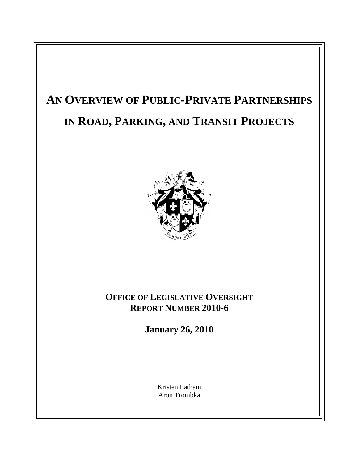# **AN OVERVIEW OF PUBLIC-PRIVATE PARTNERSHIPS IN ROAD, PARKING, AND TRANSIT PROJECTS**



## **OFFICE OF LEGISLATIVE OVERSIGHT REPORT NUMBER 2010-6**

**January 26, 2010**

Kristen Latham and the set of the set of the set of the set of the set of the set of the set of the set of the set of the set of the set of the set of the set of the set of the set of the set of the set of the set of the s Aron Trombka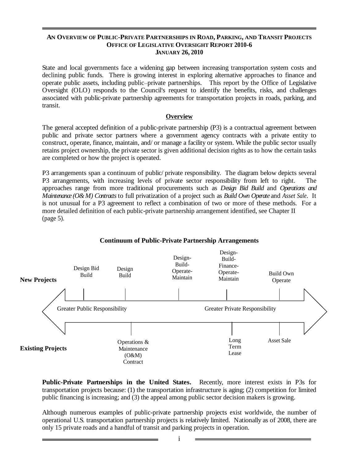#### **AN OVERVIEW OF PUBLIC-PRIVATE PARTNERSHIPS IN ROAD, PARKING, AND TRANSIT PROJECTS OFFICE OF LEGISLATIVE OVERSIGHT REPORT 2010-6 JANUARY 26, 2010**

State and local governments face a widening gap between increasing transportation system costs and declining public funds. There is growing interest in exploring alternative approaches to finance and operate public assets, including public-private partnerships. This report by the Office of Legislative Oversight (OLO) responds to the Council's request to identify the benefits, risks, and challenges associated with public-private partnership agreements for transportation projects in roads, parking, and transit.

#### **Overview**

The general accepted definition of a public-private partnership (P3) is a contractual agreement between public and private sector partners where a government agency contracts with a private entity to construct, operate, finance, maintain, and/ or manage a facility or system. While the public sector usually retains project ownership, the private sector is given additional decision rights as to how the certain tasks are completed or how the project is operated.

P3 arrangements span a continuum of public/ private responsibility. The diagram below depicts several P3 arrangements, with increasing levels of private sector responsibility from left to right. approaches range from more traditional procurements such as *Design Bid Build* and *Operations and Maintenance (O&M) Contracts*to full privatization of a project such as *Build Own Operate* and *Asset Sale*. It is not unusual for a P3 agreement to reflect a combination of two or more of these methods. For a more detailed definition of each public-private partnership arrangement identified, see Chapter II  $(\text{page 5}).$ 



#### **Continuum of Public-Private Partnership Arrangements**

**Public-Private Partnerships in the United States.** Recently, more interest exists in P3s for transportation projects because: (1) the transportation infrastructure is aging; (2) competition for limited public financing is increasing; and (3) the appeal among public sector decision makers is growing. Although numerous examples of public-private partnership projects exist worldwide, the number of

operational U.S. transportation partnership projects is relatively limited. Nationally as of 2008, there are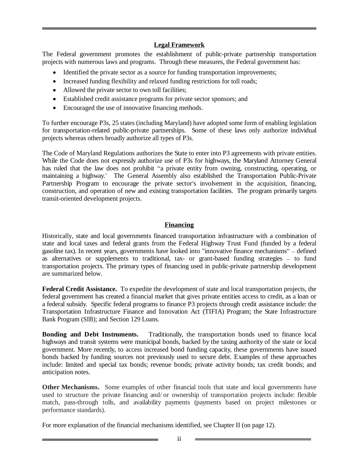#### **Legal Framework**

The Federal government promotes the establishment of public-private partnership transportation projects with numerous laws and programs. Through these measures, the Federal government has:

- Identified the private sector as a source for funding transportation improvements;
- Increased funding flexibility and relaxed funding restrictions for toll roads;
- Allowed the private sector to own toll facilities;
- Established credit assistance programs for private sector sponsors; and
- Encouraged the use of innovative financing methods.

To further encourage P3s, 25 states (including Maryland) have adopted some form of enabling legislation for transportation-related public-private partnerships. Some of these laws only authorize individual projects whereas others broadly authorize all types of P3s.

The Code of Maryland Regulations authorizes the State to enter into P3 agreements with private entities. While the Code does not expressly authorize use of P3s for highways, the Maryland Attorney General has ruled that the law does not prohibit "a private entity from owning, constructing, operating, or maintaining a highway." The General Assembly also established the Transportation Public-Private<br>Partnership Program to encourage the private sector's involvement in the acquisition, financing, construction, and operation of new and existing transportation facilities. The program primarily targets transit-oriented development projects.

#### **Financing**

Historically, state and local governments financed transportation infrastructure with a combination of state and local taxes and federal grants from the Federal Highway Trust Fund (funded by a federal gasoline tax). In recent years, governments have looked into "innovative finance mechanisms" – defined as alternatives or supplements to traditional, tax- or grant-based funding strategies – to fund transportation projects. The primary types of financing used in public-private partnership development are summarized below.

**Federal Credit Assistance.** To expedite the development of state and local transportation projects, the federal government has created a financial market that gives private entities access to credit, as a loan or a federal subsidy. Specific federal programs to finance P3 projects through credit assistance include: the Transportation Infrastructure Finance and Innovation Act (TIFIA) Program; the State Infrastructure Bank Program (SIB); and Section 129 Loans.

**Bonding and Debt Instruments.** Traditionally, the transportation bonds used to finance local highways and transit systems were municipal bonds, backed by the taxing authority of the state or local government. More recently, to access increased bond funding capacity, these governments have issued bonds backed by funding sources not previously used to secure debt. Examples of these approaches include: limited and special tax bonds; revenue bonds; private activity bonds; tax credit bonds; and anticipation notes.

**Other Mechanisms.** Some examples of other financial tools that state and local governments have used to structure the private financing and/ or ownership of transportation projects include: flexible match, pass-through tolls, and availability payments (payments based on project milestones or performance standards).

For more explanation of the financial mechanisms identified, see Chapter II (on page 12).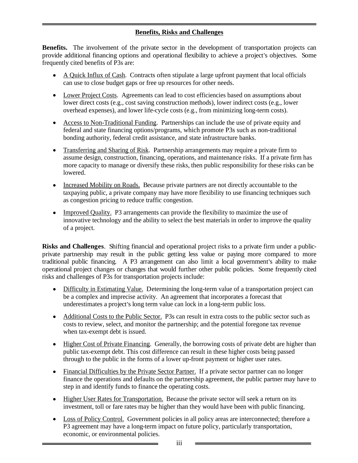#### **Benefits, Risks and Challenges**

**Benefits.** The involvement of the private sector in the development of transportation projects can provide additional financing options and operational flexibility to achieve a project's objectives. Some frequently cited benefits of P3s are:

- A Quick Influx of Cash. Contracts often stipulate a large upfront payment that local officials can use to close budget gaps or free up resources for other needs.
- Lower Project Costs. Agreements can lead to cost efficiencies based on assumptions about lower direct costs (e.g., cost saving construction methods), lower indirect costs (e.g., lower overhead expenses), and lower life-cycle costs (e.g., from minimizing long-term costs).
- Access to Non-Traditional Funding. Partnerships can include the use of private equity and federal and state financing options/programs, which promote P3s such as non-traditional bonding authority, federal credit assistance, and state infrastructure banks.
- Transferring and Sharing of Risk. Partnership arrangements may require a private firm to assume design, construction, financing, operations, and maintenance risks. If a private firm has more capacity to manage or diversify these risks, then public responsibility for these risks can be lowered.
- Increased Mobility on Roads. Because private partners are not directly accountable to the taxpaying public, a private company may have more flexibility to use financing techniques such as congestion pricing to reduce traffic congestion.
- Improved Quality. P3 arrangements can provide the flexibility to maximize the use of innovative technology and the ability to select the best materials in order to improve the quality of a project.

**Risks and Challenges**. Shifting financial and operational project risks to a private firm under a public private partnership may result in the public getting less value or paying more compared to more traditional public financing. A P3 arrangement can also limit a local government's ability to make operational project changes or changes that would further other public policies. Some frequently cited risks and challenges of P3s for transportation projects include:

- Difficulty in Estimating Value. Determining the long-term value of a transportation project can be a complex and imprecise activity. An agreement that incorporates a forecast that underestimates a project's long term value can lock in a long-term public loss.
- underestimates a project's long term value can lock in a long-term public loss.<br>Additional Costs to the Public Sector. P3s can result in extra costs to the public sector such as costs to review, select, and monitor the partnership; and the potential foregone tax revenue when tax-exempt debt is issued.
- Higher Cost of Private Financing. Generally, the borrowing costs of private debt are higher than public tax-exempt debt. This cost difference can result in these higher costs being passed through to the public in the forms of a lower up-front payment or higher user rates.
- Financial Difficulties by the Private Sector Partner. If a private sector partner can no longer finance the operations and defaults on the partnership agreement, the public partner may have to step in and identify funds to finance the operating costs.
- Higher User Rates for Transportation. Because the private sector will seek a return on its investment, toll or fare rates may be higher than they would have been with public financing. Loss of Policy Control. Government policies in all policy areas are interconnected; therefore a
- P3 agreement may have a long-term impact on future policy, particularly transportation, economic, or environmental policies.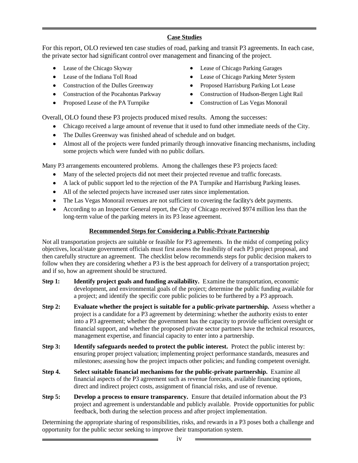#### **Case Studies**

For this report, OLO reviewed ten case studies of road, parking and transit P3 agreements. In each case, the private sector had significant control over management and financing of the project.

- 
- 
- 
- 
- 
- Lease of the Chicago Skyway Lease of Chicago Parking Garages
- Lease of the Indiana Toll Road Lease of Chicago Parking Meter System Lease of Chicago Parking Meter System
	- Construction of the Dulles Greenway Proposed Harrisburg Parking Lot Lease
	- Construction of the Pocahontas Parkway Construction of Hudson-Bergen Light Rail
	- Proposed Lease of the PA Turnpike Construction of Las Vegas Monorail

Overall, OLO found these P3 projects produced mixed results. Among the successes:

- Chicago received a large amount of revenue that it used to fund other immediate needs of the City.
- The Dulles Greenway was finished ahead of schedule and on budget.
- Almost all of the projects were funded primarily through innovative financing mechanisms, including some projects which were funded with no public dollars.

Many P3 arrangements encountered problems. Among the challenges these P3 projects faced:

- 
- Many of the selected projects did not meet their projected revenue and traffic forecasts.<br>• A lack of public support led to the rejection of the PA Turnpike and Harrisburg Parking leases.
- 
- 
- All of the selected projects have increased user rates since implementation.<br>The Las Vegas Monorail revenues are not sufficient to covering the facility's debt payments.<br>According to an Inspector General report, the City o long-term value of the parking meters in its P3 lease agreement.

#### **Recommended Steps for Considering a Public-Private Partnership**

Not all transportation projects are suitable or feasible for P3 agreements. In the midst of competing policy objectives, local/state government officials must first assess the feasibility of each P3 project proposal, and then carefully structure an agreement. The checklist below recommends steps for public decision makers to follow when they are considering whether a P3 is the best approach for delivery of a transportation project; and if so, how an agreement should be structured.

- **Step 1: Identify project goals and funding availability.** Examine the transportation, economic development, and environmental goals of the project; determine the public funding available for a project; and identify the specific core public policies to be furthered by a P3 approach.
- **Step 2: Evaluate whether the project is suitable for a public-private partnership.** Assess whether a project is a candidate for a P3 agreement by determining: whether the authority exists to enter into a P3 agreement; whether the government has the capacity to provide sufficient oversight or financial support, and whether the proposed private sector partners have the technical resources, management expertise, and financial capacity to enter into a partnership.
- **Step 3: Identify safeguards needed to protect the public interest.** Protect the public interest by: ensuring proper project valuation; implementing project performance standards, measures and milestones; assessing how the project impacts other policies; and funding competent oversight.
- **Step 4.** Select suitable financial mechanisms for the public-private partnership. Examine all financial aspects of the P3 agreement such as revenue forecasts, available financing options, direct and indirect project costs, assignment of financial risks, and use of revenue.
- **Step 5: Develop a process to ensure transparency.** Ensure that detailed information about the P3 project and agreement is understandable and publicly available. Provide opportunities for public feedback, both during the selection process and after project implementation.

Determining the appropriate sharing of responsibilities, risks, and rewards in a P3 poses both a challenge and opportunity for the public sector seeking to improve their transportation system.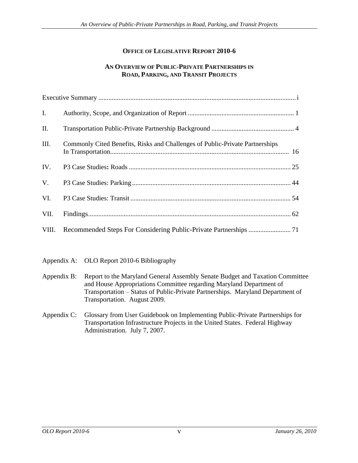#### **OFFICE OF LEGISLATIVE REPORT 2010-6**

#### **AN OVERVIEW OF PUBLIC-PRIVATE PARTNERSHIPS IN ROAD, PARKING, AND TRANSIT PROJECTS**

|     | Executive Summary.                                                                                           |
|-----|--------------------------------------------------------------------------------------------------------------|
|     |                                                                                                              |
| П.  |                                                                                                              |
|     | III. Commonly Cited Benefits, Risks and Challenges of Public-Private Partnerships<br>16<br>In Transportation |
| IV. | P3 Case Studies: Roads.                                                                                      |
| V.  |                                                                                                              |
| VI. | P3 Case Studies: Transit                                                                                     |
|     | VII. Findings.                                                                                               |
|     | VIII. Recommended Steps For Considering Public-Private Partnerships  71                                      |

Appendix A: OLO Report 2010-6 Bibliography

- Appendix B: Report to the Maryland General Assembly Senate Budget and Taxation Committee and House Appropriations Committee regarding Maryland Department of Transportation - Status of Public-Private Partnerships. Maryland Department of Transportation. August 2009.
- Appendix C: Glossary from User Guidebook on Implementing Public-Private Partnerships for Transportation Infrastructure Projects in the United States. Federal Highway Administration. July 7, 2007.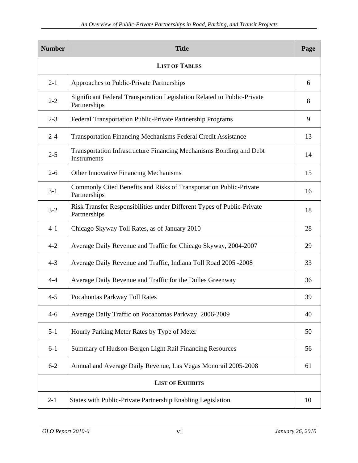| Number                | <b>Title</b>                                                                            | Page        |
|-----------------------|-----------------------------------------------------------------------------------------|-------------|
| <b>LIST OF TABLES</b> |                                                                                         |             |
| $2 - 1$               | Approaches to Public-Private Partnerships                                               | 6           |
| $2 - 2$               | Significant Federal Transporation Legislation Related to Public-Private<br>Partnerships | 8           |
| $2 - 3$               | Federal Transportation Public-Private Partnership Programs                              | $\mathbf Q$ |
| $2 - 4$               | Transportation Financing Mechanisms Federal Credit Assistance                           | 13          |
| $2 - 5$               | Transportation Infrastructure Financing Mechanisms Bonding and Debt<br>Instruments      | 14          |
| $2 - 6$               | Other Innovative Financing Mechanisms                                                   | 15          |
| $3-1$                 | Commonly Cited Benefits and Risks of Transportation Public-Private<br>Partnerships      | 16          |
| $3-2$                 | Risk Transfer Responsibilities under Different Types of Public-Private<br>Partnerships  | 18          |
| $4 - 1$               | Chicago Skyway Toll Rates, as of January 2010                                           | 28          |
| $4 - 2$               | Average Daily Revenue and Traffic for Chicago Skyway, 2004-2007                         | 29          |
| $4 - 3$               | Average Daily Revenue and Traffic, Indiana Toll Road 2005 -2008                         | 33          |
| $4 - 4$               | Average Daily Revenue and Traffic for the Dulles Greenway                               | 36          |
| $4 - 5$               | Pocahontas Parkway Toll Rates                                                           | 39          |
| $4-6$                 | Average Daily Traffic on Pocahontas Parkway, 2006-2009                                  | 40          |
| $5-1$                 | Hourly Parking Meter Rates by Type of Meter                                             | 50          |
| $6-1$                 | Summary of Hudson-Bergen Light Rail Financing Resources                                 | 56          |
| $6 - 2$               | Annual and Average Daily Revenue, Las Vegas Monorail 2005-2008                          | 61          |
|                       | <b>LIST OF EXHIBITS</b>                                                                 |             |
| $2 - 1$               | States with Public-Private Partnership Enabling Legislation                             | 10          |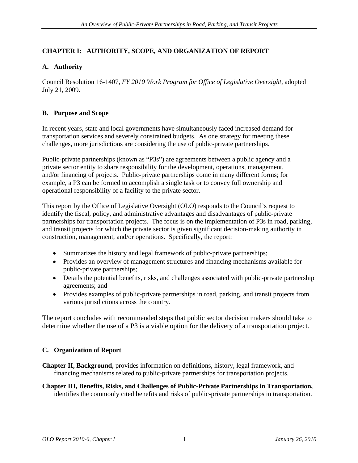#### **CHAPTER I: AUTHORITY, SCOPE, AND ORGANIZATION OF REPORT**

#### **A. Authority**

Council Resolution 16-1407, *FY 2010 Work Program for Office of Legislative Oversight*, adopted July 21, 2009.

#### **B. Purpose and Scope**

In recent years, state and local governments have simultaneously faced increased demand for transportation services and severely constrained budgets. As one strategy for meeting these challenges, more jurisdictions are considering the use of public-private partnerships.

Public-private partnerships (known as "P3s") are agreements between a public agency and a private sector entity to share responsibility for the development, operations, management, and/or financing of projects. Public-private partnerships come in many different forms; for example, a P3 can be formed to accomplish a single task or to convey full ownership and operational responsibility of a facility to the private sector.

This report by the Office of Legislative Oversight (OLO) responds to the Council's request to identify the fiscal, policy, and administrative advantages and disadvantages of public-private partnerships for transportation projects. The focus is on the implementation of P3s in road, parking, and transit projects for which the private sector is given significant decision-making authority in construction, management, and/or operations. Specifically, the report:

- Summarizes the history and legal framework of public-private partnerships;
- Provides an overview of management structures and financing mechanisms available for public-private partnerships;
- Details the potential benefits, risks, and challenges associated with public-private partnership agreements; and
- Provides examples of public-private partnerships in road, parking, and transit projects from various jurisdictions across the country.

The report concludes with recommended steps that public sector decision makers should take to determine whether the use of a P3 is a viable option for the delivery of a transportation project.

#### **C. Organization of Report**

- **Chapter II, Background,** provides information on definitions, history, legal framework, and financing mechanisms related to public-private partnerships for transportation projects.
- **Chapter III, Benefits, Risks, and Challenges of Public-Private Partnerships in Transportation,**  identifies the commonly cited benefits and risks of public-private partnerships in transportation.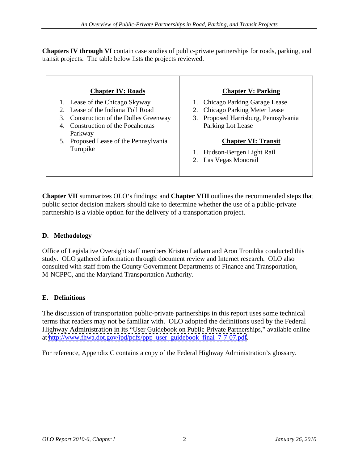**Chapters IV through VI** contain case studies of public-private partnerships for roads, parking, and transit projects. The table below lists the projects reviewed.

| <b>Chapter IV: Roads</b>                                                                                                                                   | <b>Chapter V: Parking</b>                                                                                                          |
|------------------------------------------------------------------------------------------------------------------------------------------------------------|------------------------------------------------------------------------------------------------------------------------------------|
| Lease of the Chicago Skyway<br>2. Lease of the Indiana Toll Road<br>3. Construction of the Dulles Greenway<br>4. Construction of the Pocahontas<br>Parkway | <b>Chicago Parking Garage Lease</b><br>2. Chicago Parking Meter Lease<br>3. Proposed Harrisburg, Pennsylvania<br>Parking Lot Lease |
| 5. Proposed Lease of the Pennsylvania<br>Turnpike                                                                                                          | <b>Chapter VI: Transit</b><br>Hudson-Bergen Light Rail<br>2. Las Vegas Monorail                                                    |

**Chapter VII** summarizes OLO s findings; and **Chapter VIII** outlines the recommended steps that public sector decision makers should take to determine whether the use of a public-private partnership is a viable option for the delivery of a transportation project.

### **D. Methodology**

Office of Legislative Oversight staff members Kristen Latham and Aron Trombka conducted this study. OLO gathered information through document review and Internet research. OLO also consulted with staff from the County Government Departments of Finance and Transportation, M-NCPPC, and the Maryland Transportation Authority.

#### **E. Definitions**

The discussion of transportation public-private partnerships in this report uses some technical terms that readers may not be familiar with. OLO adopted the definitions used by the Federal Highway Administration in its "User Guidebook on Public-Private Partnerships," available online

at <u>http://www.fhwa.dot.gov/ipd/pdfs/ppp\_user\_guidebook\_final\_7-7-07.pdf</u>.<br>For reference, Appendix C contains a copy of the Federal Highway Administration's glossary.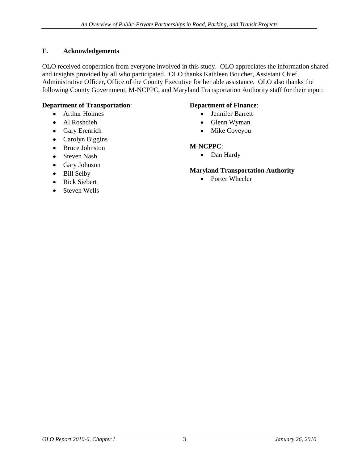#### **F. Acknowledgements**

OLO received cooperation from everyone involved in this study. OLO appreciates the information shared and insights provided by all who participated. OLO thanks Kathleen Boucher, Assistant Chief Administrative Officer, Office of the County Executive for her able assistance. OLO also thanks the following County Government, M-NCPPC, and Maryland Transportation Authority staff for their input:

#### **Department of Transportation**:

- 
- 
- 
- Carolyn Biggins<br>• Rruce Johnston M-NCPPC:
- Bruce Johnston **M-NCPPC**:
- Steven Nash **Case Contract Contract Contract Contract Contract Contract Contract Contract Contract Contract Contract Contract Contract Contract Contract Contract Contract Contract Contract Contract Contract Contract Contra**
- Gary Johnson
- 
- Rick Siebert
- Steven Wells

#### **Department of Finance**:

- Arthur Holmes **and School Contract Contract Contract Contract Contract Contract Contract Contract Contract Contract Contract Contract Contract Contract Contract Contract Contract Contract Contract Contract Contract Contrac** Jennifer Barrett
- Al Roshdieh **Clement Community** Glenn Wyman Glenn Wyman
- Gary Erenrich **Cary Exercise Service Contract Contract Contract Contract Contract Contract Contract Contract Contract Contract Contract Contract Contract Contract Contract Contract Contract Contract Contract Contract Contr** Mike Coveyou

#### **M-NCPPC**:

Dan Hardy

#### Bill Selby **Example 11 ansportation Authority Maryland Transportation Authority**

• Porter Wheeler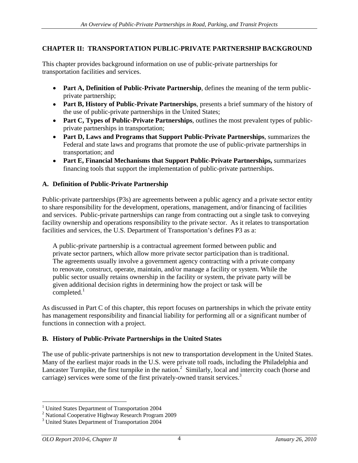#### **CHAPTER II: TRANSPORTATION PUBLIC-PRIVATE PARTNERSHIP BACKGROUND**

This chapter provides background information on use of public-private partnerships for transportation facilities and services.

- **Part A, Definition of Public-Private Partnership**, defines the meaning of the term publicprivate partnership;
- Part B, History of Public-Private Partnerships, presents a brief summary of the history of the use of public-private partnerships in the United States;
- **Part C, Types of Public-Private Partnerships**, outlines the most prevalent types of publicprivate partnerships in transportation;
- **Part D, Laws and Programs that Support Public-Private Partnerships**, summarizes the Federal and state laws and programs that promote the use of public-private partnerships in transportation; and
- **Part E, Financial Mechanisms that Support Public-Private Partnerships,** summarizes financing tools that support the implementation of public-private partnerships.

#### **A. Definition of Public-Private Partnership**

Public-private partnerships (P3s) are agreements between a public agency and a private sector entity to share responsibility for the development, operations, management, and/or financing of facilities and services. Public-private partnerships can range from contracting out a single task to conveying facility ownership and operations responsibility to the private sector. As it relates to transportation facilities and services, the U.S. Department of Transportation's defines P3 as a:

A public-private partnership is a contractual agreement formed between public and private sector partners, which allow more private sector participation than is traditional. The agreements usually involve a government agency contracting with a private company to renovate, construct, operate, maintain, and/or manage a facility or system. While the public sector usually retains ownership in the facility or system, the private party will be given additional decision rights in determining how the project or task will be  $\text{completed.}^1$ 

As discussed in Part C of this chapter, this report focuses on partnerships in which the private entity has management responsibility and financial liability for performing all or a significant number of functions in connection with a project.

#### **B. History of Public-Private Partnerships in the United States**

The use of public-private partnerships is not new to transportation development in the United States. Many of the earliest major roads in the U.S. were private toll roads, including the Philadelphia and Lancaster Turnpike, the first turnpike in the nation.<sup>2</sup> Similarly, local and intercity coach (horse and carriage) services were some of the first privately-owned transit services.<sup>3</sup>

 $\frac{1}{1}$  United States Department of Transportation 2004 <sup>1</sup> United States Department of Transportation 2004

<sup>&</sup>lt;sup>2</sup> National Cooperative Highway Research Program 2009

<sup>&</sup>lt;sup>3</sup> United States Department of Transportation 2004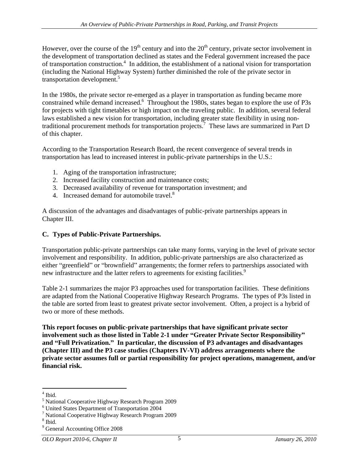However, over the course of the  $19<sup>th</sup>$  century and into the  $20<sup>th</sup>$  century, private sector involvement in the development of transportation declined as states and the Federal government increased the pace of transportation construction.<sup>4</sup> In addition, the establishment of a national vision for transportation (including the National Highway System) further diminished the role of the private sector in transportation development.<sup>5</sup> transportation development.<sup>5</sup><br>In the 1980s, the private sector re-emerged as a player in transportation as funding became more

constrained while demand increased.6 Throughout the 1980s, states began to explore the use of P3s for projects with tight timetables or high impact on the traveling public. In addition, several federal laws established a new vision for transportation, including greater state flexibility in using nontraditional procurement methods for transportation projects.<sup>7</sup> These laws are summarized in Part D of this chapter.

According to the Transportation Research Board, the recent convergence of several trends in transportation has lead to increased interest in public-private partnerships in the U.S.:

- 1. Aging of the transportation infrastructure;
- 2. Increased facility construction and maintenance costs;
- 3. Decreased availability of revenue for transportation investment; and
- 4. Increased demand for automobile travel.<sup>8</sup>

A discussion of the advantages and disadvantages of public-private partnerships appears in Chapter III.

#### **C. Types of Public-Private Partnerships.**

Transportation public-private partnerships can take many forms, varying in the level of private sector involvement and responsibility. In addition, public-private partnerships are also characterized as either "greenfield" or "brownfield" arrangements; the former refers to partnerships associated with new infrastructure and the latter refers to agreements for existing facilities.<sup>9</sup>

 Table 2-1 summarizes the major P3 approaches used for transportation facilities. These definitions are adapted from the National Cooperative Highway Research Programs. The types of P3s listed in the table are sorted from least to greatest private sector involvement. Often, a project is a hybrid of two or more of these methods.

**This report focuses on public-private partnerships that have significant private sector involvement such as those listed in Table 2-1 under Greater Private Sector Responsibility and Full Privatization. In particular, the discussion of P3 advantages and disadvantages (Chapter III) and the P3 case studies (Chapters IV-VI) address arrangements where the private sector assumes full or partial responsibility for project operations, management, and/or financial risk.** 

 $\frac{4 \text{ }\text{Hid}}{4 \text{ }\text{Hid}}$ 

<sup>&</sup>lt;sup>4</sup> Ibid.<br><sup>5</sup> National Cooperative Highway Research Program 2009

<sup>6</sup> United States Department of Transportation 2004

<sup>7</sup> National Cooperative Highway Research Program 2009

 $8<sub>th</sub>$ ;  $8<sub>th</sub>$ ;  $8<sub>th</sub>$ ;  $8<sub>th</sub>$ ;  $8<sub>th</sub>$ ;  $8<sub>th</sub>$ ;  $8<sub>th</sub>$ ;  $8<sub>th</sub>$ ;  $8<sub>th</sub>$ ;  $8<sub>th</sub>$ ;  $8<sub>th</sub>$ ;  $8<sub>th</sub>$ ;  $8<sub>th</sub>$ ;  $8<sub>th</sub>$ ;  $8<sub>th</sub>$ ;  $8<sub>th</sub>$ ;  $8<sub>th</sub>$ ;  $8<sub>th</sub>$ ;  $8$ 

 $\frac{1}{9}$  Hoid.<br> $\frac{1}{9}$  General Accounting Office 2008 <sup>9</sup> General Accounting Office 2008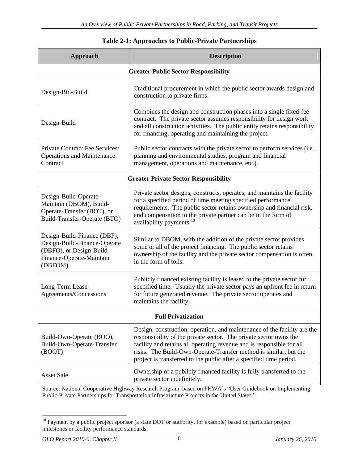| Approach                                                                                                                       | <b>Description</b>                                                                                                                                                                                                                                                                                                                                                |
|--------------------------------------------------------------------------------------------------------------------------------|-------------------------------------------------------------------------------------------------------------------------------------------------------------------------------------------------------------------------------------------------------------------------------------------------------------------------------------------------------------------|
|                                                                                                                                | <b>Greater Public Sector Responsibility</b>                                                                                                                                                                                                                                                                                                                       |
| Design-Bid-Build                                                                                                               | Traditional procurement in which the public sector awards design and<br>construction to private firms.                                                                                                                                                                                                                                                            |
| Design-Build                                                                                                                   | Combines the design and construction phases into a single fixed-fee<br>contract. The private sector assumes responsibility for design work<br>and all construction activities. The public entity retains responsibility<br>for financing, operating and maintaining the project.                                                                                  |
| Private Contract Fee Services/<br><b>Operations and Maintenance</b><br>Contract                                                | Public sector contracts with the private sector to perform services (i.e.,<br>planning and environmental studies, program and financial<br>management, operations and maintenance, etc.).                                                                                                                                                                         |
|                                                                                                                                | <b>Greater Private Sector Responsibility</b>                                                                                                                                                                                                                                                                                                                      |
| Design-Build-Operate-<br>Maintain (DBOM), Build-<br>Operate-Transfer (BOT), or<br>Build-Transfer-Operate (BTO)                 | Private sector designs, constructs, operates, and maintains the facility<br>for a specified period of time meeting specified performance<br>requirements. The public sector retains ownership and financial risk,<br>and compensation to the private partner can be in the form of<br>availability payments. <sup>10</sup>                                        |
| Design-Build-Finance (DBF),<br>Design-Build-Finance-Operate<br>(DBFO), or Design-Build-<br>Finance-Operate-Maintain<br>(DBFOM) | Similar to DBOM, with the addition of the private sector provides<br>some or all of the project financing. The public sector retains<br>ownership of the facility and the private sector compensation is often<br>in the form of tolls.                                                                                                                           |
| Long-Term Lease<br>Agreements/Concessions                                                                                      | Publicly financed existing facility is leased to the private sector for<br>specified time. Usually the private sector pays an upfront fee in return<br>for future generated revenue. The private sector operates and<br>maintains the facility.                                                                                                                   |
|                                                                                                                                | <b>Full Privatization</b>                                                                                                                                                                                                                                                                                                                                         |
| Build-Own-Operate (BOO),<br>Build-Own-Operate-Transfer<br>(BOOT)                                                               | Design, construction, operation, and maintenance of the facility are the<br>responsibility of the private sector. The private sector owns the<br>facility and retains all operating revenue and is responsible for all<br>risks. The Build-Own-Operate-Transfer method is similar, but the<br>project is transferred to the public after a specified time period. |
| <b>Asset Sale</b>                                                                                                              | Ownership of a publicly financed facility is fully transferred to the<br>private sector indefinitely.                                                                                                                                                                                                                                                             |

#### **Table 2-1: Approaches to Public-Private Partnerships**

Source: National Cooperative Highway Research Program, based on FHWA's "User Guidebook on Implementing Public-Private Partnerships for Transportation Infrastructure Projects in the United States."

 $10$  Payment by a public project sponsor (a state DOT or authority, for example) based on particular project milestones or facility performance standards.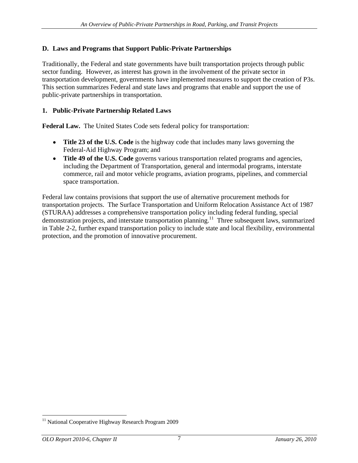#### **D. Laws and Programs that Support Public-Private Partnerships**

Traditionally, the Federal and state governments have built transportation projects through public sector funding. However, as interest has grown in the involvement of the private sector in transportation development, governments have implemented measures to support the creation of P3s. This section summarizes Federal and state laws and programs that enable and support the use of public-private partnerships in transportation.

#### **1. Public-Private Partnership Related Laws**

**Federal Law.** The United States Code sets federal policy for transportation:

- **Title 23 of the U.S. Code** is the highway code that includes many laws governing the Federal-Aid Highway Program; and
- **Title 49 of the U.S. Code** governs various transportation related programs and agencies, including the Department of Transportation, general and intermodal programs, interstate commerce, rail and motor vehicle programs, aviation programs, pipelines, and commercial space transportation.

Federal law contains provisions that support the use of alternative procurement methods for transportation projects. The Surface Transportation and Uniform Relocation Assistance Act of 1987 (STURAA) addresses a comprehensive transportation policy including federal funding, special demonstration projects, and interstate transportation planning.<sup>11</sup> Three subsequent laws, summarized in Table 2-2, further expand transportation policy to include state and local flexibility, environmental protection, and the promotion of innovative procurement.

<sup>&</sup>lt;sup>11</sup> National Cooperative Highway Research Program 2009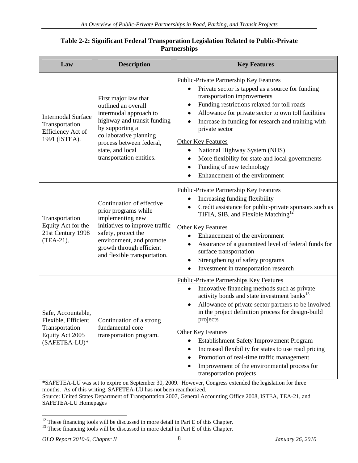| <b>Description</b><br>Law                                                                                                                                                                                                                                                                                   | <b>Key Features</b>                                                                                                                                                                                                                                                                                                                                                                                                                                                                                               |
|-------------------------------------------------------------------------------------------------------------------------------------------------------------------------------------------------------------------------------------------------------------------------------------------------------------|-------------------------------------------------------------------------------------------------------------------------------------------------------------------------------------------------------------------------------------------------------------------------------------------------------------------------------------------------------------------------------------------------------------------------------------------------------------------------------------------------------------------|
| First major law that<br>outlined an overall<br>intermodal approach to<br>Intermodal Surface<br>highway and transit funding<br>Transportation<br>by supporting a<br>Efficiency Act of<br>collaborative planning<br>1991 (ISTEA).<br>process between federal,<br>state, and local<br>transportation entities. | Public-Private Partnership Key Features<br>• Private sector is tapped as a source for funding<br>transportation improvements<br>• Funding restrictions relaxed for toll roads<br>• Allowance for private sector to own toll facilities<br>• Increase in funding for research and training with<br>private sector<br><b>Other Key Features</b><br>• National Highway System (NHS)<br>• More flexibility for state and local governments<br>• Funding of new technology<br>$\bullet$ Enhancement of the environment |
| Continuation of effective<br>prior programs while<br>implementing new<br>Transportation<br>Equity Act for the $\vert$ initiatives to improve traffic $\vert$ Other Key Features<br>21st Century 1998<br>safety, protect the                                                                                 | Public-Private Partnership Key Features<br>• Increasing funding flexibility<br>• Credit assistance for public-private sponsors such as<br>TIFIA, SIB, and Flexible Matching <sup>12</sup><br>• Enhancement of the environment                                                                                                                                                                                                                                                                                     |
| $(TEA-21).$<br>environment, and promote<br>growth through efficient<br>and flexible transportation.                                                                                                                                                                                                         | • Assurance of a guaranteed level of federal funds for<br>surface transportation<br>• Strengthening of safety programs<br>• Investment in transportation research                                                                                                                                                                                                                                                                                                                                                 |
| Safe, Accountable,<br>Flexible, Efficient   Continuation of a strong<br>fundamental core<br>Transportation<br>Equity Act 2005<br>transportation program.<br>$(SAFFTEA-LU)*$                                                                                                                                 | <b>Public-Private Partnerships Key Features</b><br>• Innovative financing methods such as private<br>activity bonds and state investment banks <sup>13</sup><br>• Allowance of private sector partners to be involved<br>in the project definition process for design-build<br>projects<br><b>Other Key Features</b><br>• Establishment Safety Improvement Program<br>• Increased flexibility for states to use road pricing<br>• Promotion of real-time traffic management                                       |

#### **Table 2-2: Significant Federal Transporation Legislation Related to Public-Private Partnerships**

**\***SAFETEA-LU was set to expire on September 30, 2009. However, Congress extended the legislation for three months. As of this writing, SAFETEA-LU has not been reauthorized.

Source: United States Department of Transportation 2007, General Accounting Office 2008, ISTEA, TEA-21, and SAFETEA-LU Homepages

<sup>&</sup>lt;sup>12</sup> These financing tools will be discussed in more detail in Part E of this Chapter.<br><sup>13</sup> These financing tools will be discussed in more detail in Part E of this Chapter.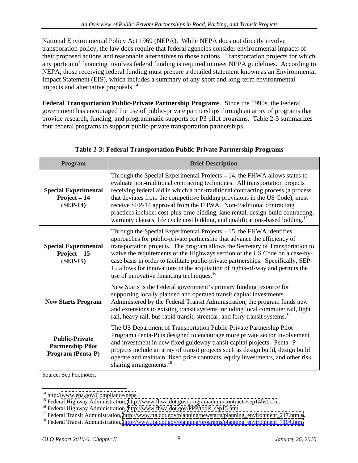National Environmental Policy Act 1969 (NEPA). While NEPA does not directly involve transporation policy, the law does require that federal agencies consider environmental impacts of their proposed actions and reasonable alternatives to those actions. Transportation projects for which any portion of financing involves federal funding is required to meet NEPA guidelines. According to NEPA, those receiving federal funding must prepare a detailed statement known as an Environmental Impact Statement (EIS), which includes a summary of any short and long-term environmental impacts and alternative proposals.<sup>14</sup>

**Federal Transportation Public-Private Partnership Programs**. Since the 1990s, the Federal government has encouraged the use of public-private partnerships through an array of programs that provide research, funding, and programmatic supports for P3 pilot programs. Table 2-3 summarizes four federal programs to support public-private transportation partnerships.

| <b>Program</b>                                                                | <b>Brief Description</b>                                                                                                                                                                                                                                                                                                                                                                                                                                                                                                                                                               |
|-------------------------------------------------------------------------------|----------------------------------------------------------------------------------------------------------------------------------------------------------------------------------------------------------------------------------------------------------------------------------------------------------------------------------------------------------------------------------------------------------------------------------------------------------------------------------------------------------------------------------------------------------------------------------------|
| <b>Special Experimental</b><br>$Project-14$<br>$(SEP-14)$                     | Through the Special Experimental Projects $-14$ , the FHWA allows states to<br>evaluate non-traditional contracting techniques. All transportation projects<br>receiving federal aid in which a non-traditional contracting process (a process<br>that deviates from the competitive bidding provisions in the US Code), must<br>receive SEP-14 approval from the FHWA. Non-traditional contracting<br>practices include: cost-plus-time bidding, lane rental, design-build contracting,<br>warranty clauses, life cycle cost bidding, and qualifications-based bidding. <sup>15</sup> |
| <b>Special Experimental</b><br>$Project-15$<br>$(SEP-15)$                     | Through the Special Experimental Projects $-15$ , the FHWA identifies<br>approaches for public-private partnership that advance the efficiency of<br>transportation projects. The program allows the Secretary of Transportation to<br>waive the requirements of the Highways section of the US Code on a case-by-<br>case basis in order to facilitate public-private partnerships. Specifically, SEP-<br>15 allows for innovations in the acquisition of rights-of-way and permits the<br>use of innovative financing techniques. <sup>16</sup>                                      |
| <b>New Starts Program</b>                                                     | New Starts is the Federal government's primary funding resource for<br>supporting locally planned and operated transit capital investments.<br>Administered by the Federal Transit Administration, the program funds new<br>and extensions to existing transit systems including local commuter rail, light<br>rail, heavy rail, bus rapid transit, streetcar, and ferry transit systems. <sup>17</sup>                                                                                                                                                                                |
| <b>Public-Private</b><br><b>Partnership Pilot</b><br><b>Program (Penta-P)</b> | The US Department of Transportation Public-Private Partnership Pilot<br>Program (Penta-P) is designed to encourage more private sector involvement<br>and investment in new fixed guideway transit capital projects. Penta-P<br>projects include an array of transit projects such as design build, design build<br>operate and maintain, fixed price contracts, equity investments, and other risk<br>sharing arrangements. <sup>18</sup>                                                                                                                                             |
| Source: See Footnotes.                                                        |                                                                                                                                                                                                                                                                                                                                                                                                                                                                                                                                                                                        |

| Table 2-3: Federal Transportation Public-Private Partnership Programs |
|-----------------------------------------------------------------------|
|-----------------------------------------------------------------------|

<sup>&</sup>lt;sup>14</sup> http:/[/www.epa.gov/Compliance/nepa](http://www.epa.gov/Compliance/nepa)<br><sup>15</sup> Federal Highway Administration,<http://www.fhwa.dot.gov/programadmin/contracts/sep14list.cfm>.<br><sup>15</sup> Federal Highway Administration, [http://www.fhwa.dot.gov/PPP/tools\\_sep15.htm](http://www.fhwa.dot.gov/PPP/tools_sep15.htm).<br><sup></sup>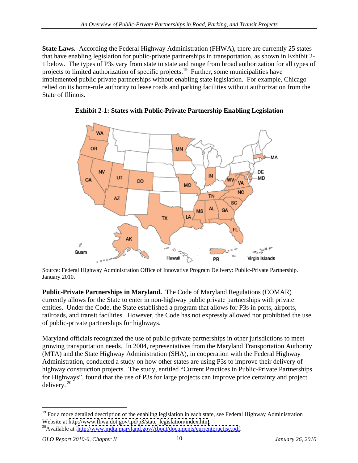**State Laws.** According the Federal Highway Administration (FHWA), there are currently 25 states that have enabling legislation for public-private partnerships in transportation, as shown in Exhibit 2- 1 below. The types of P3s vary from state to state and range from broad authorization for all types of projects to limited authorization of specific projects.<sup>19</sup> Further, some municipalities have implemented public private partnerships without enabling state legislation. For example, Chicago relied on its home-rule authority to lease roads and parking facilities without authorization from the State of Illinois.



**Exhibit 2-1: States with Public-Private Partnership Enabling Legislation**

Source: Federal Highway Administration Office of Innovative Program Delivery: Public-Private Partnership. January 2010.

**Public-Private Partnerships in Maryland.** The Code of Maryland Regulations (COMAR) currently allows for the State to enter in non-highway public private partnerships with private entities. Under the Code, the State established a program that allows for P3s in ports, airports, railroads, and transit facilities. However, the Code has not expressly allowed nor prohibited the use of public-private partnerships for highways.

Maryland officials recognized the use of public-private partnerships in other jurisdictions to meet growing transportation needs. In 2004, representatives from the Maryland Transportation Authority (MTA) and the State Highway Administration (SHA), in cooperation with the Federal Highway Administration, conducted a study on how other states are using P3s to improve their delivery of highway construction projects. The study, entitled "Current Practices in Public-Private Partnerships for Highways", found that the use of P3s for large projects can improve price certainty and project delivery.<sup>20</sup> delivery.  $20$ 

<sup>&</sup>lt;sup>19</sup> For a more detailed description of the enabling legislation in each state, see Federal Highway Administration Website at http://www.fhwa.dot.gov/ipd/p3/state\_legislation/index.htm.

<sup>&</sup>lt;sup>20</sup>Available at [http://www.mdta.maryland.gov/About/documents/currentpractise.pdf.](http://www.mdta.maryland.gov/About/documents/currentpractise.pdf)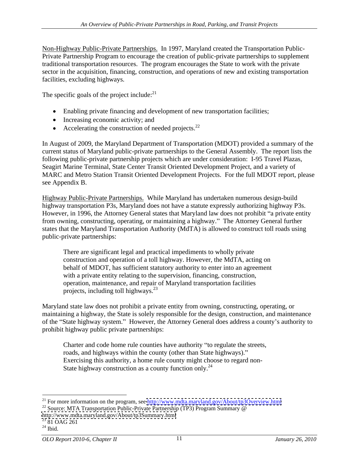Non-Highway Public-Private Partnerships. In 1997, Maryland created the Transportation Public- Private Partnership Program to encourage the creation of public-private partnerships to supplement traditional transportation resources. The program encourages the State to work with the private sector in the acquisition, financing, construction, and operations of new and existing transportation facilities, excluding highways.

The specific goals of the project include: $^{21}$ 

- Enabling private financing and development of new transportation facilities;
- Increasing economic activity; and
- Accelerating the construction of needed projects. $^{22}$

In August of 2009, the Maryland Department of Transportation (MDOT) provided a summary of the current status of Maryland public-private partnerships to the General Assembly. The report lists the following public-private partnership projects which are under consideration: I-95 Travel Plazas, Seagirt Marine Terminal, State Center Transit Oriented Development Project, and a variety of MARC and Metro Station Transit Oriented Development Projects. For the full MDOT report, please see Appendix B.<br>Highway Public-Private Partnerships. While Maryland has undertaken numerous design-build

highway transportation P3s, Maryland does not have a statute expressly authorizing highway P3s. However, in 1996, the Attorney General states that Maryland law does not prohibit "a private entity from owning, constructing, operating, or maintaining a highway. The Attorney General further states that the Maryland Transportation Authority (MdTA) is allowed to construct toll roads using public-private partnerships:

There are significant legal and practical impediments to wholly private construction and operation of a toll highway. However, the MdTA, acting on behalf of MDOT, has sufficient statutory authority to enter into an agreement with a private entity relating to the supervision, financing, construction, operation, maintenance, and repair of Maryland transportation facilities projects, including toll highways. $^{23}$ 

Maryland state law does not prohibit a private entity from owning, constructing, operating, or maintaining a highway, the State is solely responsible for the design, construction, and maintenance of the "State highway system." However, the Attorney General does address a county's authority to prohibit highway public private partnerships:

Charter and code home rule counties have authority "to regulate the streets, roads, and highways within the county (other than State highways)." Exercising this authority, a home rule county might choose to regard non-<br>State highway construction as a county function only.<sup>24</sup>

<sup>&</sup>lt;sup>21</sup> For more information on the program, see <u>http://www.mdta.maryland.gov/About/tp3Overview.html</u> <sup>22</sup> Source: MTA Transportation Public-Private Partnership (TP3) Program Summary @ http://www.mdta.maryland.gov/About/tp3

<http://www.mdta.maryland.gov/About/tp3Summary.html><br><sup>23</sup> 81 OAG 261

 $24$  Ibid.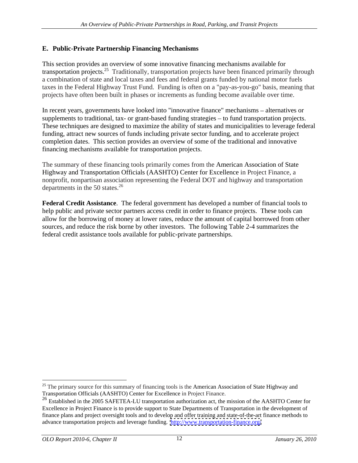#### **E. Public-Private Partnership Financing Mechanisms**

This section provides an overview of some innovative financing mechanisms available for transportation projects.<sup>25</sup> Traditionally, transportation projects have been financed primarily through a combination of state and local taxes and fees and federal grants funded by national motor fuels taxes in the Federal Highway Trust Fund. Funding is often on a "pay-as-you-go" basis, meaning that projects have often been built in phases or increments as funding become available over time.

In recent years, governments have looked into "innovative finance" mechanisms – alternatives or supplements to traditional, tax- or grant-based funding strategies – to fund transportation projects.<br>These techniques are designed to maximize the ability of states and municipalities to leverage federal funding, attract new sources of funds including private sector funding, and to accelerate project completion dates. This section provides an overview of some of the traditional and innovative financing mechanisms available for transportation projects.

The summary of these financing tools primarily comes from the American Association of State Highway and Transportation Officials (AASHTO) Center for Excellence in Project Finance, a nonprofit, nonpartisan association representing the Federal DOT and highway and transportation departments in the 50 states. $2^6$ 

**Federal Credit Assistance**. The federal government has developed a number of financial tools to help public and private sector partners access credit in order to finance projects. These tools can allow for the borrowing of money at lower rates, reduce the amount of capital borrowed from other sources, and reduce the risk borne by other investors. The following Table 2-4 summarizes the federal credit assistance tools available for public-private partnerships.

<sup>&</sup>lt;sup>25</sup> The primary source for this summary of financing tools is the American Association of State Highway and Transportation Officials (AASHTO) Center for Excellence in Project Finance.

<sup>&</sup>lt;sup>26</sup> Established in the 2005 SAFETEA-LU transportation authorization act, the mission of the AASHTO Center for Excellence in Project Finance is to provide support to State Departments of Transportation in the development of finance plans and project oversight tools and to develop and offer training and state-of-the-art finance methods to advance transportation projects and leverage funding. <http://www.transportation-finance.org/>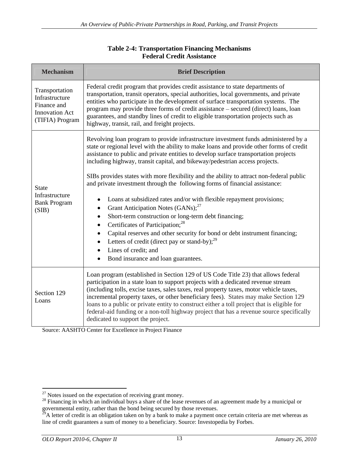| <b>Mechanism</b>                                                                            | <b>Brief Description</b>                                                                                                                                                                                                                                                                                                                                                                                                                                                                                                                                                                                                                                                                                                                                                                                                                                                                                                                                                        |
|---------------------------------------------------------------------------------------------|---------------------------------------------------------------------------------------------------------------------------------------------------------------------------------------------------------------------------------------------------------------------------------------------------------------------------------------------------------------------------------------------------------------------------------------------------------------------------------------------------------------------------------------------------------------------------------------------------------------------------------------------------------------------------------------------------------------------------------------------------------------------------------------------------------------------------------------------------------------------------------------------------------------------------------------------------------------------------------|
| Transportation<br>Infrastructure<br>Finance and<br><b>Innovation Act</b><br>(TIFIA) Program | Federal credit program that provides credit assistance to state departments of<br>transportation, transit operators, special authorities, local governments, and private<br>entities who participate in the development of surface transportation systems. The<br>program may provide three forms of credit assistance - secured (direct) loans, loan<br>guarantees, and standby lines of credit to eligible transportation projects such as<br>highway, transit, rail, and freight projects.                                                                                                                                                                                                                                                                                                                                                                                                                                                                                   |
| State<br>Infrastructure<br><b>Bank Program</b><br>(SIB)                                     | Revolving loan program to provide infrastructure investment funds administered by a<br>state or regional level with the ability to make loans and provide other forms of credit<br>assistance to public and private entities to develop surface transportation projects<br>including highway, transit capital, and bikeway/pedestrian access projects.<br>SIBs provides states with more flexibility and the ability to attract non-federal public<br>and private investment through the following forms of financial assistance:<br>• Loans at subsidized rates and/or with flexible repayment provisions;<br>• Grant Anticipation Notes $(GANs)$ ; <sup>27</sup><br>• Short-term construction or long-term debt financing;<br>• Certificates of Participation; $28$<br>• Capital reserves and other security for bond or debt instrument financing;<br>• Letters of credit (direct pay or stand-by); $2^9$<br>• Lines of credit: and<br>• Bond insurance and loan guarantees. |
| Section 129<br>Loans                                                                        | Loan program (established in Section 129 of US Code Title 23) that allows federal<br>participation in a state loan to support projects with a dedicated revenue stream<br>(including tolls, excise taxes, sales taxes, real property taxes, motor vehicle taxes,<br>incremental property taxes, or other beneficiary fees). States may make Section 129<br>loans to a public or private entity to construct either a toll project that is eligible for<br>federal-aid funding or a non-toll highway project that has a revenue source specifically<br>dedicated to support the project.                                                                                                                                                                                                                                                                                                                                                                                         |

#### **Table 2-4: Transportation Financing Mechanisms Federal Credit Assistance**

Source: AASHTO Center for Excellence in Project Finance

<sup>&</sup>lt;sup>27</sup> Notes issued on the expectation of receiving grant money.<br><sup>28</sup> Financing in which an individual buys a share of the lease revenues of an agreement made by a municipal or governmental entity, rather than the bond being secured by those revenues.

<sup>&</sup>lt;sup>29</sup>A letter of credit is an obligation taken on by a bank to make a payment once certain criteria are met whereas as line of credit guarantees a sum of money to a beneficiary. Source: Investopedia by Forbes.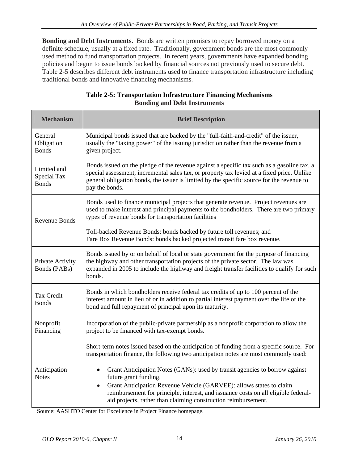**Bonding and Debt Instruments.** Bonds are written promises to repay borrowed money on a definite schedule, usually at a fixed rate. Traditionally, government bonds are the most commonly used method to fund transportation projects. In recent years, governments have expanded bonding policies and begun to issue bonds backed by financial sources not previously used to secure debt. Table 2-5 describes different debt instruments used to finance transportation infrastructure including traditional bonds and innovative financing mechanisms.

| <b>Mechanism</b>                           | <b>Brief Description</b>                                                                                                                                                                                                                                                                                                                                                                                                                                                                                                    |
|--------------------------------------------|-----------------------------------------------------------------------------------------------------------------------------------------------------------------------------------------------------------------------------------------------------------------------------------------------------------------------------------------------------------------------------------------------------------------------------------------------------------------------------------------------------------------------------|
| General<br>Obligation<br><b>Bonds</b>      | Municipal bonds issued that are backed by the "full-faith-and-credit" of the issuer,<br>usually the "taxing power" of the issuing jurisdiction rather than the revenue from a<br>given project.                                                                                                                                                                                                                                                                                                                             |
| Limited and<br>Special Tax<br><b>Bonds</b> | Bonds issued on the pledge of the revenue against a specific tax such as a gasoline tax, a<br>special assessment, incremental sales tax, or property tax levied at a fixed price. Unlike<br>general obligation bonds, the issuer is limited by the specific source for the revenue to<br>pay the bonds.                                                                                                                                                                                                                     |
| <b>Revenue Bonds</b>                       | Bonds used to finance municipal projects that generate revenue. Project revenues are<br>used to make interest and principal payments to the bondholders. There are two primary<br>types of revenue bonds for transportation facilities<br>Toll-backed Revenue Bonds: bonds backed by future toll revenues; and<br>Fare Box Revenue Bonds: bonds backed projected transit fare box revenue.                                                                                                                                  |
| Private Activity<br>Bonds (PABs)           | Bonds issued by or on behalf of local or state government for the purpose of financing<br>the highway and other transportation projects of the private sector. The law was<br>expanded in 2005 to include the highway and freight transfer facilities to qualify for such<br>bonds.                                                                                                                                                                                                                                         |
| Tax Credit<br><b>Bonds</b>                 | Bonds in which bondholders receive federal tax credits of up to 100 percent of the<br>interest amount in lieu of or in addition to partial interest payment over the life of the<br>bond and full repayment of principal upon its maturity.                                                                                                                                                                                                                                                                                 |
| Nonprofit<br>Financing                     | Incorporation of the public-private partnership as a nonprofit corporation to allow the<br>project to be financed with tax-exempt bonds.                                                                                                                                                                                                                                                                                                                                                                                    |
| Anticipation<br><b>Notes</b>               | Short-term notes issued based on the anticipation of funding from a specific source. For<br>transportation finance, the following two anticipation notes are most commonly used:<br>• Grant Anticipation Notes (GANs): used by transit agencies to borrow against<br>future grant funding.<br>• Grant Anticipation Revenue Vehicle (GARVEE): allows states to claim<br>reimbursement for principle, interest, and issuance costs on all eligible federal-<br>aid projects, rather than claiming construction reimbursement. |

#### **Table 2-5: Transportation Infrastructure Financing Mechanisms Bonding and Debt Instruments**

Source: AASHTO Center for Excellence in Project Finance homepage.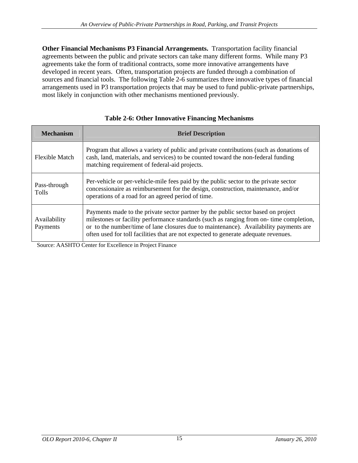**Other Financial Mechanisms P3 Financial Arrangements.** Transportation facility financial agreements between the public and private sectors can take many different forms. While many P3 agreements take the form of traditional contracts, some more innovative arrangements have developed in recent years. Often, transportation projects are funded through a combination of sources and financial tools. The following Table 2-6 summarizes three innovative types of financial arrangements used in P3 transportation projects that may be used to fund public-private partnerships, most likely in conjunction with other mechanisms mentioned previously.

| <b>Mechanism</b>         | <b>Brief Description</b>                                                                                                                                                                                                                                                                                                                                     |
|--------------------------|--------------------------------------------------------------------------------------------------------------------------------------------------------------------------------------------------------------------------------------------------------------------------------------------------------------------------------------------------------------|
| Flexible Match           | Program that allows a variety of public and private contributions (such as donations of<br>cash, land, materials, and services) to be counted toward the non-federal funding<br>matching requirement of federal-aid projects.                                                                                                                                |
| Pass-through<br>Tolls    | Per-vehicle or per-vehicle-mile fees paid by the public sector to the private sector<br>concessionaire as reimbursement for the design, construction, maintenance, and/or<br>operations of a road for an agreed period of time.                                                                                                                              |
| Availability<br>Payments | Payments made to the private sector partner by the public sector based on project<br>milestones or facility performance standards (such as ranging from on- time completion,<br>or to the number/time of lane closures due to maintenance). Availability payments are<br>often used for toll facilities that are not expected to generate adequate revenues. |

#### **Table 2-6: Other Innovative Financing Mechanisms**

Source: AASHTO Center for Excellence in Project Finance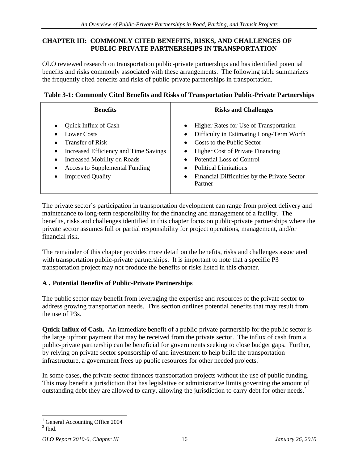#### **CHAPTER III: COMMONLY CITED BENEFITS, RISKS, AND CHALLENGES OF PUBLIC-PRIVATE PARTNERSHIPS IN TRANSPORTATION**

OLO reviewed research on transportation public-private partnerships and has identified potential benefits and risks commonly associated with these arrangements. The following table summarizes the frequently cited benefits and risks of public-private partnerships in transportation.

| Table 3-1: Commonly Cited Benefits and Risks of Transportation Public-Private Partner | . .nerships |
|---------------------------------------------------------------------------------------|-------------|
|                                                                                       |             |

| <b>Benefits</b>                         | <b>Risks and Challenges</b>                  |
|-----------------------------------------|----------------------------------------------|
| $\bullet$ Quick Influx of Cash          | Higher Rates for Use of Transportation       |
| • Lower Costs                           | Difficulty in Estimating Long-Term Worth     |
| $\bullet$ Transfer of Risk              | Costs to the Public Sector                   |
| • Increased Efficiency and Time Savings | Higher Cost of Private Financing             |
| • Increased Mobility on Roads           | Potential Loss of Control                    |
| • Access to Supplemental Funding        | <b>Political Limitations</b>                 |
| • Improved Quality                      | Financial Difficulties by the Private Sector |
|                                         | Partner                                      |

The private sector's participation in transportation development can range from project delivery and maintenance to long-term responsibility for the financing and management of a facility. The benefits, risks and challenges identified in this chapter focus on public-private partnerships where the private sector assumes full or partial responsibility for project operations, management, and/or financial risk.

The remainder of this chapter provides more detail on the benefits, risks and challenges associated with transportation public-private partnerships. It is important to note that a specific P3 transportation project may not produce the benefits or risks listed in this chapter.

#### **A . Potential Benefits of Public-Private Partnerships**

The public sector may benefit from leveraging the expertise and resources of the private sector to address growing transportation needs. This section outlines potential benefits that may result from the use of P3s.

**Quick Influx of Cash.** An immediate benefit of a public-private partnership for the public sector is the large upfront payment that may be received from the private sector. The influx of cash from a public-private partnership can be beneficial for governments seeking to close budget gaps. Further, by relying on private sector sponsorship of and investment to help build the transportation infrastructure, a government frees up public resources for other needed projects.<sup>1</sup>

In some cases, the private sector finances transportation projects without the use of public funding. This may benefit a jurisdiction that has legislative or administrative limits governing the amount of outstanding debt they are allowed to carry, allowing the jurisdiction to carry debt for other needs.<sup>2</sup>

<sup>&</sup>lt;sup>1</sup> General Accounting Office 2004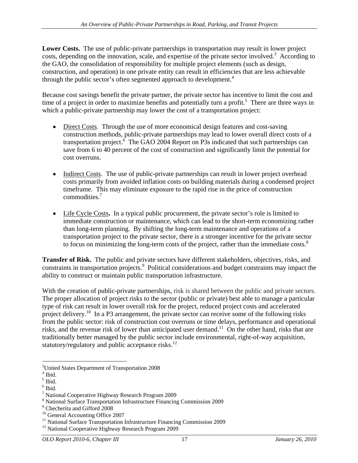**Lower Costs.** The use of public-private partnerships in transportation may result in lower project costs, depending on the innovation, scale, and expertise of the private sector involved.<sup>3</sup> According to According to the GAO, the consolidation of responsibility for multiple project elements (such as design, construction, and operation) in one private entity can result in efficiencies that are less achievable through the public sector's often segmented approach to development.<sup>4</sup>

Because cost savings benefit the private partner, the private sector has incentive to limit the cost and time of a project in order to maximize benefits and potentially turn a profit.<sup>5</sup> There are three ways in which a public-private partnership may lower the cost of a transportation project:

- $\bullet$ Direct Costs. Through the use of more economical design features and cost-saving construction methods, public-private partnerships may lead to lower overall direct costs of a transportation project.  $\overline{6}$  The GAO 2004 Report on P3s indicated that such partnerships can save from 6 to 40 percent of the cost of construction and significantly limit the potential for cost overruns.
- Indirect Costs. The use of public-private partnerships can result in lower project overhead costs primarily from avoided inflation costs on building materials during a condensed project timeframe. This may eliminate exposure to the rapid rise in the price of construction  $commodities.<sup>7</sup>$
- Life Cycle Costs. In a typical public procurement, the private sector's role is limited to immediate construction or maintenance, which can lead to the short-term economizing rather than long-term planning. By shifting the long-term maintenance and operations of a transportation project to the private sector, there is a stronger incentive for the private sector to focus on minimizing the long-term costs of the project, rather than the immediate costs. $8$

**Transfer of Risk.** The public and private sectors have different stakeholders, objectives, risks, and constraints in transportation projects.<sup>9</sup> Political considerations and budget constraints may impact the

ability to construct or maintain public transportation infrastructure.<br>With the creation of public-private partnerships, risk is shared between the public and private sectors.<br>The proper allocation of project risks to the type of risk can result in lower overall risk for the project, reduced project costs and accelerated project delivery.<sup>10</sup> In a P3 arrangement, the private sector can receive some of the following risks from the public sector: risk of construction cost overruns or time delays, performance and operational risks, and the revenue risk of lower than anticipated user demand.<sup>11</sup> On the other hand, risks that are traditionally better managed by the public sector include environmental, right-of-way acquisition, statutory/regulatory and public acceptance risks.<sup>12</sup>

 <sup>3</sup>United States Department of Transportation 2008  $4 \text{Hid}$ 

 $\frac{4 \text{ Did}}{5 \text{ Find}}$ 

 $\frac{1}{2}$  Ibid.<br> $\frac{6}{1}$  Ibid.

<sup>&</sup>lt;sup>6</sup> Ibid.<br><sup>7</sup> National Cooperative Highway Becoreh Program 2000.  $7$  National Cooperative Highway Research Program 2009

<sup>8</sup> National Surface Transportation Infrastructure Financing Commission 2009

<sup>&</sup>lt;sup>9</sup> Checherita and Gifford 2008<br><sup>10</sup> General Accounting Office 2007

<sup>&</sup>lt;sup>11</sup> National Surface Transportation Infrastructure Financing Commission 2009

<sup>&</sup>lt;sup>12</sup> National Cooperative Highway Research Program 2009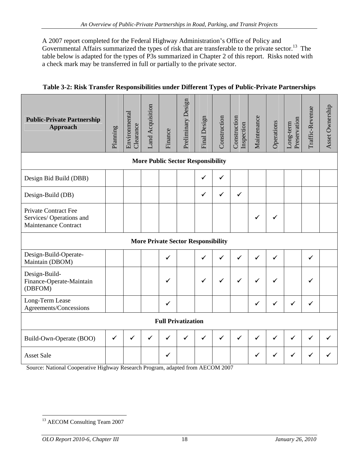A 2007 report completed for the Federal Highway Administration's Office of Policy and Governmental Affairs summarized the types of risk that are transferable to the private sector.<sup>13</sup> The table below is adapted for the types of P3s summarized in Chapter 2 of this report. Risks noted with a check mark may be transferred in full or partially to the private sector.

| 3-2: Risk Transfer Responsibilities under Different Types of Public-Private Partnerships<br><b>Table 3-2:</b> |  |  |
|---------------------------------------------------------------------------------------------------------------|--|--|
|                                                                                                               |  |  |

| <b>Public-Private Partnership</b><br>Approach                                  |                                                     |                                           | $\Box$                    |                                                                                            | $\sqrt{5}$   |                           |                                                     |                              | $\circ$      |
|--------------------------------------------------------------------------------|-----------------------------------------------------|-------------------------------------------|---------------------------|--------------------------------------------------------------------------------------------|--------------|---------------------------|-----------------------------------------------------|------------------------------|--------------|
|                                                                                |                                                     | <b>More Public Sector Responsibility</b>  |                           |                                                                                            |              |                           |                                                     |                              |              |
| Design Bid Build (DBB)                                                         |                                                     |                                           |                           | $\checkmark$                                                                               |              |                           |                                                     |                              |              |
| Design-Build (DB)                                                              |                                                     |                                           |                           | $\checkmark$ $\checkmark$ $\checkmark$ $\checkmark$                                        | $\checkmark$ |                           |                                                     |                              |              |
| <b>Private Contract Fee</b><br>Services/Operations and<br>Maintenance Contract |                                                     |                                           |                           |                                                                                            |              | $\checkmark$              | $\checkmark$                                        |                              |              |
|                                                                                |                                                     | <b>More Private Sector Responsibility</b> |                           |                                                                                            |              |                           |                                                     |                              |              |
| Design-Build-Operate-<br>Maintain (DBOM)                                       |                                                     |                                           |                           | $\checkmark$<br>$\checkmark$                                                               | $\checkmark$ | $\checkmark$              | $\checkmark$                                        | $\checkmark$                 |              |
| Design-Build-<br>Finance-Operate-Maintain<br>(DBFOM)                           |                                                     | $\checkmark$                              |                           | $\checkmark$ $\checkmark$ $\checkmark$ $\checkmark$ $\checkmark$ $\checkmark$              |              | $\checkmark$ $\checkmark$ |                                                     | $\checkmark$                 |              |
| Long-Term Lease<br>Agreements/Concessions                                      |                                                     | $\checkmark$                              |                           |                                                                                            |              | $\checkmark$              | $\checkmark$ $\checkmark$ $\checkmark$ $\checkmark$ | $\checkmark$                 |              |
|                                                                                |                                                     |                                           | <b>Full Privatization</b> |                                                                                            |              |                           |                                                     |                              |              |
| Build-Own-Operate (BOO)                                                        | $\vert \checkmark \vert \checkmark$<br>$\checkmark$ | $\checkmark$                              |                           | $\checkmark$ $\checkmark$ $\checkmark$ $\checkmark$ $\checkmark$ $\checkmark$ $\checkmark$ |              | $\checkmark$              | $\vert \checkmark \vert$                            | $\checkmark$<br>$\checkmark$ | $\checkmark$ |
| <b>Asset Sale</b>                                                              |                                                     |                                           |                           |                                                                                            |              | $\checkmark$              |                                                     |                              | $\checkmark$ |

Source: National Cooperative Highway Research Program, adapted from AECOM 2007

<sup>&</sup>lt;sup>13</sup> AECOM Consulting Team 2007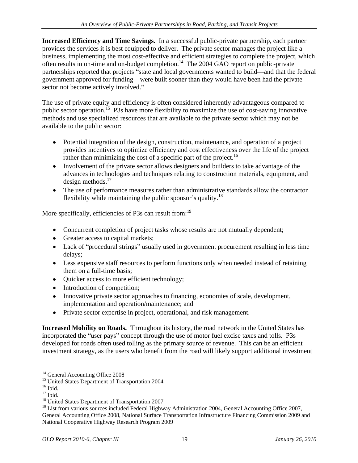**Increased Efficiency and Time Savings.** In a successful public-private partnership, each partner provides the services it is best equipped to deliver. The private sector manages the project like a business, implementing the most cost-effective and efficient strategies to complete the project, which often results in on-time and on-budget completion.<sup>14</sup> The 2004 GAO report on public-private partnerships reported that projects "state and local governments wanted to build—and that the federal government approved for funding—were built sooner than they would have been had the private sector not become actively involved."

The use of private equity and efficiency is often considered inherently advantageous compared to public sector operation.<sup>15</sup> P3s have more flexibility to maximize the use of cost-saving innovative methods and use specialized resources that are available to the private sector which may not be available to the public sector:

- Potential integration of the design, construction, maintenance, and operation of a project provides incentives to optimize efficiency and cost effectiveness over the life of the project rather than minimizing the cost of a specific part of the project.<sup>16</sup>
- Involvement of the private sector allows designers and builders to take advantage of the advances in technologies and techniques relating to construction materials, equipment, and  $\frac{1}{2}$  design methods.<sup>17</sup> design methods.<sup>17</sup><br>• The use of performance measures rather than administrative standards allow the contractor
- flexibility while maintaining the public sponsor's quality.<sup>18</sup>

More specifically, efficiencies of P3s can result from:<sup>19</sup>

- Concurrent completion of project tasks whose results are not mutually dependent;
- Greater access to capital markets;
- Lack of "procedural strings" usually used in government procurement resulting in less time delays;
- Less expensive staff resources to perform functions only when needed instead of retaining them on a full-time basis;
- Quicker access to more efficient technology;
- Introduction of competition;
- Innovative private sector approaches to financing, economies of scale, development, implementation and operation/maintenance; and
- Private sector expertise in project, operational, and risk management.

**Increased Mobility on Roads.** Throughout its history, the road network in the United States has incorporated the "user pays" concept through the use of motor fuel excise taxes and tolls. P3s developed for roads often used tolling as the primary source of revenue. This can be an efficient investment strategy, as the users who benefit from the road will likely support additional investment

<sup>&</sup>lt;sup>14</sup> General Accounting Office 2008

<sup>&</sup>lt;sup>15</sup> United States Department of Transportation 2004<sup>16</sup> Ibid.

<sup>&</sup>lt;sup>16</sup> Ibid.<br><sup>17</sup> Ibid.<br><sup>18</sup> United States Department of Transportation 2007

<sup>&</sup>lt;sup>18</sup> United States Department of Transportation 2007<br><sup>19</sup> List from various sources included Federal Highway Administration 2004, General Accounting Office 2007, General Accounting Office 2008, National Surface Transportation Infrastructure Financing Commission 2009 and National Cooperative Highway Research Program 2009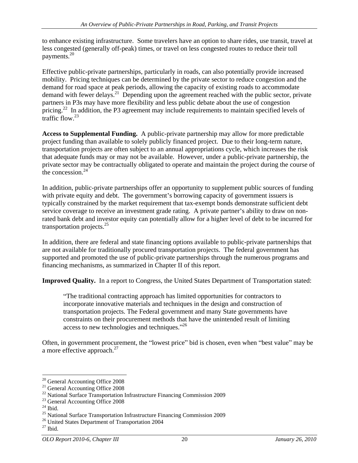to enhance existing infrastructure. Some travelers have an option to share rides, use transit, travel at less congested (generally off-peak) times, or travel on less congested routes to reduce their toll payments.<sup>20</sup> payments.<sup>20</sup>

Effective public-private partnerships, particularly in roads, can also potentially provide increased mobility. Pricing techniques can be determined by the private sector to reduce congestion and the demand for road space at peak periods, allowing the capacity of existing roads to accommodate demand with fewer delays.<sup>21</sup> Depending upon the agreement reached with the public sector, private partners in P3s may have more flexibility and less public debate about the use of congestion pricing.<sup>22</sup> In addition, the P3 agreement may include requirements to maintain specified levels of traffic flow.<sup>23</sup> traffic flow  $^{23}$ 

**Access to Supplemental Funding.** A public-private partnership may allow for more predictable project funding than available to solely publicly financed project. Due to their long-term nature, transportation projects are often subject to an annual appropriations cycle, which increases the risk that adequate funds may or may not be available. However, under a public-private partnership, the private sector may be contractually obligated to operate and maintain the project during the course of the concession. $^{24}$ 

In addition, public-private partnerships offer an opportunity to supplement public sources of funding with private equity and debt. The government's borrowing capacity of government issuers is typically constrained by the market requirement that tax-exempt bonds demonstrate sufficient debt service coverage to receive an investment grade rating. A private partner's ability to draw on nonrated bank debt and investor equity can potentially allow for a higher level of debt to be incurred for transportation projects.<sup>25</sup> and the set of the set of the set of the set of the set of the set of the set of the set of the set of the set of the set of the set of the set of the set of the set of the set of the set of th

In addition, there are federal and state financing options available to public-private partnerships that are not available for traditionally procured transportation projects. The federal government has supported and promoted the use of public-private partnerships through the numerous programs and financing mechanisms, as summarized in Chapter II of this report.

**Improved Quality.** In a report to Congress, the United States Department of Transportation stated:

The traditional contracting approach has limited opportunities for contractors to incorporate innovative materials and techniques in the design and construction of transportation projects. The Federal government and many State governments have constraints on their procurement methods that have the unintended result of limiting access to new technologies and techniques."<sup>26</sup>

Often, in government procurement, the "lowest price" bid is chosen, even when "best value" may be a more effective approach.<sup>27</sup> a more effective approach. $27$ 

<sup>&</sup>lt;sup>20</sup> General Accounting Office 2008

<sup>&</sup>lt;sup>21</sup> General Accounting Office 2008

<sup>&</sup>lt;sup>22</sup> National Surface Transportation Infrastructure Financing Commission 2009

 $^{23}$  General Accounting Office 2008<br><sup>24</sup> Ibid.

 $25$  National Surface Transportation Infrastructure Financing Commission 2009

<sup>&</sup>lt;sup>26</sup> United States Department of Transportation 2004

 $27$  Ibid.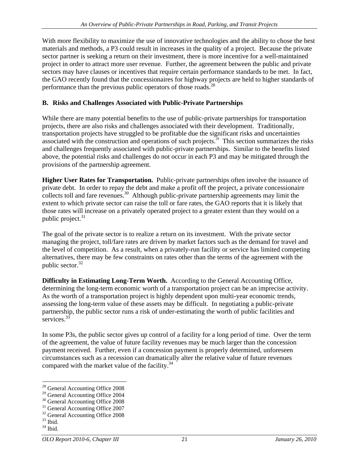With more flexibility to maximize the use of innovative technologies and the ability to chose the best materials and methods, a P3 could result in increases in the quality of a project. Because the private sector partner is seeking a return on their investment, there is more incentive for a well-maintained project in order to attract more user revenue. Further, the agreement between the public and private sectors may have clauses or incentives that require certain performance standards to be met. In fact, the GAO recently found that the concessionaires for highway projects are held to higher standards of performance than the previous public operators of those roads.<sup>28</sup>

#### **B. Risks and Challenges Associated with Public-Private Partnerships**

While there are many potential benefits to the use of public-private partnerships for transportation projects, there are also risks and challenges associated with their development. Traditionally, transportation projects have struggled to be profitable due the significant risks and uncertainties associated with the construction and operations of such projects.<sup>29</sup> This section summarizes the risks and challenges frequently associated with public-private partnerships. Similar to the benefits listed above, the potential risks and challenges do not occur in each P3 and may be mitigated through the provisions of the partnership agreement.

**Higher User Rates for Transportation.** Public-private partnerships often involve the issuance of private debt. In order to repay the debt and make a profit off the project, a private concessionaire collects toll and fare revenues.<sup>30</sup> Although public-private partnership agreements may limit the extent to which private sector can raise the toll or fare rates, the GAO reports that it is likely that those rates will increase on a privately operated project to a greater extent than they would on a public project.<sup>31</sup> public project.<sup>31</sup>

The goal of the private sector is to realize a return on its investment. With the private sector managing the project, toll/fare rates are driven by market factors such as the demand for travel and the level of competition. As a result, when a privately-run facility or service has limited competing alternatives, there may be few constraints on rates other than the terms of the agreement with the public sector.<sup>32</sup>

**Difficulty in Estimating Long-Term Worth.** According to the General Accounting Office, determining the long-term economic worth of a transportation project can be an imprecise activity.<br>As the worth of a transportation project is highly dependent upon multi-year economic trends,<br>assessing the long-term value partnership, the public sector runs a risk of under-estimating the worth of public facilities and services.<sup>33</sup>  $\text{series}^{\frac{33}{2}}$ 

In some P3s, the public sector gives up control of a facility for a long period of time. Over the term of the agreement, the value of future facility revenues may be much larger than the concession payment received. Further, even if a concession payment is properly determined, unforeseen circumstances such as a recession can dramatically alter the relative value of future revenues compared with the market value of the facility.<sup>34</sup>

<sup>&</sup>lt;sup>28</sup> General Accounting Office 2008

<sup>29</sup> General Accounting Office 2004

<sup>30</sup> General Accounting Office 2008

<sup>&</sup>lt;sup>31</sup> General Accounting Office 2007

 $32$  General Accounting Office 2008<br> $33$  Ibid.  $33 \text{ Ibid.}$ <br> $34 \text{ Ibid.}$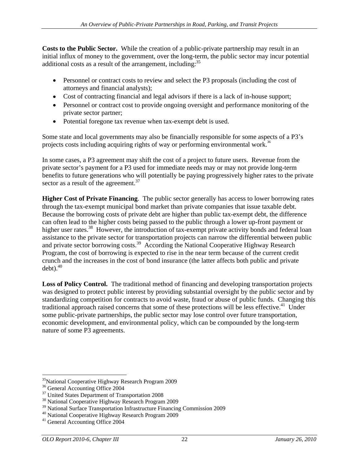**Costs to the Public Sector.** While the creation of a public-private partnership may result in an initial influx of money to the government, over the long-term, the public sector may incur potential additional costs as a result of the arrangement, including:  $35$ 

- Personnel or contract costs to review and select the P3 proposals (including the cost of attorneys and financial analysts);
- Cost of contracting financial and legal advisors if there is a lack of in-house support;
- Personnel or contract cost to provide ongoing oversight and performance monitoring of the private sector partner;
- Potential foregone tax revenue when tax-exempt debt is used.

Some state and local governments may also be financially responsible for some aspects of a P3's projects costs including acquiring rights of way or performing environmental work.<sup>36</sup>

In some cases, a P3 agreement may shift the cost of a project to future users. Revenue from the private sector's payment for a P3 used for immediate needs may or may not provide long-term benefits to future generations who will potentially be paying progressively higher rates to the private sector as a result of the agreement.<sup>37</sup>

**Higher Cost of Private Financing**. The public sector generally has access to lower borrowing rates through the tax-exempt municipal bond market than private companies that issue taxable debt. Because the borrowing costs of private debt are higher than public tax-exempt debt, the difference can often lead to the higher costs being passed to the public through a lower up-front payment or higher user rates.<sup>38</sup> However, the introduction of tax-exempt private activity bonds and federal loan assistance to the private sector for transportation projects can narrow the differential between public and private sector borrowing costs.<sup>39</sup> According the National Cooperative Highway Research Program, the cost of borrowing is expected to rise in the near term because of the current credit crunch and the increases in the cost of bond insurance (the latter affects both public and private debt).<sup>40</sup>  $debt$ ).<sup>40</sup>

**Loss of Policy Control.** The traditional method of financing and developing transportation projects was designed to protect public interest by providing substantial oversight by the public sector and by standardizing competition for contracts to avoid waste, fraud or abuse of public funds. Changing this traditional approach raised concerns that some of these protections will be less effective.<sup>41</sup> Under Under some public-private partnerships, the public sector may lose control over future transportation, economic development, and environmental policy, which can be compounded by the long-term nature of some P3 agreements.

<sup>&</sup>lt;sup>35</sup>National Cooperative Highway Research Program 2009

<sup>&</sup>lt;sup>36</sup> General Accounting Office 2004

<sup>&</sup>lt;sup>37</sup> United States Department of Transportation 2008

<sup>38</sup> National Cooperative Highway Research Program 2009

<sup>&</sup>lt;sup>39</sup> National Surface Transportation Infrastructure Financing Commission 2009

<sup>40</sup> National Cooperative Highway Research Program 2009

<sup>41</sup> General Accounting Office 2004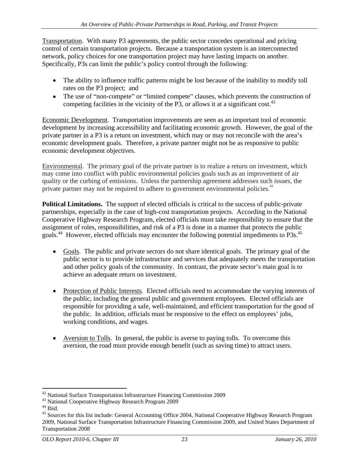Transportation. With many P3 agreements, the public sector concedes operational and pricing control of certain transportation projects. Because a transportation system is an interconnected network, policy choices for one transportation project may have lasting impacts on another. Specifically, P3s can limit the public's policy control through the following:

- The ability to influence traffic patterns might be lost because of the inability to modify toll rates on the P3 project; and
- $\bullet$  The use of "non-compete" or "limited compete" clauses, which prevents the construction of competing facilities in the vicinity of the P3, or allows it at a significant cost.<sup>42</sup>

Economic Development. Transportation improvements are seen as an important tool of economic development by increasing accessibility and facilitating economic growth. However, the goal of the private partner in a P3 is a return on investment, which may or may not reconcile with the area's economic development goals. Therefore, a private partner might not be as responsive to public economic development objectives.

Environmental. The primary goal of the private partner is to realize a return on investment, which may come into conflict with public environmental policies goals such as an improvement of air quality or the curbing of emissions. Unless the partnership agreement addresses such issues, the private partner may not be required to adhere to government environmental policies.<sup>43</sup>

**Political Limitations.** The support of elected officials is critical to the success of public-private partnerships, especially in the case of high-cost transportation projects. According to the National Cooperative Highway Research Program, elected officials must take responsibility to ensure that the assignment of roles, responsibilities, and risk of a P3 is done in a manner that protects the public goals.<sup>44</sup> However, elected officials may encounter the following potential impediments to P3s.<sup>45</sup>

- Goals. The public and private sectors do not share identical goals. The primary goal of the public sector is to provide infrastructure and services that adequately meets the transportation and other policy goals of the community. In contrast, the private sector's main goal is to achieve an adequate return on investment.
- Protection of Public Interests. Elected officials need to accommodate the varying interests of the public, including the general public and government employees. Elected officials are responsible for providing a safe, well-maintained, and efficient transportation for the good of the public. In addition, officials must be responsive to the effect on employees' jobs, working conditions, and wages.
- Aversion to Tolls. In general, the public is averse to paying tolls. To overcome this aversion, the road must provide enough benefit (such as saving time) to attract users.

 <sup>42</sup> National Surface Transportation Infrastructure Financing Commission 2009

 $^{43}$  National Cooperative Highway Research Program 2009  $^{44}$  Ibid.

<sup>&</sup>lt;sup>45</sup> Sources for this list include: General Accounting Office 2004, National Cooperative Highway Research Program 2009, National Surface Transportation Infrastructure Financing Commission 2009, and United States Department of Transportation 2008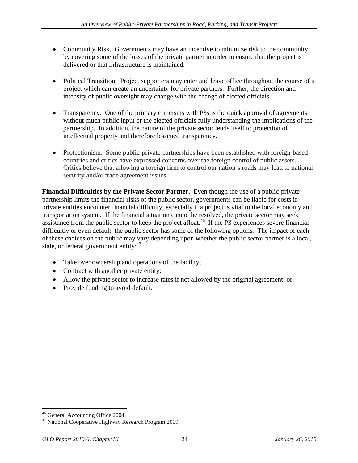- Community Risk. Governments may have an incentive to minimize risk to the community by covering some of the losses of the private partner in order to ensure that the project is delivered or that infrastructure is maintained.<br>• Political Transition. Project supporters may enter and leave office throughout the course of a
- project which can create an uncertainty for private partners. Further, the direction and intensity of public oversight may change with the change of elected officials.<br>• Transparency. One of the primary criticisms with P3s is the quick approval of agreements
- without much public input or the elected officials fully understanding the implications of the partnership. In addition, the nature of the private sector lends itself to protection of intellectual property and therefore lessened transparency.
- Protectionism. Some public-private partnerships have been established with foreign-based countries and critics have expressed concerns over the foreign control of public assets. Critics believe that allowing a foreign firm to control our nation s roads may lead to national security and/or trade agreement issues.

**Financial Difficulties by the Private Sector Partner.** Even though the use of apublic-private partnership limits the financial risks of the public sector, governments can be liable for costs if private entities encounter financial difficulty, especially if a project is vital to the local economy and transportation system. If the financial situation cannot be resolved, the private sector may seek assistance from the public sector to keep the project afloat.<sup>46</sup> If the P3 experiences severe financial difficultly or even default, the public sector has some of the following options. The impact of each of these choices on the public may vary depending upon whether the public sector partner is a local, state, or federal government entity: $47$ 

- Take over ownership and operations of the facility;
- Contract with another private entity;
- Allow the private sector to increase rates if not allowed by the original agreement; or
- Provide funding to avoid default.

 <sup>46</sup> General Accounting Office 2004

<sup>&</sup>lt;sup>47</sup> National Cooperative Highway Research Program 2009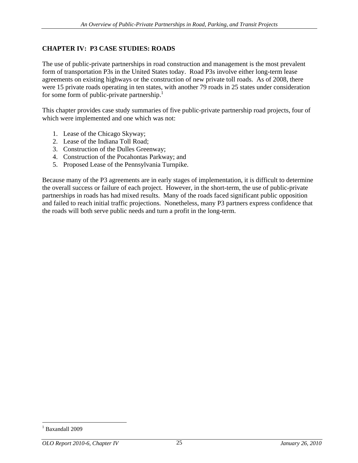#### **CHAPTER IV: P3 CASE STUDIES: ROADS**

The use of public-private partnerships in road construction and management is the most prevalent form of transportation P3s in the United States today. Road P3s involve either long-term lease agreements on existing highways or the construction of new private toll roads. As of 2008, there were 15 private roads operating in ten states, with another 79 roads in 25 states under consideration for some form of public-private partnership.<sup>1</sup>

This chapter provides case study summaries of five public-private partnership road projects, four of which were implemented and one which was not:

- 1. Lease of the Chicago Skyway;
- 2. Lease of the Indiana Toll Road;
- 3. Construction of the Dulles Greenway;
- 4. Construction of the Pocahontas Parkway; and
- 5. Proposed Lease of the Pennsylvania Turnpike.

Because many of the P3 agreements are in early stages of implementation, it is difficult to determine the overall success or failure of each project. However, in the short-term, the use of public-private partnerships in roads has had mixed results. Many of the roads faced significant public opposition and failed to reach initial traffic projections. Nonetheless, many P3 partners express confidence that the roads will both serve public needs and turn a profit in the long-term.

 <sup>1</sup> Baxandall 2009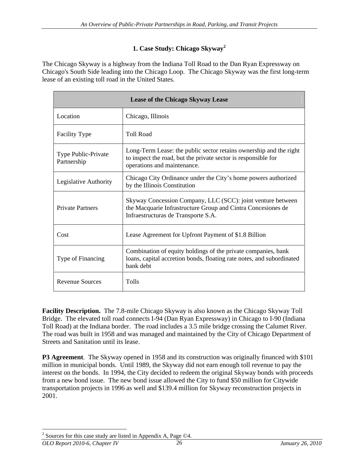#### **1. Case Study: Chicago Skyway<sup>2</sup>**

The Chicago Skyway is a highway from the Indiana Toll Road to the Dan Ryan Expressway on Chicago's South Side leading into the Chicago Loop. The Chicago Skyway was the first long-term lease of an existing toll road in the United States.

|                                    | Lease of the Chicago Skyway Lease                                                                                                                                   |
|------------------------------------|---------------------------------------------------------------------------------------------------------------------------------------------------------------------|
| Location                           | Chicago, Illinois                                                                                                                                                   |
| Facility Type                      | <b>Toll Road</b>                                                                                                                                                    |
| Type Public-Private<br>Partnership | Long-Term Lease: the public sector retains ownership and the right<br>to inspect the road, but the private sector is responsible for<br>operations and maintenance. |
| Legislative Authority              | Chicago City Ordinance under the City's home powers authorized<br>by the Illinois Constitution                                                                      |
| <b>Private Partners</b>            | Skyway Concession Company, LLC (SCC): joint venture between<br>the Macquarie Infrastructure Group and Cintra Concesiones de<br>Infraestructuras de Transporte S.A.  |
| Cost                               | Lease Agreement for Upfront Payment of \$1.8 Billion                                                                                                                |
| Type of Financing                  | Combination of equity holdings of the private companies, bank<br>loans, capital accretion bonds, floating rate notes, and subordinated<br>bank debt                 |
| Revenue Sources                    | Tolls                                                                                                                                                               |

**Facility Description.** The 7.8-mile Chicago Skyway is also known as the Chicago Skyway Toll Bridge. The elevated toll road connects I-94 (Dan Ryan Expressway) in Chicago to I-90 (Indiana Toll Road) at the Indiana border. The road includes a 3.5 mile bridge crossing the Calumet River. The road was built in 1958 and was managed and maintained by the City of Chicago Department of Streets and Sanitation until its lease.

**P3 Agreement**. The Skyway opened in 1958 and its construction was originally financed with \$101 million in municipal bonds. Until 1989, the Skyway did not earn enough toll revenue to pay the interest on the bonds. In 1994, the City decided to redeem the original Skyway bonds with proceeds from a new bond issue. The new bond issue allowed the City to fund \$50 million for Citywide transportation projects in 1996 as well and \$139.4 million for Skyway reconstruction projects in 2001.

<sup>&</sup>lt;sup>2</sup> Sources for this case study are listed in Appendix A, Page ©4.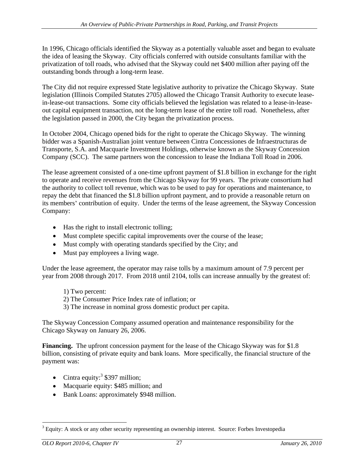In 1996, Chicago officials identified the Skyway as a potentially valuable asset and began to evaluate the idea of leasing the Skyway. City officials conferred with outside consultants familiar with the privatization of toll roads, who advised that the Skyway could net \$400 million after paying off the outstanding bonds through a long-term lease.

The City did not require expressed State legislative authority to privatize the Chicago Skyway. State legislation (Illinois Compiled Statutes 2705) allowed the Chicago Transit Authority to execute leasein-lease-out transactions. Some city officials believed the legislation was related to a lease-in-lease out capital equipment transaction, not the long-term lease of the entire toll road. Nonetheless, after the legislation passed in 2000, the City began the privatization process.

In October 2004, Chicago opened bids for the right to operate the Chicago Skyway. The winning bidder was a Spanish-Australian joint venture between Cintra Concessiones de Infraestructuras de Transporte, S.A. and Macquarie Investment Holdings, otherwise known as the Skyway Concession Company (SCC). The same partners won the concession to lease the Indiana Toll Road in 2006. The lease agreement consisted of a one-time upfront payment of \$1.8 billion in exchange for the right

to operate and receive revenues from the Chicago Skyway for 99 years. The private consortium had the authority to collect toll revenue, which was to be used to pay for operations and maintenance, to repay the debt that financed the \$1.8 billion upfront payment, and to provide a reasonable return on its members' contribution of equity. Under the terms of the lease agreement, the Skyway Concession Company:

- Has the right to install electronic tolling;
- Must complete specific capital improvements over the course of the lease:
- Must comply with operating standards specified by the City; and
- Must pay employees a living wage.

Under the lease agreement, the operator may raise tolls by a maximum amount of 7.9 percent per year from 2008 through 2017. From 2018 until 2104, tolls can increase annually by the greatest of:

- 1) Two percent:
- 2) The Consumer Price Index rate of inflation; or
- 3) The increase in nominal gross domestic product per capita.

The Skyway Concession Company assumed operation and maintenance responsibility for the Chicago Skyway on January 26, 2006.

**Financing.** The upfront concession payment for the lease of the Chicago Skyway was for \$1.8 billion, consisting of private equity and bank loans. More specifically, the financial structure of the payment was:

- Cintra equity: $3$  \$397 million; \$397 million;
- Macquarie equity: \$485 million; and
- Bank Loans: approximately \$948 million.

<sup>&</sup>lt;sup>3</sup> Equity: A stock or any other security representing an ownership interest. Source: Forbes Investopedia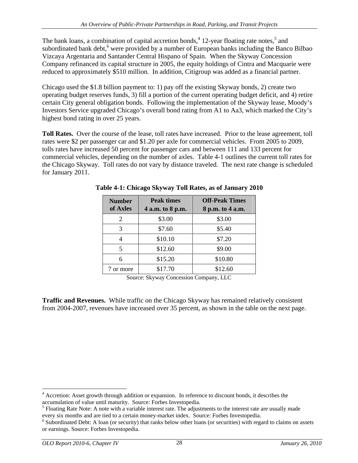The bank loans, a combination of capital accretion bonds,  $4$  12-year floating rate notes,  $5$  and and subordinated bank debt,<sup>6</sup> were provided by a number of European banks including the Banco Bilbao Vizcaya Argentaria and Santander Central Hispano of Spain. When the Skyway Concession Company refinanced its capital structure in 2005, the equity holdings of Cintra and Macquarie were reduced to approximately \$510 million. In addition, Citigroup was added as a financial partner.

Chicago used the \$1.8 billion payment to: 1) pay off the existing Skyway bonds, 2) create two operating budget reserves funds, 3) fill a portion of the current operating budget deficit, and 4) retire certain City general obligation bonds. Following the implementation of the Skyway lease, Moody s Investors Service upgraded Chicago's overall bond rating from A1 to Aa3, which marked the City's highest bond rating in over 25 years.

**Toll Rates.** Over the course of the lease, toll rates have increased. Prior to the lease agreement, toll rates were \$2 per passenger car and \$1.20 per axle for commercial vehicles. From 2005 to 2009, tolls rates have increased 50 percent for passenger cars and between 111 and 133 percent for commercial vehicles, depending on the number of axles. Table 4-1 outlines the current toll rates for the Chicago Skyway. Toll rates do not vary by distance traveled. The next rate change is scheduled for January 2011.

| <b>Number</b><br>of Axles | <b>Peak times</b><br>4 a.m. to 8 p.m. | <b>Off-Peak Times</b><br>8 p.m. to 4 a.m. |
|---------------------------|---------------------------------------|-------------------------------------------|
|                           | \$3.00                                | \$3.00                                    |
|                           | \$7.60                                | \$5.40                                    |
|                           | \$10.10                               | \$7.20                                    |
|                           | \$12.60                               | \$9.00                                    |
| $\mathfrak{b}$            | \$15.20                               | \$10.80                                   |
| 7 or more                 | \$17.70                               | \$12.60                                   |

**Table 4-1: Chicago Skyway Toll Rates, as of January 2010**

Source: Skyway Concession Company, LLC

**Traffic and Revenues.** While traffic on the Chicago Skyway has remained relatively consistent from 2004-2007, revenues have increased over 35 percent, as shown in the table on the next page.

<sup>&</sup>lt;sup>4</sup> Accretion: Asset growth through addition or expansion. In reference to discount bonds, it describes the accumulation of value until maturity. Source: Forbes Investopedia.

 $<sup>5</sup>$  Floating Rate Note: A note with a variable interest rate. The adjustments to the interest rate are usually made</sup> every six months and are tied to a certain money-market index. Source: Forbes Investopedia. <sup>6</sup>

<sup>&</sup>lt;sup>6</sup> Subordinated Debt: A loan (or security) that ranks below other loans (or securities) with regard to claims on assets or earnings. Source: Forbes Investopedia.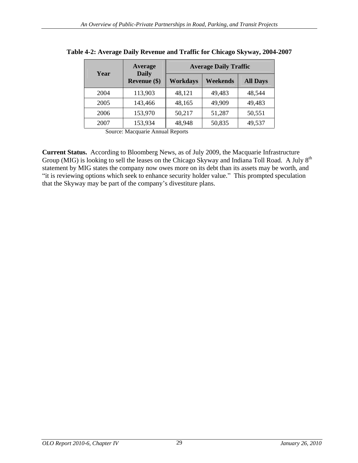| Year | Average<br><b>Daily</b>            |        | <b>Average Daily Traffic</b> |                 |  |  |  |
|------|------------------------------------|--------|------------------------------|-----------------|--|--|--|
|      | Revenue (\$)   Workdays   Weekends |        |                              | <b>All Days</b> |  |  |  |
| 2004 | 113,903                            | 48,121 | 49,483                       | 48,544          |  |  |  |
| 2005 | 143,466                            | 48,165 | 49,909                       | 49,483          |  |  |  |
| 2006 | 153,970                            | 50,217 | 51,287                       | 50,551          |  |  |  |
| 2007 | 153,934                            | 48,948 | 50,835                       | 49,537          |  |  |  |

| <b>Table 4-2: Average Daily</b><br>$\sim$ Daily Revenue and Traffic for Chicago Skyway, $\angle$ .<br>y, 2004-2007 |
|--------------------------------------------------------------------------------------------------------------------|
|--------------------------------------------------------------------------------------------------------------------|

Source: Macquarie Annual Reports

**Current Status.** According to Bloomberg News, as of July 2009, the Macquarie Infrastructure Group (MIG) is looking to sell the leases on the Chicago Skyway and Indiana Toll Road. A July 8<sup>th</sup> statement by MIG states the company now owes more on its debt than its assets may be worth, and "it is reviewing options which seek to enhance security holder value." This prompted speculation that the Skyway may be part of the company's divestiture plans.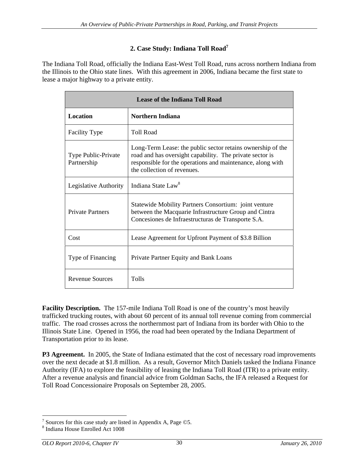# **2. Case Study: Indiana Toll Road7**

The Indiana Toll Road, officially the Indiana East-West Toll Road, runs across northern Indiana from the Illinois to the Ohio state lines. With this agreement in 2006, Indiana became the first state to lease a major highway to a private entity.

|                                                        | <b>Lease of the Indiana Toll Road</b>                                                                                                                                                                                |
|--------------------------------------------------------|----------------------------------------------------------------------------------------------------------------------------------------------------------------------------------------------------------------------|
| Location                                               | Northern Indiana                                                                                                                                                                                                     |
| Facility Type                                          | Toll Road                                                                                                                                                                                                            |
| Type Public-Private<br>Partnership                     | Long-Term Lease: the public sector retains ownership of the<br>road and has oversight capability. The private sector is<br>responsible for the operations and maintenance, along with<br>the collection of revenues. |
| Legislative Authority   Indiana State Law <sup>8</sup> |                                                                                                                                                                                                                      |
| Private Partners                                       | Statewide Mobility Partners Consortium: joint venture<br>between the Macquarie Infrastructure Group and Cintra<br>Concesiones de Infraestructuras de Transporte S.A.                                                 |
| Cost                                                   | Lease Agreement for Upfront Payment of \$3.8 Billion                                                                                                                                                                 |
| Type of Financing                                      | Private Partner Equity and Bank Loans                                                                                                                                                                                |
| Revenue Sources                                        | Tolls                                                                                                                                                                                                                |

**Facility Description.** The 157-mile Indiana Toll Road is one of the country's most heavily trafficked trucking routes, with about 60 percent of its annual toll revenue coming from commercial traffic. The road crosses across the northernmost part of Indiana from its border with Ohio to the Illinois State Line. Opened in 1956, the road had been operated by the Indiana Department of Transportation prior to its lease.

**P3 Agreement.** In 2005, the State of Indiana estimated that the cost of necessary road improvements over the next decade at \$1.8 million. As a result, Governor Mitch Daniels tasked the Indiana Finance Authority (IFA) to explore the feasibility of leasing the Indiana Toll Road (ITR) to a private entity. After a revenue analysis and financial advice from Goldman Sachs, the IFA released a Request for Toll Road Concessionaire Proposals on September 28, 2005.

<sup>&</sup>lt;sup>7</sup> Sources for this case study are listed in Appendix A, Page  $\odot$ 5.

 $\delta$  Indiana House Enrolled Act 1008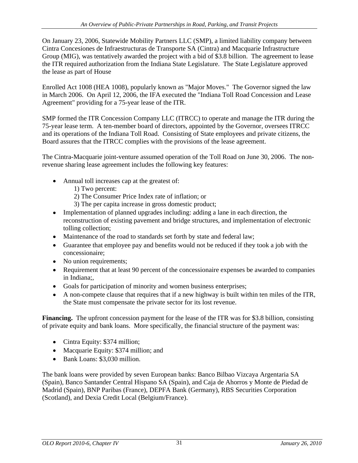On January 23, 2006, Statewide Mobility Partners LLC (SMP), a limited liability company between Cintra Concesiones de Infraestructuras de Transporte SA (Cintra) and Macquarie Infrastructure Group (MIG), was tentatively awarded the project with a bid of \$3.8 billion. The agreement to lease the ITR required authorization from the Indiana State Legislature. The State Legislature approved the lease as part of House

Enrolled Act 1008 (HEA 1008), popularly known as "Major Moves." The Governor signed the law in March 2006. On April 12, 2006, the IFA executed the "Indiana Toll Road Concession and Lease Agreement" providing for a 75-year lease of the ITR.

SMP formed the ITR Concession Company LLC (ITRCC) to operate and manage the ITR during the 75-year lease term. A ten-member board of directors, appointed by the Governor, oversees ITRCC and its operations of the Indiana Toll Road. Consisting of State employees and private citizens, the Board assures that the ITRCC complies with the provisions of the lease agreement.

The Cintra-Macquarie joint-venture assumed operation of the Toll Road on June 30, 2006. The nonrevenue sharing lease agreement includes the following key features:

- Annual toll increases cap at the greatest of:
	- 1) Two percent:
	- 2) The Consumer Price Index rate of inflation; or
	- 3) The per capita increase in gross domestic product;
- Implementation of planned upgrades including: adding a lane in each direction, the reconstruction of existing pavement and bridge structures, and implementation of electronic tolling collection;
- Maintenance of the road to standards set forth by state and federal law;
- Guarantee that employee pay and benefits would not be reduced if they took a job with the concessionaire;
- No union requirements;
- Requirement that at least 90 percent of the concessionaire expenses be awarded to companies in Indiana;,
- Goals for participation of minority and women business enterprises;
- A non-compete clause that requires that if a new highway is built within ten miles of the ITR, the State must compensate the private sector for its lost revenue.

**Financing.** The upfront concession payment for the lease of the ITR was for \$3.8 billion, consisting of private equity and bank loans. More specifically, the financial structure of the payment was:

- Cintra Equity: \$374 million;
- Macquarie Equity: \$374 million; and
- Bank Loans: \$3,030 million.

The bank loans were provided by seven European banks: Banco Bilbao Vizcaya Argentaria SA (Spain), Banco Santander Central Hispano SA (Spain), and Caja de Ahorros y Monte de Piedad de Madrid (Spain), BNP Paribas (France), DEPFA Bank (Germany), RBS Securities Corporation (Scotland), and Dexia Credit Local (Belgium/France).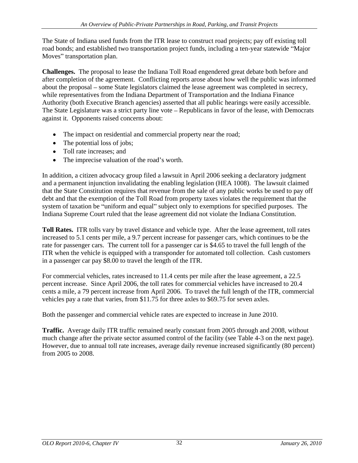The State of Indiana used funds from the ITR lease to construct road projects; pay off existing toll road bonds; and established two transportation project funds, including a ten-year statewide "Major" Moves" transportation plan.

**Challenges.** The proposal to lease the Indiana Toll Road engendered great debate both before and after completion of the agreement. Conflicting reports arose about how well the public was informed about the proposal – some State legislators claimed the lease agreement was completed in secrecy, while representatives from the Indiana Department of Transportation and the Indiana Finance Authority (both Executive Branch agencies) asserted that all public hearings were easily accessible. The State Legislature was a strict party line vote – Republicans in favor of the lease, with Democrats against it. Opponents raised concerns about:

- The impact on residential and commercial property near the road;
- The potential loss of jobs;
- Toll rate increases: and
- The imprecise valuation of the road's worth.

In addition, a citizen advocacy group filed a lawsuit in April 2006 seeking a declaratory judgment and a permanent injunction invalidating the enabling legislation (HEA 1008). The lawsuit claimed that the State Constitution requires that revenue from the sale of any public works be used to pay off debt and that the exemption of the Toll Road from property taxes violates the requirement that the system of taxation be "uniform and equal" subject only to exemptions for specified purposes. The Indiana Supreme Court ruled that the lease agreement did not violate the Indiana Constitution.

**Toll Rates.** ITR tolls vary by travel distance and vehicle type. After the lease agreement, toll rates increased to 5.1 cents per mile, a 9.7 percent increase for passenger cars, which continues to be the rate for passenger cars. The current toll for a passenger car is \$4.65 to travel the full length of the ITR when the vehicle is equipped with a transponder for automated toll collection. Cash customers in a passenger car pay \$8.00 to travel the length of the ITR.

For commercial vehicles, rates increased to 11.4 cents per mile after the lease agreement, a 22.5 percent increase. Since April 2006, the toll rates for commercial vehicles have increased to 20.4 cents a mile, a 79 percent increase from April 2006. To travel the full length of the ITR, commercial vehicles pay a rate that varies, from \$11.75 for three axles to \$69.75 for seven axles.

Both the passenger and commercial vehicle rates are expected to increase in June 2010.

**Traffic.** Average daily ITR traffic remained nearly constant from 2005 through and 2008, without much change after the private sector assumed control of the facility (see Table 4-3 on the next page). However, due to annual toll rate increases, average daily revenue increased significantly (80 percent) from 2005 to 2008.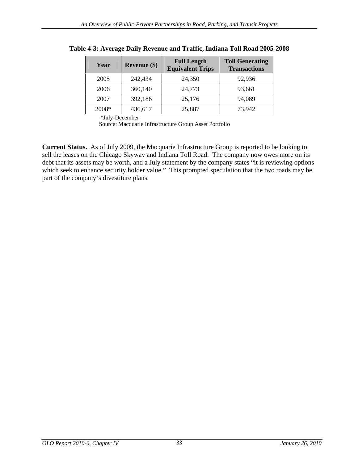| Year<br>Revenue $(\$)$ | <b>Full Length</b><br><b>Equivalent Trips</b> | <b>Toll Generating</b><br><b>Transactions</b> |
|------------------------|-----------------------------------------------|-----------------------------------------------|
| 2005<br>242,434        | 24,350                                        | 92,936                                        |
| 2006<br>360,140        | 24,773                                        | 93,661                                        |
| 2007<br>392,186        | 25,176                                        | 94,089                                        |
| 2008*<br>436,617       | 25,887                                        | 73,942                                        |

**Table 4-3: Average Daily Revenue and Traffic, Indiana Toll Road 2005-2008**

Source: Macquarie Infrastructure Group Asset Portfolio

**Current Status.** As of July 2009, the Macquarie Infrastructure Group is reported to be looking to sell the leases on the Chicago Skyway and Indiana Toll Road. The company now owes more on its debt that its assets may be worth, and a July statement by the company states "it is reviewing options" which seek to enhance security holder value." This prompted speculation that the two roads may be part of the company's divestiture plans.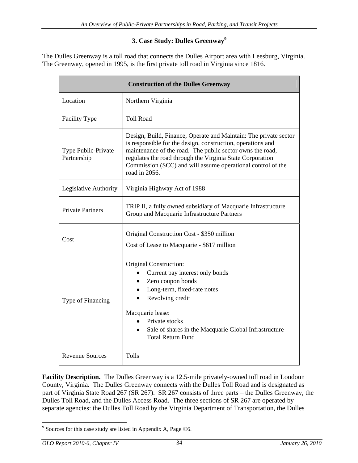# **3. Case Study: Dulles Greenway<sup>9</sup>**

The Dulles Greenway is a toll road that connects the Dulles Airport area with Leesburg, Virginia. The Greenway, opened in 1995, is the first private toll road in Virginia since 1816.

|                                    | <b>Construction of the Dulles Greenway</b>                                                                                                                                                                                                                                                                                                |
|------------------------------------|-------------------------------------------------------------------------------------------------------------------------------------------------------------------------------------------------------------------------------------------------------------------------------------------------------------------------------------------|
| Location                           | Northern Virginia                                                                                                                                                                                                                                                                                                                         |
| Facility Type                      | <b>Toll Road</b>                                                                                                                                                                                                                                                                                                                          |
| Type Public-Private<br>Partnership | Design, Build, Finance, Operate and Maintain: The private sector<br>is responsible for the design, construction, operations and<br>maintenance of the road. The public sector owns the road,<br>regulates the road through the Virginia State Corporation<br>Commission (SCC) and will assume operational control of the<br>road in 2056. |
| Legislative Authority              | Virginia Highway Act of 1988                                                                                                                                                                                                                                                                                                              |
| Private Partners                   | TRIP II, a fully owned subsidiary of Macquarie Infrastructure<br>Group and Macquarie Infrastructure Partners                                                                                                                                                                                                                              |
| Cost                               | Original Construction Cost - \$350 million<br>Cost of Lease to Macquarie - \$617 million                                                                                                                                                                                                                                                  |
| Type of Financing                  | Original Construction:<br>• Current pay interest only bonds<br>• Zero coupon bonds<br>• Long-term, fixed-rate notes<br>• Revolving credit<br>Macquarie lease:<br>• Private stocks<br>• Sale of shares in the Macquarie Global Infrastructure<br><b>Total Return Fund</b>                                                                  |
| <b>Revenue Sources</b>             | Tolls                                                                                                                                                                                                                                                                                                                                     |

Facility Description. The Dulles Greenway is a 12.5-mile privately-owned toll road in Loudoun County, Virginia. The Dulles Greenway connects with the Dulles Toll Road and is designated as part of Virginia State Road 267 (SR 267). SR 267 consists of three parts - the Dulles Greenway, the Dulles Toll Road, and the Dulles Access Road. The three sections of SR 267 are operated by separate agencies: the Dulles Toll Road by the Virginia Department of Transportation, the Dulles

 <sup>9</sup> Sources for this case study are listed in Appendix A, Page ©6.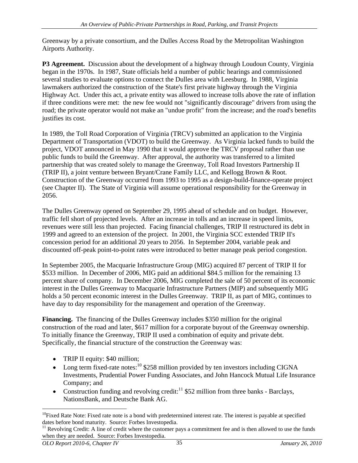Greenway by a private consortium, and the Dulles Access Road by the Metropolitan Washington Airports Authority.

**P3 Agreement.** Discussion about the development of a highway through Loudoun County, Virginia began in the 1970s. In 1987, State officials held a number of public hearings and commissioned several studies to evaluate options to connect the Dulles area with Leesburg. In 1988, Virginia lawmakers authorized the construction of the State's first private highway through the Virginia Highway Act. Under this act, a private entity was allowed to increase tolls above the rate of inflation if three conditions were met: the new fee would not "significantly discourage" drivers from using the road; the private operator would not make an "undue profit" from the increase; and the road's benefits justifies its cost.

In 1989, the Toll Road Corporation of Virginia (TRCV) submitted an application to the Virginia Department of Transportation (VDOT) to build the Greenway. As Virginia lacked funds to build the project, VDOT announced in May 1990 that it would approve the TRCV proposal rather than use public funds to build the Greenway. After approval, the authority was transferred to a limited partnership that was created solely to manage the Greenway, Toll Road Investors Partnership II (TRIP II), a joint venture between Bryant/Crane Family LLC, and Kellogg Brown & Root. Construction of the Greenway occurred from 1993 to 1995 as a design-build-finance-operate project (see Chapter II). The State of Virginia will assume operational responsibility for the Greenway in 2056.

The Dulles Greenway opened on September 29, 1995 ahead of schedule and on budget. However, traffic fell short of projected levels. After an increase in tolls and an increase in speed limits, revenues were still less than projected. Facing financial challenges, TRIP II restructured its debt in 1999 and agreed to an extension of the project. In 2001, the Virginia SCC extended TRIP II's concession period for an additional 20 years to 2056. In September 2004, variable peak and discounted off-peak point-to-point rates were introduced to better manage peak period congestion.

In September 2005, the Macquarie Infrastructure Group (MIG) acquired 87 percent of TRIP II for \$533 million. In December of 2006, MIG paid an additional \$84.5 million for the remaining 13 percent share of company. In December 2006, MIG completed the sale of 50 percent of its economic interest in the Dulles Greenway to Macquarie Infrastructure Partners (MIP) and subsequently MIG holds a 50 percent economic interest in the Dulles Greenway. TRIP II, as part of MIG, continues to have day to day responsibility for the management and operation of the Greenway.

**Financing.** The financing of the Dulles Greenway includes \$350 million for the original construction of the road and later, \$617 million for a corporate buyout of the Greenway ownership. To initially finance the Greenway, TRIP II used a combination of equity and private debt. Specifically, the financial structure of the construction the Greenway was:

- TRIP II equity: \$40 million;
- Long term fixed-rate notes:<sup>10</sup> \$258 million provided by ten investors including CIGNA Investments, Prudential Power Funding Associates, and John Hancock Mutual Life Insurance Company; and
- Construction funding and revolving credit:<sup>11</sup> \$52 million from three banks Barclays, NationsBank, and Deutsche Bank AG.

 $10$ Fixed Rate Note: Fixed rate note is a bond with predetermined interest rate. The interest is payable at specified dates before bond maturity. Source: Forbes Investopedia.

 $11$  Revolving Credit: A line of credit where the customer pays a commitment fee and is then allowed to use the funds when they are needed. Source: Forbes Investopedia.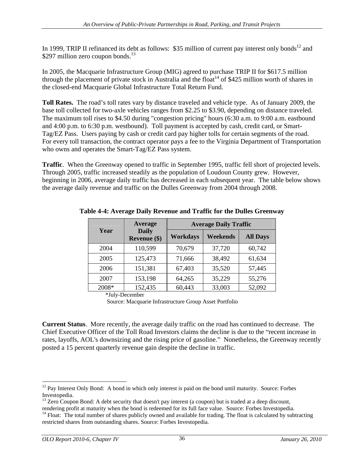In 1999, TRIP II refinanced its debt as follows: \$35 million of current pay interest only bonds<sup>12</sup> and \$297 million zero coupon bonds.<sup>13</sup>

In 2005, the Macquarie Infrastructure Group (MIG) agreed to purchase TRIP II for \$617.5 million through the placement of private stock in Australia and the float<sup>14</sup> of \$425 million worth of shares in the closed-end Macquarie Global Infrastructure Total Return Fund.

**Toll Rates.** The road's toll rates vary by distance traveled and vehicle type. As of January 2009, the base toll collected for two-axle vehicles ranges from \$2.25 to \$3.90, depending on distance traveled. The maximum toll rises to \$4.50 during "congestion pricing" hours (6:30 a.m. to 9:00 a.m. eastbound and 4:00 p.m. to 6:30 p.m. westbound). Toll payment is accepted by cash, credit card, or Smart- Tag/EZ Pass. Users paying by cash or credit card pay higher tolls for certain segments of the road. For every toll transaction, the contract operator pays a fee to the Virginia Department of Transportation who owns and operates the Smart-Tag/EZ Pass system.

**Traffic**. When the Greenway opened to traffic in September 1995, traffic fell short of projected levels. Through 2005, traffic increased steadily as the population of Loudoun County grew. However, beginning in 2006, average daily traffic has decreased in each subsequent year. The table below shows the average daily revenue and traffic on the Dulles Greenway from 2004 through 2008.

|       | Average                             |        | <b>Average Daily Traffic</b> |                 |
|-------|-------------------------------------|--------|------------------------------|-----------------|
| Year  | <b>Daily</b><br><b>Revenue (\$)</b> |        | Workdays   Weekends          | <b>All Days</b> |
| 2004  | 110,599                             | 70,679 | 37,720                       | 60,742          |
| 2005  | 125,473                             | 71,666 | 38,492                       | 61,634          |
| 2006  | 151,381                             | 67,403 | 35,520                       | 57,445          |
| 2007  | 153,198                             | 64,265 | 35,229                       | 55,276          |
| 2008* | 152,435                             | 60,443 | 33,003                       | 52,092          |

**Table 4-4: Average Daily Revenue and Traffic for the Dulles Greenway**

\*July-December

Source: Macquarie Infrastructure Group Asset Portfolio

**Current Status**. More recently, the average daily traffic on the road has continued to decrease. The Chief Executive Officer of the Toll Road Investors claims the decline is due to the "recent increase in rates, layoffs, AOL's downsizing and the rising price of gasoline." Nonetheless, the Greenway recently posted a 15 percent quarterly revenue gain despite the decline in traffic.

<sup>&</sup>lt;sup>12</sup> Pay Interest Only Bond: A bond in which only interest is paid on the bond until maturity. Source: Forbes

Investopedia.<br><sup>13</sup> Zero Coupon Bond: A debt security that doesn't pay interest (a coupon) but is traded at a deep discount,<br>rendering profit at maturity when the bond is redeemed for its full face value. Source: Forbes Inv

<sup>&</sup>lt;sup>14</sup> Float: The total number of shares publicly owned and available for trading. The float is calculated by subtracting restricted shares from outstanding shares. Source: Forbes Investopedia.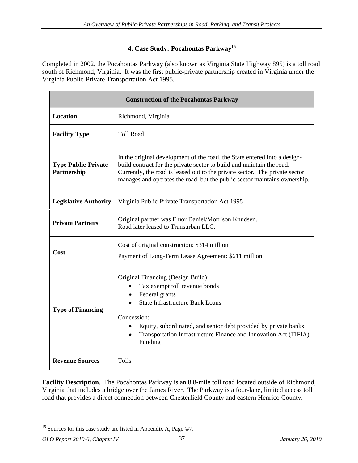## **4. Case Study: Pocahontas Parkway<sup>15</sup>**

Completed in 2002, the Pocahontas Parkway (also known as Virginia State Highway 895) is a toll road south of Richmond, Virginia. It was the first public-private partnership created in Virginia under the Virginia Public-Private Transportation Act 1995.

|                                           | <b>Construction of the Pocahontas Parkway</b>                                                                                                                                                                                                                                                                  |
|-------------------------------------------|----------------------------------------------------------------------------------------------------------------------------------------------------------------------------------------------------------------------------------------------------------------------------------------------------------------|
| Location                                  | Richmond, Virginia                                                                                                                                                                                                                                                                                             |
| <b>Facility Type</b>                      | <b>Toll Road</b>                                                                                                                                                                                                                                                                                               |
| <b>Type Public-Private</b><br>Partnership | In the original development of the road, the State entered into a design-<br>build contract for the private sector to build and maintain the road.<br>Currently, the road is leased out to the private sector. The private sector<br>manages and operates the road, but the public sector maintains ownership. |
| Legislative Authority                     | Virginia Public-Private Transportation Act 1995                                                                                                                                                                                                                                                                |
| <b>Private Partners</b>                   | Original partner was Fluor Daniel/Morrison Knudsen.<br>Road later leased to Transurban LLC.                                                                                                                                                                                                                    |
| Cost                                      | Cost of original construction: \$314 million<br>Payment of Long-Term Lease Agreement: \$611 million                                                                                                                                                                                                            |
| <b>Type of Financing</b>                  | Original Financing (Design Build):<br>• Tax exempt toll revenue bonds<br>• Federal grants<br>• State Infrastructure Bank Loans<br>Concession:<br>• Equity, subordinated, and senior debt provided by private banks<br>• Transportation Infrastructure Finance and Innovation Act (TIFIA)<br>Funding            |
| <b>Revenue Sources</b>                    | Tolls                                                                                                                                                                                                                                                                                                          |

**Facility Description**. The Pocahontas Parkway is an 8.8-mile toll road located outside of Richmond, Virginia that includes a bridge over the James River. The Parkway is a four-lane, limited access toll road that provides a direct connection between Chesterfield County and eastern Henrico County.

<sup>&</sup>lt;sup>15</sup> Sources for this case study are listed in Appendix A, Page  $\odot$ 7.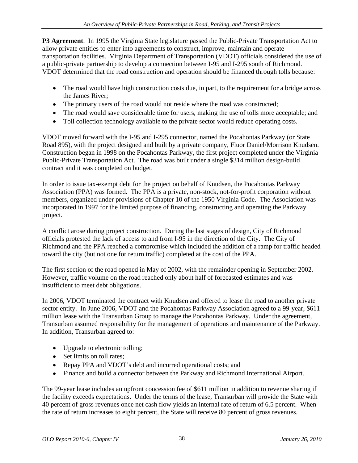**P3 Agreement**. In 1995 the Virginia State legislature passed the Public-Private Transportation Act to allow private entities to enter into agreements to construct, improve, maintain and operate transportation facilities. Virginia Department of Transportation (VDOT) officials considered the use of a public-private partnership to develop a connection between I-95 and I-295 south of Richmond. VDOT determined that the road construction and operation should be financed through tolls because:

- The road would have high construction costs due, in part, to the requirement for a bridge across the James River;
- The primary users of the road would not reside where the road was constructed;
- The road would save considerable time for users, making the use of tolls more acceptable; and
- Toll collection technology available to the private sector would reduce operating costs.

VDOT moved forward with the I-95 and I-295 connector, named the Pocahontas Parkway (or State Road 895), with the project designed and built by a private company, Fluor Daniel/Morrison Knudsen. Construction began in 1998 on the Pocahontas Parkway, the first project completed under the Virginia Public-Private Transportation Act. The road was built under a single \$314 million design-build contract and it was completed on budget.

In order to issue tax-exempt debt for the project on behalf of Knudsen, the Pocahontas Parkway Association (PPA) was formed. The PPA is a private, non-stock, not-for-profit corporation without members, organized under provisions of Chapter 10 of the 1950 Virginia Code. The Association was incorporated in 1997 for the limited purpose of financing, constructing and operating the Parkway project.

A conflict arose during project construction. During the last stages of design, City of Richmond officials protested the lack of access to and from I-95 in the direction of the City. The City of Richmond and the PPA reached a compromise which included the addition of a ramp for traffic headed toward the city (but not one for return traffic) completed at the cost of the PPA.

The first section of the road opened in May of 2002, with the remainder opening in September 2002. However, traffic volume on the road reached only about half of forecasted estimates and was insufficient to meet debt obligations. In 2006, VDOT terminated the contract with Knudsen and offered to lease the road to another private

sector entity. In June 2006, VDOT and the Pocahontas Parkway Association agreed to a 99-year, \$611 million lease with the Transurban Group to manage the Pocahontas Parkway. Under the agreement, Transurban assumed responsibility for the management of operations and maintenance of the Parkway. In addition, Transurban agreed to:

- Upgrade to electronic tolling;
- Set limits on toll rates:
- Repay PPA and VDOT's debt and incurred operational costs; and
- Finance and build a connector between the Parkway and Richmond International Airport.

The 99-year lease includes an upfront concession fee of \$611 million in addition to revenue sharing if the facility exceeds expectations. Under the terms of the lease, Transurban will provide the State with 40 percent of gross revenues once net cash flow yields an internal rate of return of 6.5 percent. When the rate of return increases to eight percent, the State will receive 80 percent of gross revenues.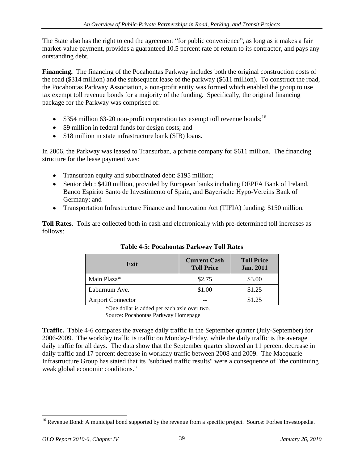The State also has the right to end the agreement "for public convenience", as long as it makes a fair market-value payment, provides a guaranteed 10.5 percent rate of return to its contractor, and pays any outstanding debt.

**Financing.** The financing of the Pocahontas Parkway includes both the original construction costs of the road (\$314 million) and the subsequent lease of the parkway (\$611 million). To construct the road, the Pocahontas Parkway Association, a non-profit entity was formed which enabled the group to use tax exempt toll revenue bonds for a majority of the funding. Specifically, the original financing package for the Parkway was comprised of:

- $\bullet$  \$354 million 63-20 non-profit corporation tax exempt toll revenue bonds;<sup>16</sup>
- \$9 million in federal funds for design costs; and
- \$18 million in state infrastructure bank (SIB) loans.

In 2006, the Parkway was leased to Transurban, a private company for \$611 million. The financing structure for the lease payment was:

- Transurban equity and subordinated debt: \$195 million;
- Senior debt: \$420 million, provided by European banks including DEPFA Bank of Ireland, Banco Espirito Santo de Investimento of Spain, and Bayerische Hypo-Vereins Bank of Germany; and
- Transportation Infrastructure Finance and Innovation Act (TIFIA) funding: \$150 million.

**Toll Rates**. Tolls are collected both in cash and electronically with pre-determined toll increases as follows:

| Exit                     | <b>Current Cash</b><br><b>Toll Price</b> | <b>Toll Price</b><br><b>Jan. 2011</b> |
|--------------------------|------------------------------------------|---------------------------------------|
| Main Plaza*              | \$2.75                                   | \$3.00                                |
| Laburnum Ave.            | \$1.00                                   | \$1.25                                |
| <b>Airport Connector</b> | $- -$                                    | \$1.25                                |

| Table 4-<br><b>1-5: Pocahontas Parkway</b><br><b>Toll Rates</b> |  |
|-----------------------------------------------------------------|--|
|-----------------------------------------------------------------|--|

\*One dollar is added per each axle over two.

Source: Pocahontas Parkway Homepage

**Traffic.** Table 4-6 compares the average daily traffic in the September quarter (July-September) for 2006-2009. The workday traffic is traffic on Monday-Friday, while the daily traffic is the average daily traffic for all days. The data show that the September quarter showed an 11 percent decrease in daily traffic and 17 percent decrease in workday traffic between 2008 and 2009. The Macquarie Infrastructure Group has stated that its "subdued traffic results" were a consequence of "the continuing weak global economic conditions."

<sup>&</sup>lt;sup>16</sup> Revenue Bond: A municipal bond supported by the revenue from a specific project. Source: Forbes Investopedia.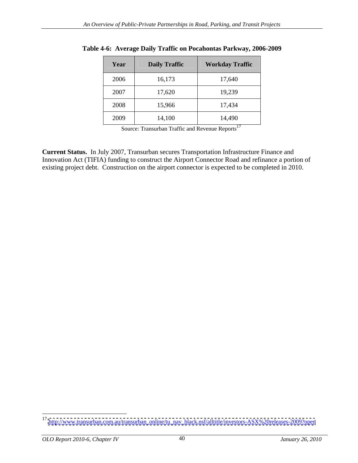| Year | <b>Daily Traffic</b> | Workday Traffic |
|------|----------------------|-----------------|
| 2006 | 16,173               | 17,640          |
| 2007 | 17,620               | 19,239          |
| 2008 | 15,966               | 17,434          |
| 2009 | 14,100               | 14,490          |

**Table 4-6: Average Daily Traffic on Pocahontas Parkway, 2006-2009**

Source: Transurban Traffic and Revenue Reports<sup>17</sup>

**Current Status.** In July 2007, Transurban secures Transportation Infrastructure Finance and Innovation Act (TIFIA) funding to construct the Airport Connector Road and refinance a portion of existing project debt. Construction on the airport connector is expected to be completed in 2010.

<sup>&</sup>lt;sup>17</sup> [http://www.transurban.com.au/transurban\\_online/tu\\_nav\\_black.nsf/alltitle/investors-ASX%20releases-2009?open](http://www.transurban.com.au/transurban_online/tu_nav_black.nsf/alltitle/investors-ASX%20releases-2009?open)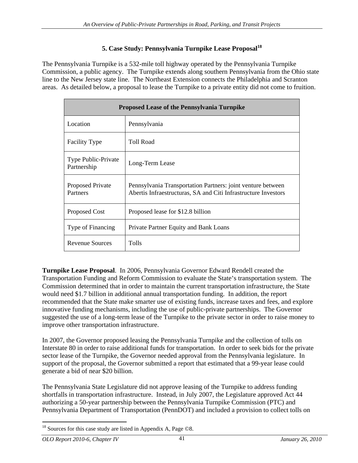#### **5. Case Study: Pennsylvania Turnpike Lease Proposal18**

The Pennsylvania Turnpike is a 532-mile toll highway operated by the Pennsylvania Turnpike Commission, a public agency. The Turnpike extends along southern Pennsylvania from the Ohio state line to the New Jersey state line. The Northeast Extension connects the Philadelphia and Scranton areas. As detailed below, a proposal to lease the Turnpike to a private entity did not come to fruition.

|                                    | <b>Proposed Lease of the Pennsylvania Turnpike</b>                                                                            |
|------------------------------------|-------------------------------------------------------------------------------------------------------------------------------|
| Location                           | Pennsylvania                                                                                                                  |
| Facility Type                      | <b>Toll Road</b>                                                                                                              |
| Type Public-Private<br>Partnership | Long-Term Lease                                                                                                               |
| Proposed Private<br>Partners       | Pennsylvania Transportation Partners: joint venture between<br>Abertis Infraestructuras, SA and Citi Infrastructure Investors |
| Proposed Cost                      | Proposed lease for \$12.8 billion                                                                                             |
| Type of Financing                  | Private Partner Equity and Bank Loans                                                                                         |
| <b>Revenue Sources</b>             | Tolls                                                                                                                         |

**Turnpike Lease Proposal**. In 2006, Pennsylvania Governor Edward Rendell created the Transportation Funding and Reform Commission to evaluate the State's transportation system. The Commission determined that in order to maintain the current transportation infrastructure, the State would need \$1.7 billion in additional annual transportation funding. In addition, the report recommended that the State make smarter use of existing funds, increase taxes and fees, and explore innovative funding mechanisms, including the use of public-private partnerships. The Governor suggested the use of a long-term lease of the Turnpike to the private sector in order to raise money to improve other transportation infrastructure.

In 2007, the Governor proposed leasing the Pennsylvania Turnpike and the collection of tolls on Interstate 80 in order to raise additional funds for transportation. In order to seek bids for the private sector lease of the Turnpike, the Governor needed approval from the Pennsylvania legislature. In support of the proposal, the Governor submitted a report that estimated that a 99-year lease could generate a bid of near \$20 billion.

The Pennsylvania State Legislature did not approve leasing of the Turnpike to address funding shortfalls in transportation infrastructure. Instead, in July 2007, the Legislature approved Act 44 authorizing a 50-year partnership between the Pennsylvania Turnpike Commission (PTC) and Pennsylvania Department of Transportation (PennDOT) and included a provision to collect tolls on

 $18$  Sources for this case study are listed in Appendix A, Page  $\odot$ 8.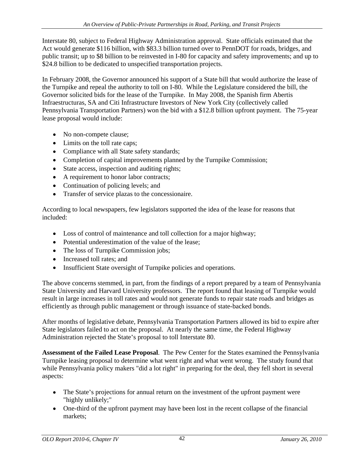Interstate 80, subject to Federal Highway Administration approval. State officials estimated that the Act would generate \$116 billion, with \$83.3 billion turned over to PennDOT for roads, bridges, and public transit; up to \$8 billion to be reinvested in I-80 for capacity and safety improvements; and up to \$24.8 billion to be dedicated to unspecified transportation projects.

In February 2008, the Governor announced his support of a State bill that would authorize the lease of the Turnpike and repeal the authority to toll on I-80. While the Legislature considered the bill, the Governor solicited bids for the lease of the Turnpike. In May 2008, the Spanish firm Abertis Infraestructuras, SA and Citi Infrastructure Investors of New York City (collectively called Pennsylvania Transportation Partners) won the bid with a \$12.8 billion upfront payment. The 75-year lease proposal would include:

- No non-compete clause;
- Limits on the toll rate caps;
- Compliance with all State safety standards;
- Completion of capital improvements planned by the Turnpike Commission;
- State access, inspection and auditing rights;
- A requirement to honor labor contracts;
- Continuation of policing levels; and
- Transfer of service plazas to the concessionaire.

According to local newspapers, few legislators supported the idea of the lease for reasons that included:

- Loss of control of maintenance and toll collection for a major highway;
- Potential underestimation of the value of the lease;
- The loss of Turnpike Commission jobs;
- Increased toll rates; and
- 

• Insufficient State oversight of Turnpike policies and operations.<br>The above concerns stemmed, in part, from the findings of a report prepared by a team of Pennsylvania State University and Harvard University professors. The report found that leasing of Turnpike would result in large increases in toll rates and would not generate funds to repair state roads and bridges as efficiently as through public management or through issuance of state-backed bonds. After months of legislative debate, Pennsylvania Transportation Partners allowed its bid to expire after

State legislators failed to act on the proposal. At nearly the same time, the Federal Highway Administration rejected the State's proposal to toll Interstate 80.

**Assessment of the Failed Lease Proposal**. The Pew Center for the States examined the Pennsylvania Turnpike leasing proposal to determine what went right and what went wrong. The study found that while Pennsylvania policy makers "did a lot right" in preparing for the deal, they fell short in several aspects:

- $\bullet$  The State's projections for annual return on the investment of the upfront payment were "highly unlikely;"
- One-third of the upfront payment may have been lost in the recent collapse of the financial markets;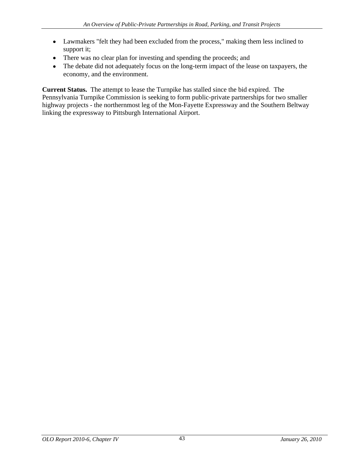- Lawmakers "felt they had been excluded from the process," making them less inclined to support it;
- There was no clear plan for investing and spending the proceeds; and
- The debate did not adequately focus on the long-term impact of the lease on taxpayers, the economy, and the environment.

**Current Status.** The attempt to lease the Turnpike has stalled since the bid expired. The Pennsylvania Turnpike Commission is seeking to form public-private partnerships for two smaller highway projects - the northernmost leg of the Mon-Fayette Expressway and the Southern Beltway linking the expressway to Pittsburgh International Airport.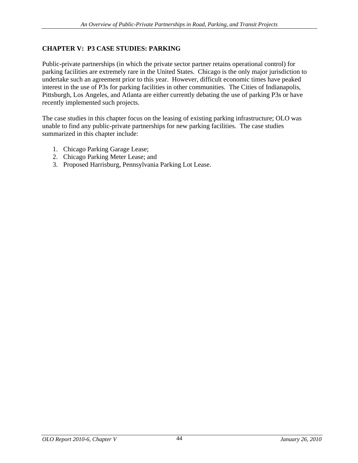# **CHAPTER V: P3 CASE STUDIES: PARKING**

Public-private partnerships (in which the private sector partner retains operational control) for parking facilities are extremely rare in the United States. Chicago is the only major jurisdiction to undertake such an agreement prior to this year. However, difficult economic times have peaked interest in the use of P3s for parking facilities in other communities. The Cities of Indianapolis, Pittsburgh, Los Angeles, and Atlanta are either currently debating the use of parking P3s or have recently implemented such projects.

The case studies in this chapter focus on the leasing of existing parking infrastructure; OLO was unable to find any public-private partnerships for new parking facilities. The case studies summarized in this chapter include:

- 1. Chicago Parking Garage Lease;
- 2. Chicago Parking Meter Lease; and
- 3. Proposed Harrisburg, Pennsylvania Parking Lot Lease.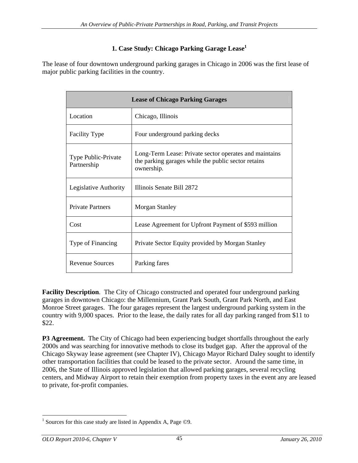# **1. Case Study: Chicago Parking Garage Lease1**

The lease of four downtown underground parking garages in Chicago in 2006 was the first lease of major public parking facilities in the country.

|                                    | <b>Lease of Chicago Parking Garages</b>                                                                                     |
|------------------------------------|-----------------------------------------------------------------------------------------------------------------------------|
| Location                           | Chicago, Illinois                                                                                                           |
| Facility Type                      | Four underground parking decks                                                                                              |
| Type Public-Private<br>Partnership | Long-Term Lease: Private sector operates and maintains<br>the parking garages while the public sector retains<br>ownership. |
| Legislative Authority              | Illinois Senate Bill 2872                                                                                                   |
| <b>Private Partners</b>            | Morgan Stanley                                                                                                              |
| Cost                               | Lease Agreement for Upfront Payment of \$593 million                                                                        |
| Type of Financing                  | Private Sector Equity provided by Morgan Stanley                                                                            |
| <b>Revenue Sources</b>             | Parking fares                                                                                                               |

**Facility Description**. The City of Chicago constructed and operated four underground parking garages in downtown Chicago: the Millennium, Grant Park South, Grant Park North, and East Monroe Street garages. The four garages represent the largest underground parking system in the country with 9,000 spaces. Prior to the lease, the daily rates for all day parking ranged from \$11 to \$22.

**P3 Agreement.** The City of Chicago had been experiencing budget shortfalls throughout the early 2000s and was searching for innovative methods to close its budget gap. After the approval of the Chicago Skyway lease agreement (see Chapter IV), Chicago Mayor Richard Daley sought to identify other transportation facilities that could be leased to the private sector. Around the same time, in 2006, the State of Illinois approved legislation that allowed parking garages, several recycling centers, and Midway Airport to retain their exemption from property taxes in the event any are leased to private, for-profit companies.

<sup>&</sup>lt;sup>1</sup> Sources for this case study are listed in Appendix A, Page  $\odot$ 9.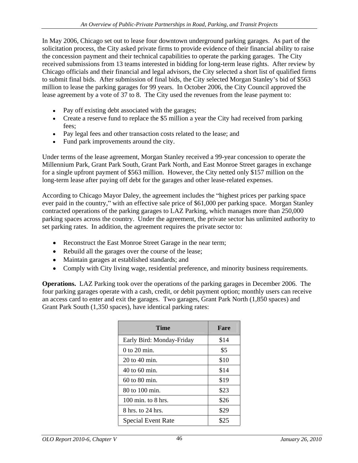In May 2006, Chicago set out to lease four downtown underground parking garages. As part of the solicitation process, the City asked private firms to provide evidence of their financial ability to raise the concession payment and their technical capabilities to operate the parking garages. The City received submissions from 13 teams interested in bidding for long-term lease rights. After review by Chicago officials and their financial and legal advisors, the City selected a short list of qualified firms to submit final bids. After submission of final bids, the City selected Morgan Stanley's bid of \$563 million to lease the parking garages for 99 years. In October 2006, the City Council approved the lease agreement by a vote of 37 to 8. The City used the revenues from the lease payment to:

- Pay off existing debt associated with the garages;
- Create a reserve fund to replace the \$5 million a year the City had received from parking fees;
- Pay legal fees and other transaction costs related to the lease; and
- Fund park improvements around the city.

Under terms of the lease agreement, Morgan Stanley received a 99-year concession to operate the Millennium Park, Grant Park South, Grant Park North, and East Monroe Street garages in exchange for a single upfront payment of \$563 million. However, the City netted only \$157 million on the long-term lease after paying off debt for the garages and other lease-related expenses.

According to Chicago Mayor Daley, the agreement includes the "highest prices per parking space" ever paid in the country," with an effective sale price of \$61,000 per parking space. Morgan Stanley contracted operations of the parking garages to LAZ Parking, which manages more than 250,000 parking spaces across the country. Under the agreement, the private sector has unlimited authority to set parking rates. In addition, the agreement requires the private sector to:

- Reconstruct the East Monroe Street Garage in the near term;
- Rebuild all the garages over the course of the lease;
- Maintain garages at established standards; and
- Comply with City living wage, residential preference, and minority business requirements.

**Operations.** LAZ Parking took over the operations of the parking garages in December 2006. The four parking garages operate with a cash, credit, or debit payment option; monthly users can receive an access card to enter and exit the garages. Two garages, Grant Park North (1,850 spaces) and Grant Park South (1,350 spaces), have identical parking rates:

| Time                      | Fare |
|---------------------------|------|
| Early Bird: Monday-Friday | \$14 |
| $0$ to 20 min.            | \$5  |
| 20 to 40 min.             | \$10 |
| 40 to 60 min.             | \$14 |
| 60 to 80 min.             | \$19 |
| 80 to 100 min.            | \$23 |
| 100 min. to 8 hrs.        | \$26 |
| 8 hrs. to 24 hrs.         | \$29 |
| <b>Special Event Rate</b> | \$25 |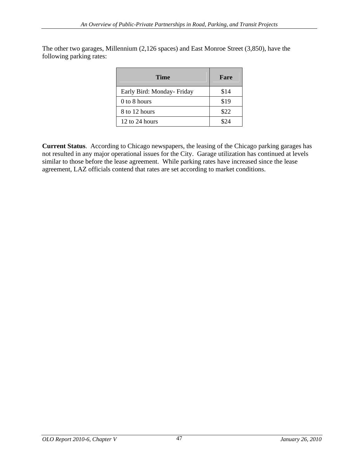| Time                       | Fare |
|----------------------------|------|
| Early Bird: Monday- Friday | \$14 |
| 0 to 8 hours               | \$19 |
| 8 to 12 hours              | \$22 |
| 12 to 24 hours             | \$24 |

The other two garages, Millennium (2,126 spaces) and East Monroe Street (3,850), have the following parking rates:

**Current Status**. According to Chicago newspapers, the leasing of the Chicago parking garages has not resulted in any major operational issues for the City. Garage utilization has continued at levels similar to those before the lease agreement. While parking rates have increased since the lease agreement, LAZ officials contend that rates are set according to market conditions.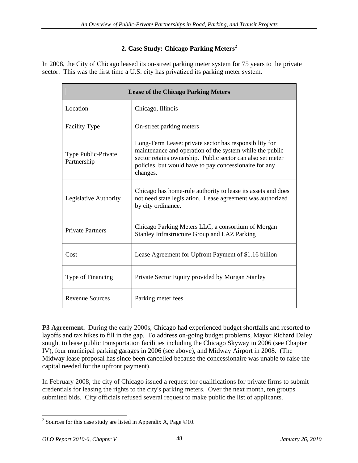# **2. Case Study: Chicago Parking Meters<sup>2</sup>**

In 2008, the City of Chicago leased its on-street parking meter system for 75 years to the private sector. This was the first time a U.S. city has privatized its parking meter system.

|                                    | <b>Lease of the Chicago Parking Meters</b>                                                                                                                                                                                                             |
|------------------------------------|--------------------------------------------------------------------------------------------------------------------------------------------------------------------------------------------------------------------------------------------------------|
| Location                           | Chicago, Illinois                                                                                                                                                                                                                                      |
| Facility Type                      | On-street parking meters                                                                                                                                                                                                                               |
| Type Public-Private<br>Partnership | Long-Term Lease: private sector has responsibility for<br>maintenance and operation of the system while the public<br>sector retains ownership. Public sector can also set meter<br>policies, but would have to pay concessionaire for any<br>changes. |
| Legislative Authority              | Chicago has home-rule authority to lease its assets and does<br>not need state legislation. Lease agreement was authorized<br>by city ordinance.                                                                                                       |
| Private Partners                   | Chicago Parking Meters LLC, a consortium of Morgan<br>Stanley Infrastructure Group and LAZ Parking                                                                                                                                                     |
| Cost                               | Lease Agreement for Upfront Payment of \$1.16 billion                                                                                                                                                                                                  |
| Type of Financing                  | Private Sector Equity provided by Morgan Stanley                                                                                                                                                                                                       |
| <b>Revenue Sources</b>             | Parking meter fees                                                                                                                                                                                                                                     |

**P3 Agreement.** During the early 2000s, Chicago had experienced budget shortfalls and resorted to layoffs and tax hikes to fill in the gap. To address on-going budget problems, Mayor Richard Daley sought to lease public transportation facilities including the Chicago Skyway in 2006 (see Chapter IV), four municipal parking garages in 2006 (see above), and Midway Airport in 2008. (The Midway lease proposal has since been cancelled because the concessionaire was unable to raise the capital needed for the upfront payment).

In February 2008, the city of Chicago issued a request for qualifications for private firms to submit credentials for leasing the rights to the city's parking meters. Over the next month, ten groups submited bids. City officials refused several request to make public the list of applicants.

<sup>&</sup>lt;sup>2</sup> Sources for this case study are listed in Appendix A, Page  $\odot$ 10.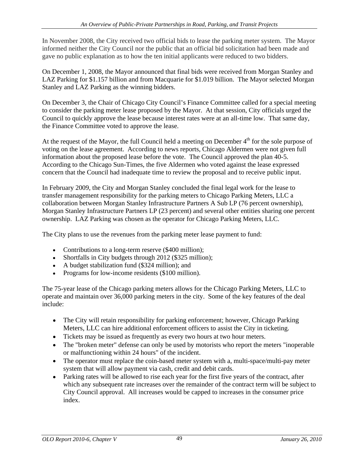In November 2008, the City received two official bids to lease the parking meter system. The Mayor informed neither the City Council nor the public that an official bid solicitation had been made and gave no public explanation as to how the ten initial applicants were reduced to two bidders.

On December 1, 2008, the Mayor announced that final bids were received from Morgan Stanley and LAZ Parking for \$1.157 billion and from Macquarie for \$1.019 billion. The Mayor selected Morgan Stanley and LAZ Parking as the winning bidders.<br>On December 3, the Chair of Chicago City Council's Finance Committee called for a special meeting

to consider the parking meter lease proposed by the Mayor. At that session, City officials urged the Council to quickly approve the lease because interest rates were at an all-time low. That same day, the Finance Committee voted to approve the lease.<br>At the request of the Mayor, the full Council held a meeting on December  $4<sup>th</sup>$  for the sole purpose of

voting on the lease agreement. According to news reports, Chicago Aldermen were not given full information about the proposed lease before the vote. The Council approved the plan 40-5. According to the Chicago Sun-Times, the five Aldermen who voted against the lease expressed concern that the Council had inadequate time to review the proposal and to receive public input.

In February 2009, the City and Morgan Stanley concluded the final legal work for the lease to transfer management responsibility for the parking meters to Chicago Parking Meters, LLC a collaboration between Morgan Stanley Infrastructure Partners A Sub LP (76 percent ownership), Morgan Stanley Infrastructure Partners LP (23 percent) and several other entities sharing one percent ownership. LAZ Parking was chosen as the operator for Chicago Parking Meters, LLC.

The City plans to use the revenues from the parking meter lease payment to fund:

- Contributions to a long-term reserve (\$400 million);
- Shortfalls in City budgets through 2012 (\$325 million);
- A budget stabilization fund (\$324 million); and
- Programs for low-income residents (\$100 million).

The 75-year lease of the Chicago parking meters allows for the Chicago Parking Meters, LLC to operate and maintain over 36,000 parking meters in the city. Some of the key features of the deal include:

- The City will retain responsibility for parking enforcement; however, Chicago Parking Meters, LLC can hire additional enforcement officers to assist the City in ticketing.
- Tickets may be issued as frequently as every two hours at two hour meters.
- The "broken meter" defense can only be used by motorists who report the meters "inoperable" or malfunctioning within 24 hours" of the incident.
- The operator must replace the coin-based meter system with a, multi-space/multi-pay meter system that will allow payment via cash, credit and debit cards.
- $\bullet$ Parking rates will be allowed to rise each year for the first five years of the contract, after which any subsequent rate increases over the remainder of the contract term will be subject to City Council approval. All increases would be capped to increases in the consumer price index.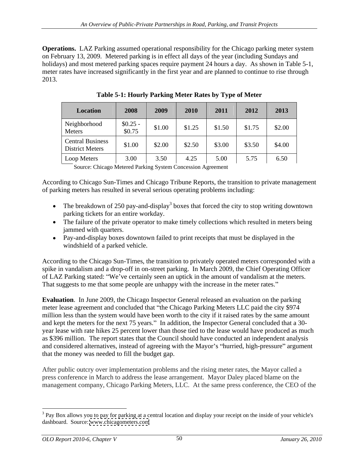**Operations.** LAZ Parking assumed operational responsibility for the Chicago parking meter system on February 13, 2009. Metered parking is in effect all days of the year (including Sundays and holidays) and most metered parking spaces require payment 24 hours a day. As shown in Table 5-1, meter rates have increased significantly in the first year and are planned to continue to rise through 2013.

| Location                                          | 2008                | 2009   | 2010   | 2011   | 2012   | 2013   |
|---------------------------------------------------|---------------------|--------|--------|--------|--------|--------|
| Neighborhood<br>Meters                            | $$0.25 -$<br>\$0.75 | \$1.00 | \$1.25 | \$1.50 | \$1.75 | \$2.00 |
| <b>Central Business</b><br><b>District Meters</b> | \$1.00              | \$2.00 | \$2.50 | \$3.00 | \$3.50 | \$4.00 |
| Loop Meters                                       | 3.00                | 3.50   | 4.25   | 5.00   | 5.75   | 6.50   |

**Table 5-1: Hourly Parking Meter Rates by Type of Meter**

Source: Chicago Metered Parking System Concession Agreement

According to Chicago Sun-Times and Chicago Tribune Reports, the transition to private management of parking meters has resulted in several serious operating problems including:

- The breakdown of 250 pay-and-display<sup>3</sup> boxes that forced the city to stop writing downtown parking tickets for an entire workday.
- The failure of the private operator to make timely collections which resulted in meters being jammed with quarters.
- Pay-and-display boxes downtown failed to print receipts that must be displayed in the windshield of a parked vehicle.

According to the Chicago Sun-Times, the transition to privately operated meters corresponded with a spike in vandalism and a drop-off in on-street parking. In March 2009, the Chief Operating Officer of LAZ Parking stated: We ve certainly seen an uptick in the amount of vandalism at the meters. That suggests to me that some people are unhappy with the increase in the meter rates."

**Evaluation**. In June 2009, the Chicago Inspector General released an evaluation on the parking meter lease agreement and concluded that "the Chicago Parking Meters LLC paid the city \$974 million less than the system would have been worth to the city if it raised rates by the same amount and kept the meters for the next 75 years." In addition, the Inspector General concluded that a 30year lease with rate hikes 25 percent lower than those tied to the lease would have produced as much as \$396 million. The report states that the Council should have conducted an independent analysis and considered alternatives, instead of agreeing with the Mayor's "hurried, high-pressure" argument that the money was needed to fill the budget gap.

After public outcry over implementation problems and the rising meter rates, the Mayor called a press conference in March to address the lease arrangement. Mayor Daley placed blame on the management company, Chicago Parking Meters, LLC. At the same press conference, the CEO of the

<sup>&</sup>lt;sup>3</sup> Pay Box allows you to pay for parking at a central location and display your receipt on the inside of your vehicle's dashboard. Source: [www.chicagometers.com](http://www.chicagometers.com)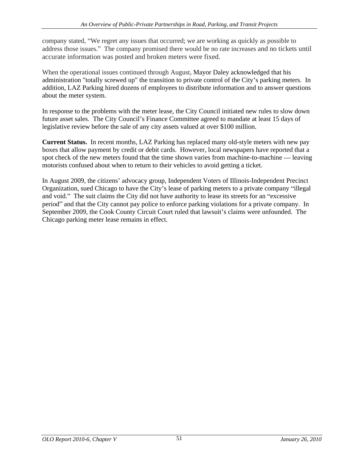company stated, We regret any issues that occurred; we are working as quickly as possible to address those issues." The company promised there would be no rate increases and no tickets until accurate information was posted and broken meters were fixed.

When the operational issues continued through August, Mayor Daley acknowledged that his administration "totally screwed up" the transition to private control of the City's parking meters. In addition, LAZ Parking hired dozens of employees to distribute information and to answer questions about the meter system.

In response to the problems with the meter lease, the City Council initiated new rules to slow down future asset sales. The City Council's Finance Committee agreed to mandate at least 15 days of legislative review before the sale of any city assets valued at over \$100 million.

**Current Status.** In recent months, LAZ Parking has replaced many old-style meters with new pay boxes that allow payment by credit or debit cards. However, local newspapers have reported that a spot check of the new meters found that the time shown varies from machine-to-machine  $-$  leaving

motorists confused about when to return to their vehicles to avoid getting a ticket.<br>In August 2009, the citizens' advocacy group, Independent Voters of Illinois-Independent Precinct Organization, sued Chicago to have the City's lease of parking meters to a private company "illegal" and void." The suit claims the City did not have authority to lease its streets for an "excessive" period" and that the City cannot pay police to enforce parking violations for a private company. In September 2009, the Cook County Circuit Court ruled that lawsuit's claims were unfounded. The Chicago parking meter lease remains in effect.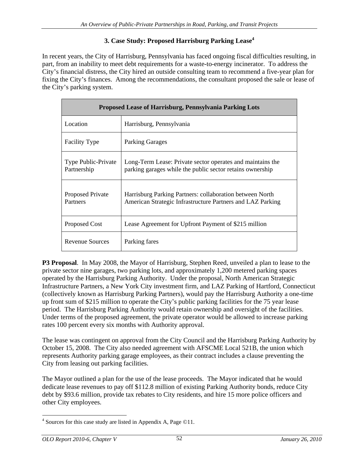## **3. Case Study: Proposed Harrisburg Parking Lease<sup>4</sup>**

In recent years, the City of Harrisburg, Pennsylvania has faced ongoing fiscal difficulties resulting, in part, from an inability to meet debt requirements for a waste-to-energy incinerator. To address the City s financial distress, the City hired an outside consulting team to recommend a five-year plan for fixing the City's finances. Among the recommendations, the consultant proposed the sale or lease of the City's parking system.

|                                    | Proposed Lease of Harrisburg, Pennsylvania Parking Lots                                                                 |  |
|------------------------------------|-------------------------------------------------------------------------------------------------------------------------|--|
| Location                           | Harrisburg, Pennsylvania                                                                                                |  |
| Facility Type                      | <b>Parking Garages</b>                                                                                                  |  |
| Type Public-Private<br>Partnership | Long-Term Lease: Private sector operates and maintains the<br>parking garages while the public sector retains ownership |  |
| Proposed Private<br>Partners       | Harrisburg Parking Partners: collaboration between North<br>American Strategic Infrastructure Partners and LAZ Parking  |  |
| <b>Proposed Cost</b>               | Lease Agreement for Upfront Payment of \$215 million                                                                    |  |
| <b>Revenue Sources</b>             | Parking fares                                                                                                           |  |

**P3 Proposal**. In May 2008, the Mayor of Harrisburg, Stephen Reed, unveiled a plan to lease to the private sector nine garages, two parking lots, and approximately 1,200 metered parking spaces operated by the Harrisburg Parking Authority. Under the proposal, North American Strategic Infrastructure Partners, a New York City investment firm, and LAZ Parking of Hartford, Connecticut (collectively known as Harrisburg Parking Partners), would pay the Harrisburg Authority a one-time up front sum of \$215 million to operate the City's public parking facilities for the 75 year lease period. The Harrisburg Parking Authority would retain ownership and oversight of the facilities. Under terms of the proposed agreement, the private operator would be allowed to increase parking rates 100 percent every six months with Authority approval.

The lease was contingent on approval from the City Council and the Harrisburg Parking Authority by October 15, 2008. The City also needed agreement with AFSCME Local 521B, the union which represents Authority parking garage employees, as their contract includes a clause preventing the City from leasing out parking facilities.

The Mayor outlined a plan for the use of the lease proceeds. The Mayor indicated that he would dedicate lease revenues to pay off \$112.8 million of existing Parking Authority bonds, reduce City debt by \$93.6 million, provide tax rebates to City residents, and hire 15 more police officers and other City employees.

 <sup>4</sup> Sources for this case study are listed in Appendix A, Page ©11.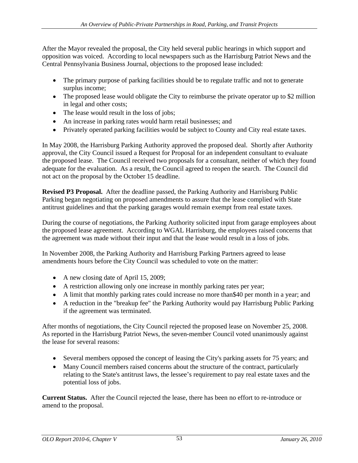After the Mayor revealed the proposal, the City held several public hearings in which support and opposition was voiced. According to local newspapers such as the Harrisburg Patriot News and the Central Pennsylvania Business Journal, objections to the proposed lease included:

- The primary purpose of parking facilities should be to regulate traffic and not to generate surplus income;
- The proposed lease would obligate the City to reimburse the private operator up to \$2 million in legal and other costs;
- The lease would result in the loss of jobs;
- An increase in parking rates would harm retail businesses; and
- Privately operated parking facilities would be subject to County and City real estate taxes.

In May 2008, the Harrisburg Parking Authority approved the proposed deal. Shortly after Authority approval, the City Council issued a Request for Proposal for an independent consultant to evaluate the proposed lease. The Council received two proposals for a consultant, neither of which they found adequate for the evaluation. As a result, the Council agreed to reopen the search. The Council did not act on the proposal by the October 15 deadline.

**Revised P3 Proposal.** After the deadline passed, the Parking Authority and Harrisburg Public Parking began negotiating on proposed amendments to assure that the lease complied with State antitrust guidelines and that the parking garages would remain exempt from real estate taxes.

During the course of negotiations, the Parking Authority solicited input from garage employees about the proposed lease agreement. According to WGAL Harrisburg, the employees raised concerns that the agreement was made without their input and that the lease would result in a loss of jobs.

In November 2008, the Parking Authority and Harrisburg Parking Partners agreed to lease amendments hours before the City Council was scheduled to vote on the matter:

- A new closing date of April 15, 2009;
- A restriction allowing only one increase in monthly parking rates per year;
- A limit that monthly parking rates could increase no more than\$40 per month in a year; and
- A reduction in the "breakup fee" the Parking Authority would pay Harrisburg Public Parking if the agreement was terminated. After months of negotiations, the City Council rejected the proposed lease on November 25, 2008.

As reported in the Harrisburg Patriot News, the seven-member Council voted unanimously against the lease for several reasons:

- Several members opposed the concept of leasing the City's parking assets for 75 years; and
- Many Council members raised concerns about the structure of the contract, particularly relating to the State's antitrust laws, the lessee's requirement to pay real estate taxes and the potential loss of jobs.

**Current Status.** After the Council rejected the lease, there has been no effort to re-introduce or amend to the proposal.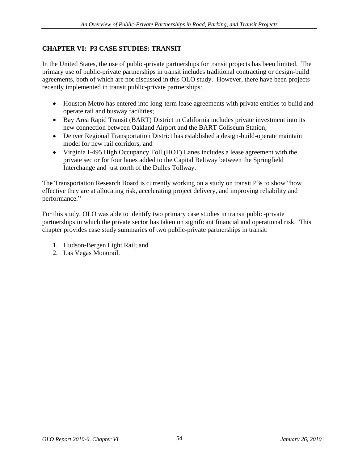# **CHAPTER VI: P3 CASE STUDIES: TRANSIT**

In the United States, the use of public-private partnerships for transit projects has been limited. The primary use of public-private partnerships in transit includes traditional contracting or design-build agreements, both of which are not discussed in this OLO study. However, there have been projects recently implemented in transit public-private partnerships:

- Houston Metro has entered into long-term lease agreements with private entities to build and operate rail and busway facilities;
- Bay Area Rapid Transit (BART) District in California includes private investment into its new connection between Oakland Airport and the BART Coliseum Station;
- Denver Regional Transportation District has established a design-build-operate maintain model for new rail corridors; and
- Virginia I-495 High Occupancy Toll (HOT) Lanes includes a lease agreement with the private sector for four lanes added to the Capital Beltway between the Springfield Interchange and just north of the Dulles Tollway.

The Transportation Research Board is currently working on a study on transit P3s to show "how effective they are at allocating risk, accelerating project delivery, and improving reliability and performance."

For this study, OLO was able to identify two primary case studies in transit public-private partnerships in which the private sector has taken on significant financial and operational risk. This chapter provides case study summaries of two public-private partnerships in transit:

- 1. Hudson-Bergen Light Rail; and 2. Las Vegas Monorail.
-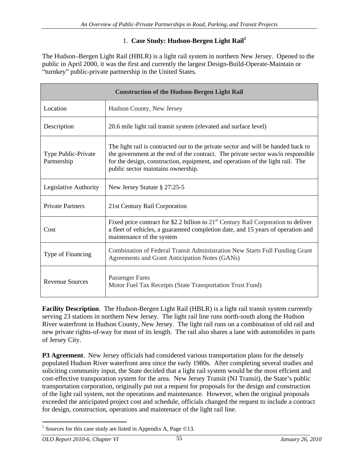## 1. **Case Study: Hudson-Bergen Light Rail1**

The Hudson-Bergen Light Rail (HBLR) is a light rail system in northern New Jersey. Opened to the public in April 2000, it was the first and currently the largest Design-Build-Operate-Maintain or "turnkey" public-private partnership in the United States.

|                                    | <b>Construction of the Hudson-Bergen Light Rail</b>                                                                                                                                                                                                                                           |
|------------------------------------|-----------------------------------------------------------------------------------------------------------------------------------------------------------------------------------------------------------------------------------------------------------------------------------------------|
| Location                           | Hudson County, New Jersey                                                                                                                                                                                                                                                                     |
| Description                        | 20.6 mile light rail transit system (elevated and surface level)                                                                                                                                                                                                                              |
| Type Public-Private<br>Partnership | The light rail is contracted out to the private sector and will be handed back to<br>the government at the end of the contract. The private sector was/is responsible<br>for the design, construction, equipment, and operations of the light rail. The<br>public sector maintains ownership. |
| Legislative Authority              | New Jersey Statute § 27:25-5                                                                                                                                                                                                                                                                  |
| <b>Private Partners</b>            | 21st Century Rail Corporation                                                                                                                                                                                                                                                                 |
| Cost                               | Fixed price contract for \$2.2 billion to 21 <sup>st</sup> Century Rail Corporation to deliver<br>a fleet of vehicles, a guaranteed completion date, and 15 years of operation and<br>maintenance of the system                                                                               |
| Type of Financing                  | Combination of Federal Transit Administration New Starts Full Funding Grant<br>Agreements and Grant Anticipation Notes (GANs)                                                                                                                                                                 |
| <b>Revenue Sources</b>             | <b>Passenger Fares</b><br>Motor Fuel Tax Receipts (State Transportation Trust Fund)                                                                                                                                                                                                           |

**Facility Description**. The Hudson-Bergen Light Rail (HBLR) is a light rail transit system currently serving 23 stations in northern New Jersey. The light rail line runs north-south along the Hudson River waterfront in Hudson County, New Jersey. The light rail runs on a combination of old rail and new private rights-of-way for most of its length. The rail also shares a lane with automobiles in parts of Jersey City.

**P3 Agreement**. New Jersey officials had considered various transportation plans for the densely populated Hudson River waterfront area since the early 1980s. After completing several studies and soliciting community input, the State decided that a light rail system would be the most effcient and cost-effective transporation system for the area. New Jersey Transit (NJ Transit), the State's public transportation corporation, originally put out a request for proposals for the design and construction of the light rail system, not the operations and maintenance. However, when the original proposals exceeded the anticipated project cost and schedule, officials changed the request to include a contract for design, construction, operations and maintenace of the light rail line.

<sup>&</sup>lt;sup>1</sup> Sources for this case study are listed in Appendix A, Page  $\odot$ 13.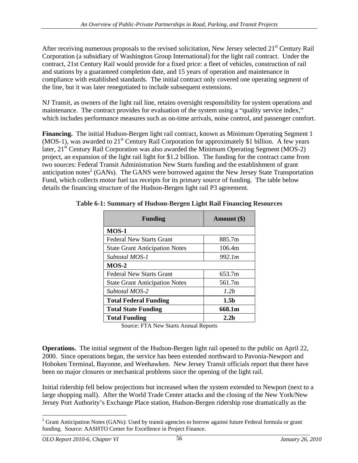After receiving numerous proposals to the revised solicitation, New Jersey selected 21<sup>st</sup> Century Rail Corporation (a subsidiary of Washington Group International) for the light rail contract. Under the contract, 21st Century Rail would provide for a fixed price: a fleet of vehicles, construction of rail and stations by a guaranteed completion date, and 15 years of operation and maintenance in compliance with established standards. The initial contract only covered one operating segment of the line, but it was later renegotiated to include subsequent extensions.

NJ Transit, as owners of the light rail line, retains oversight responsibility for system operations and maintenance. The contract provides for evaluation of the system using a "quality service index," which includes performance measures such as on-time arrivals, noise control, and passenger comfort.

**Financing.** The initial Hudson-Bergen light rail contract, known as Minimum Operating Segment 1 (MOS-1), was awarded to  $21<sup>st</sup>$  Century Rail Corporation for approximately \$1 billion. A few years later,  $21<sup>st</sup>$  Century Rail Corporation was also awarded the Minimum Operating Segment (MOS-2) project, an expansion of the light rail light for \$1.2 billion. The funding for the contract came from two sources: Federal Transit Administration New Starts funding and the establishment of grant anticipation notes<sup>2</sup> (GANs). The GANS were borrowed against the New Jersey State Transportation Fund, which collects motor fuel tax receipts for its primary source of funding. The table below details the financing structure of the Hudson-Bergen light rail P3 agreement.

| Funding                        | <b>Amount</b> (\$) |
|--------------------------------|--------------------|
|                                |                    |
| MOS-1                          |                    |
| Federal New Starts Grant       | 885.7m             |
| State Grant Anticipation Notes | 106.4m             |
| Subtotal MOS-1                 | 992.1m             |
| $MOS-2$                        |                    |
| Federal New Starts Grant       | 653.7m             |
| State Grant Anticipation Notes | 561.7m             |
| Subtotal MOS-2                 | 1.2b               |
| Total Federal Funding          | 1.5 <sub>b</sub>   |
| <b>Total State Funding</b>     | 668.1m             |
| Total Funding                  | 2.2 <sub>b</sub>   |

**Table 6-1: Summary of Hudson-Bergen Light Rail Financing Resources**

Source: FTA New Starts Annual Reports

**Operations.** The initial segment of the Hudson-Bergen light rail opened to the public on April 22, 2000. Since operations began, the service has been extended northward to Pavonia-Newport and Hoboken Terminal, Bayonne, and Weehawken. New Jersey Transit officials report that there have been no major closures or mechanical problems since the opening of the light rail.

Initial ridership fell below projections but increased when the system extended to Newport (next to a large shopping mall). After the World Trade Center attacks and the closing of the New York/New Jersey Port Authority's Exchange Place station, Hudson-Bergen ridership rose dramatically as the

<sup>&</sup>lt;sup>2</sup> Grant Anticipation Notes (GANs): Used by transit agencies to borrow against future Federal formula or grant funding. Source: AASHTO Center for Excellence in Project Finance.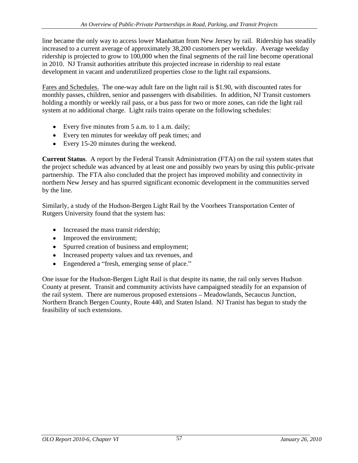line became the only way to access lower Manhattan from New Jersey by rail. Ridership has steadily increased to a current average of approximately 38,200 customers per weekday. Average weekday ridership is projected to grow to 100,000 when the final segments of the rail line become operational in 2010. NJ Transit authorities attribute this projected increase in ridership to real estate development in vacant and underutilized properties close to the light rail expansions.<br>Fares and Schedules. The one-way adult fare on the light rail is \$1.90, with discounted rates for

monthly passes, children, senior and passengers with disabilities. In addition, NJ Transit customers holding a monthly or weekly rail pass, or a bus pass for two or more zones, can ride the light rail system at no additional charge. Light rails trains operate on the following schedules:

- Every five minutes from 5 a.m. to 1 a.m. daily;
- Every ten minutes for weekday off peak times; and
- Every 15-20 minutes during the weekend.

**Current Status**. A report by the Federal Transit Administration (FTA) on the rail system states that the project schedule was advanced by at least one and possibly two years by using this public-private partnership. The FTA also concluded that the project has improved mobility and connectivity in northern New Jersey and has spurred significant economic development in the communities served by the line.

Similarly, a study of the Hudson-Bergen Light Rail by the Voorhees Transportation Center of Rutgers University found that the system has:

- Increased the mass transit ridership;
- Improved the environment;
- Spurred creation of business and employment;
- Increased property values and tax revenues, and
- Engendered a "fresh, emerging sense of place."

One issue for the Hudson-Bergen Light Rail is that despite its name, the rail only serves Hudson County at present. Transit and community activists have campaigned steadily for an expansion of the rail system. There are numerous proposed extensions – Meadowlands, Secaucus Junction, Northern Branch Bergen County, Route 440, and Staten Island. NJ Tranist has begun to study the feasibility of such extensions.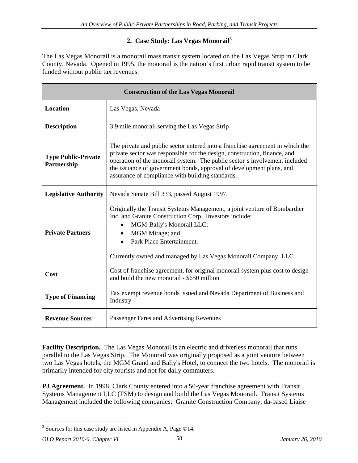## **2. Case Study: Las Vegas Monorail<sup>3</sup>**

The Las Vegas Monorail is a monorail mass transit system located on the Las Vegas Strip in Clark County, Nevada. Opened in 1995, the monorail is the nation's first urban rapid transit system to be funded without public tax revenues.

|                                           | <b>Construction of the Las Vegas Monorail</b>                                                                                                                                                                                                                                                                                                                        |
|-------------------------------------------|----------------------------------------------------------------------------------------------------------------------------------------------------------------------------------------------------------------------------------------------------------------------------------------------------------------------------------------------------------------------|
| Location                                  | Las Vegas, Nevada                                                                                                                                                                                                                                                                                                                                                    |
| <b>Description</b>                        | 3.9 mile monorail serving the Las Vegas Strip                                                                                                                                                                                                                                                                                                                        |
| <b>Type Public-Private</b><br>Partnership | The private and public sector entered into a franchise agreement in which the<br>private sector was responsible for the design, construction, finance, and<br>operation of the monorail system. The public sector's involvement included<br>the issuance of government bonds, approval of development plans, and<br>assurance of compliance with building standards. |
|                                           | Legislative Authority   Nevada Senate Bill 333, passed August 1997.                                                                                                                                                                                                                                                                                                  |
| <b>Private Partners</b>                   | Originally the Transit Systems Management, a joint venture of Bombardier<br>Inc. and Granite Construction Corp. Investors include:<br>• MGM-Bally's Monorail LLC;<br>• MGM Mirage; and<br>• Park Place Entertainment.<br>Currently owned and managed by Las Vegas Monorail Company, LLC.                                                                             |
| Cost                                      | Cost of franchise agreement, for original monorail system plus cost to design<br>and build the new monorail - \$650 million                                                                                                                                                                                                                                          |
| <b>Type of Financing</b>                  | Tax exempt revenue bonds issued and Nevada Department of Business and<br>Industry                                                                                                                                                                                                                                                                                    |
| <b>Revenue Sources</b>                    | Passenger Fares and Advertising Revenues                                                                                                                                                                                                                                                                                                                             |

**Facility Description.** The Las Vegas Monorail is an electric and driverless monorail that runs parallel to the Las Vegas Strip. The Monorail was originally proposed as a joint venture between two Las Vegas hotels, the MGM Grand and Bally's Hotel, to connect the two hotels. The monorail is primarily intended for city tourists and not for daily commuters.

**P3 Agreement.** In 1998, Clark County entered into a 50-year franchise agreement with Transit Systems Management LLC (TSM) to design and build the Las Vegas Monorail. Transit Systems Management included the following companies: Granite Construction Company, da-based Liaise

<sup>&</sup>lt;sup>3</sup> Sources for this case study are listed in Appendix A, Page ©14.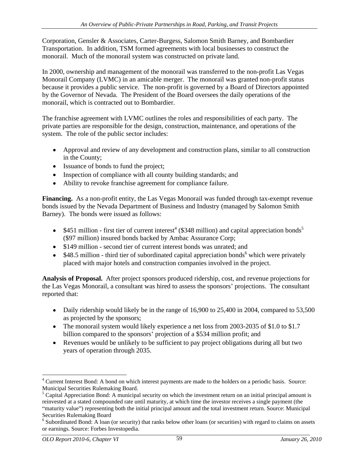Corporation, Gensler & Associates, Carter-Burgess, Salomon Smith Barney, and Bombardier Transportation. In addition, TSM formed agreements with local businesses to construct the monorail. Much of the monorail system was constructed on private land.

In 2000, ownership and management of the monorail was transferred to the non-profit Las Vegas Monorail Company (LVMC) in an amicable merger. The monorail was granted non-profit status because it provides a public service. The non-profit is governed by a Board of Directors appointed by the Governor of Nevada. The President of the Board oversees the daily operations of the monorail, which is contracted out to Bombardier.

The franchise agreement with LVMC outlines the roles and responsibilities of each party. The private parties are responsible for the design, construction, maintenance, and operations of the system. The role of the public sector includes:

- Approval and review of any development and construction plans, similar to all construction in the County;
- Issuance of bonds to fund the project;
- Inspection of compliance with all county building standards; and
- Ability to revoke franchise agreement for compliance failure.

**Financing.** As a non-profit entity, the Las Vegas Monorail was funded through tax-exempt revenue bonds issued by the Nevada Department of Business and Industry (managed by Salomon Smith Barney). The bonds were issued as follows:

- \$451 million first tier of current interest<sup>4</sup> (\$348 million) and capital appreciation bonds<sup>5</sup> (\$97 million) insured bonds backed by Ambac Assurance Corp;
- \$149 million second tier of current interest bonds was unrated; and
- \$48.5 million third tier of subordinated capital appreciation bonds<sup>6</sup> which were privately placed with major hotels and construction companies involved in the project.

**Analysis of Proposal.** After project sponsors produced ridership, cost, and revenue projections for the Las Vegas Monorail, a consultant was hired to assess the sponsors' projections. The consultant reported that:

- Daily ridership would likely be in the range of 16,900 to 25,400 in 2004, compared to 53,500 as projected by the sponsors;
- The monorail system would likely experience a net loss from 2003-2035 of \$1.0 to \$1.7 billion compared to the sponsors' projection of a \$534 million profit; and
- Revenues would be unlikely to be sufficient to pay project obligations during all but two years of operation through 2035.

<sup>&</sup>lt;sup>4</sup> Current Interest Bond: A bond on which interest payments are made to the holders on a periodic basis. Source:

Municipal Securities Rulemaking Board.<br><sup>5</sup> Capital Appreciation Bond: A municipal security on which the investment return on an initial principal amount is reinvested at a stated compounded rate until maturity, at which time the investor receives a single payment (the "maturity value") representing both the initial principal amount and the total investment return. Source: Municipal Securities Rulemaking Board

<sup>&</sup>lt;sup>6</sup> Subordinated Bond: A loan (or security) that ranks below other loans (or securities) with regard to claims on assets or earnings. Source: Forbes Investopedia.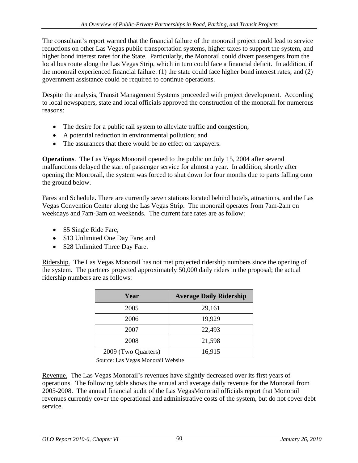The consultant's report warned that the financial failure of the monorail project could lead to service reductions on other Las Vegas public transportation systems, higher taxes to support the system, and higher bond interest rates for the State. Particularly, the Monorail could divert passengers from the local bus route along the Las Vegas Strip, which in turn could face a financial deficit. In addition, if the monorail experienced financial failure: (1) the state could face higher bond interest rates; and (2) government assistance could be required to continue operations.

Despite the analysis, Transit Management Systems proceeded with project development. According to local newspapers, state and local officials approved the construction of the monorail for numerous reasons:

- The desire for a public rail system to alleviate traffic and congestion;
- A potential reduction in environmental pollution; and
- The assurances that there would be no effect on taxpayers.

**Operations**. The Las Vegas Monorail opened to the public on July 15, 2004 after several malfunctions delayed the start of passenger service for almost a year. In addition, shortly after opening the Monrorail, the system was forced to shut down for four months due to parts falling onto the ground below.

Fares and Schedule**.** There are currently seven stations located behind hotels, attractions, and the Las Vegas Convention Center along the Las Vegas Strip. The monorail operates from 7am-2am on weekdays and 7am-3am on weekends. The current fare rates are as follow:

- \$5 Single Ride Fare;
- \$13 Unlimited One Day Fare; and
- \$28 Unlimited Three Day Fare.

Ridership. The Las Vegas Monorail has not met projected ridership numbers since the opening of the system. The partners projected approximately 50,000 daily riders in the proposal; the actual ridership numbers are as follows:

| Year                | <b>Average Daily Ridership</b> |
|---------------------|--------------------------------|
| 2005                | 29,161                         |
| 2006                | 19,929                         |
| 2007                | 22,493                         |
| 2008                | 21,598                         |
| 2009 (Two Quarters) | 16,915                         |

Source: Las Vegas Monorail Website

Revenue. The Las Vegas Monorail's revenues have slightly decreased over its first years of operations. The following table shows the annual and average daily revenue for the Monorail from 2005-2008. The annual financial audit of the Las VegasMonorail officials report that Monorail revenues currently cover the operational and administrative costs of the system, but do not cover debt service.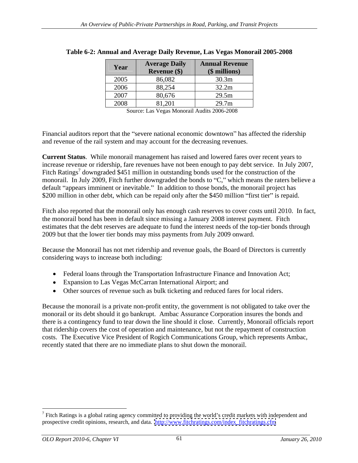| Year | <b>Revenue</b> (\$) | <b>Average Daily   Annual Revenue  </b><br>(\$ millions) |
|------|---------------------|----------------------------------------------------------|
| 2005 | 86,082              | 30.3m                                                    |
| 2006 | 88,254              | 32.2m                                                    |
| 2007 | 80,676              | 29.5m                                                    |
| 2008 | 81,201              | 29.7m                                                    |

#### **Table 6-2: Annual and Average Daily Revenue, Las Vegas Monorail 2005-2008**

Source: Las Vegas Monorail Audits 2006-2008

Financial auditors report that the "severe national economic downtown" has affected the ridership and revenue of the rail system and may account for the decreasing revenues.

**Current Status**. While monorail management has raised and lowered fares over recent years to increase revenue or ridership, fare revenues have not been enough to pay debt service. In July 2007, Fitch Ratings<sup>7</sup> downgraded \$451 million in outstanding bonds used for the construction of the monorail. In July 2009, Fitch further downgraded the bonds to "C," which means the raters believe a default "appears imminent or inevitable." In addition to those bonds, the monorail project has \$200 million in other debt, which can be repaid only after the \$450 million "first tier" is repaid.

Fitch also reported that the monorail only has enough cash reserves to cover costs until 2010. In fact, the monorail bond has been in default since missing a January 2008 interest payment. Fitch estimates that the debt reserves are adequate to fund the interest needs of the top-tier bonds through 2009 but that the lower tier bonds may miss payments from July 2009 onward.

Because the Monorail has not met ridership and revenue goals, the Board of Directors is currently considering ways to increase both including:

- Federal loans through the Transportation Infrastructure Finance and Innovation Act;
- Expansion to Las Vegas McCarran International Airport; and
- Other sources of revenue such as bulk ticketing and reduced fares for local riders.

Because the monorail is a private non-profit entity, the government is not obligated to take over the monorail or its debt should it go bankrupt. Ambac Assurance Corporation insures the bonds and there is a contingency fund to tear down the line should it close. Currently, Monorail officials report that ridership covers the cost of operation and maintenance, but not the repayment of construction costs. The Executive Vice President of Rogich Communications Group, which represents Ambac, recently stated that there are no immediate plans to shut down the monorail.

 $<sup>7</sup>$  Fitch Ratings is a global rating agency committed to providing the world's credit markets with independent and</sup> prospective credit opinions, research, and data. [http://www.fitchratings.com/index\\_fitchratings.cfm](http://www.fitchratings.com/index_fitchratings.cfm)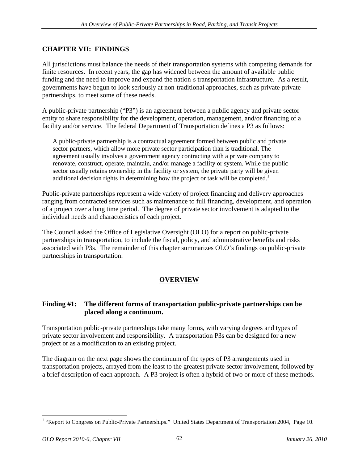# **CHAPTER VII: FINDINGS**

All jurisdictions must balance the needs of their transportation systems with competing demands for finite resources. In recent years, the gap has widened between the amount of available public funding and the need to improve and expand the nation s transportation infrastructure. As a result, governments have begun to look seriously at non-traditional approaches, such as private-private partnerships, to meet some of these needs.

A public-private partnership ("P3") is an agreement between a public agency and private sector entity to share responsibility for the development, operation, management, and/or financing of a facility and/or service. The federal Department of Transportation defines a P3 as follows:

A public-private partnership is a contractual agreement formed between public and private sector partners, which allow more private sector participation than is traditional. The agreement usually involves a government agency contracting with a private company to renovate, construct, operate, maintain, and/or manage a facility or system. While the public sector usually retains ownership in the facility or system, the private party will be given additional decision rights in determining how the project or task will be completed.<sup>1</sup>

 Public-private partnerships represent a wide variety of project financing and delivery approaches ranging from contracted services such as maintenance to full financing, development, and operation of a project over a long time period. The degree of private sector involvement is adapted to the individual needs and characteristics of each project.

The Council asked the Office of Legislative Oversight (OLO) for a report on public-private partnerships in transportation, to include the fiscal, policy, and administrative benefits and risks associated with P3s. The remainder of this chapter summarizes OLO's findings on public-private partnerships in transportation.

## **OVERVIEW**

### **Finding #1: The different forms of transportation public-private partnerships can be placed along a continuum.**

Transportation public-private partnerships take many forms, with varying degrees and types of private sector involvement and responsibility. A transportation P3s can be designed for a new project or as a modification to an existing project.

The diagram on the next page shows the continuum of the types of P3 arrangements used in transportation projects, arrayed from the least to the greatest private sector involvement, followed by a brief description of each approach. A P3 project is often a hybrid of two or more of these methods.

<sup>&</sup>lt;sup>1</sup> "Report to Congress on Public-Private Partnerships." United States Department of Transportation 2004, Page 10.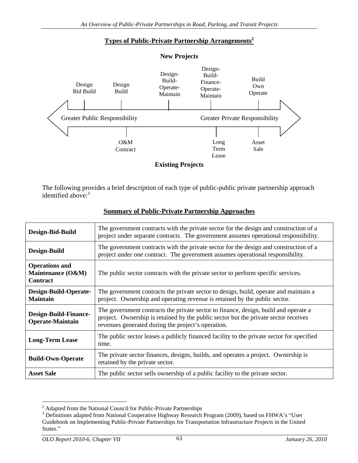## **Types of Public-Private Partnership Arrangements2**



|                                                         | <b>Greater Private Responsibility</b><br><b>Greater Public Responsibility</b>                                                                                                                                                    |  |  |  |  |  |
|---------------------------------------------------------|----------------------------------------------------------------------------------------------------------------------------------------------------------------------------------------------------------------------------------|--|--|--|--|--|
|                                                         |                                                                                                                                                                                                                                  |  |  |  |  |  |
|                                                         | O&M<br>Asset<br>Long<br>Term<br>Sale<br>Contract                                                                                                                                                                                 |  |  |  |  |  |
|                                                         | Lease                                                                                                                                                                                                                            |  |  |  |  |  |
|                                                         | <b>Existing Projects</b>                                                                                                                                                                                                         |  |  |  |  |  |
|                                                         |                                                                                                                                                                                                                                  |  |  |  |  |  |
| identified above: <sup>3</sup>                          | The following provides a brief description of each type of public-public private partnership approach                                                                                                                            |  |  |  |  |  |
|                                                         | <b>Summary of Public-Private Partnership Approaches</b>                                                                                                                                                                          |  |  |  |  |  |
| Design-Bid-Build                                        | The government contracts with the private sector for the design and construction of a<br>project under separate contracts. The government assumes operational responsibility.                                                    |  |  |  |  |  |
| Design-Build                                            | The government contracts with the private sector for the design and construction of a<br>project under one contract. The government assumes operational responsibility.                                                          |  |  |  |  |  |
| <b>Operations and</b><br>Maintenance (O&M)<br>Contract  | The public sector contracts with the private sector to perform specific services.                                                                                                                                                |  |  |  |  |  |
| Design-Build-Operate-<br><b>Maintain</b>                | The government contracts the private sector to design, build, operate and maintain a<br>project. Ownership and operating revenue is retained by the public sector.                                                               |  |  |  |  |  |
| <b>Design-Build-Finance-</b><br><b>Operate-Maintain</b> | The government contracts the private sector to finance, design, build and operate a<br>project. Ownership is retained by the public sector but the private sector receives<br>revenues generated during the project's operation. |  |  |  |  |  |
| <b>Long-Term Lease</b>                                  | The public sector leases a publicly financed facility to the private sector for specified<br>time.                                                                                                                               |  |  |  |  |  |
| <b>Build-Own-Operate</b>                                | The private sector finances, designs, builds, and operates a project. Ownership is<br>retained by the private sector.                                                                                                            |  |  |  |  |  |
|                                                         |                                                                                                                                                                                                                                  |  |  |  |  |  |

#### **Summary of Public-Private Partnership Approaches**

<sup>&</sup>lt;sup>2</sup> Adapted from the National Council for Public-Private Partnerships

<sup>&</sup>lt;sup>3</sup> Definitions adapted from National Cooperative Highway Research Program (2009), based on FHWA's "User Guidebook on Implementing Public-Private Partnerships for Transportation Infrastructure Projects in the United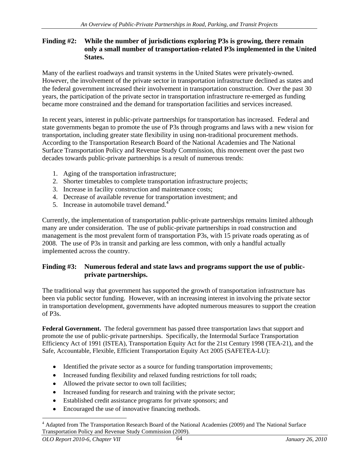#### **Finding #2: While the number of jurisdictions exploring P3s is growing, there remain only a small number of transportation-related P3s implemented in the United States.**

Many of the earliest roadways and transit systems in the United States were privately-owned. However, the involvement of the private sector in transportation infrastructure declined as states and the federal government increased their involvement in transportation construction. Over the past 30 years, the participation of the private sector in transportation infrastructure re-emerged as funding became more constrained and the demand for transportation facilities and services increased.<br>In recent years, interest in public-private partnerships for transportation has increased. Federal and

state governments began to promote the use of P3s through programs and laws with a new vision for transportation, including greater state flexibility in using non-traditional procurement methods. According to the Transportation Research Board of the National Academies and The National Surface Transportation Policy and Revenue Study Commission, this movement over the past two decades towards public-private partnerships is a result of numerous trends:

- 1. Aging of the transportation infrastructure;
- 2. Shorter timetables to complete transportation infrastructure projects;
- 3. Increase in facility construction and maintenance costs;
- 4. Decrease of available revenue for transportation investment; and
- 5. Increase in automobile travel demand.<sup>4</sup>

 Currently, the implementation of transportation public-private partnerships remains limited although many are under consideration. The use of public-private partnerships in road construction and management is the most prevalent form of transportation P3s, with 15 private roads operating as of 2008. The use of P3s in transit and parking are less common, with only a handful actually implemented across the country.

### **Finding #3: Numerous federal and state laws and programs support the use of public private partnerships.**

The traditional way that government has supported the growth of transportation infrastructure has been via public sector funding. However, with an increasing interest in involving the private sector in transportation development, governments have adopted numerous measures to support the creation of P3s.

**Federal Government.** The federal government has passed three transportation laws that support and promote the use of public-private partnerships. Specifically, the Intermodal Surface Transportation Efficiency Act of 1991 (ISTEA), Transportation Equity Act for the 21st Century 1998 (TEA-21), and the Safe, Accountable, Flexible, Efficient Transportation Equity Act 2005 (SAFETEA-LU):

- Identified the private sector as a source for funding transportation improvements;
- Increased funding flexibility and relaxed funding restrictions for toll roads;
- Allowed the private sector to own toll facilities;
- Increased funding for research and training with the private sector;
- Established credit assistance programs for private sponsors; and
- Encouraged the use of innovative financing methods.

<sup>&</sup>lt;sup>4</sup> Adapted from The Transportation Research Board of the National Academies (2009) and The National Surface Transportation Policy and Revenue Study Commission (2009).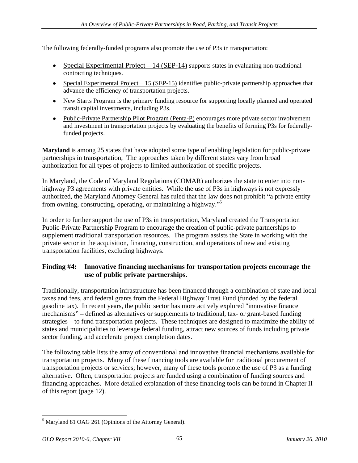The following federally-funded programs also promote the use of P3s in transportation:

- Special Experimental Project  $-14$  (SEP-14) supports states in evaluating non-traditional contracting techniques.
- $\bullet$  Special Experimental Project  $-15$  (SEP-15) identifies public-private partnership approaches that divance the efficiency of transportation projects.<br>• New Starts Program is the primary funding resource for supporting locally planned and operated
- transit capital investments, including P3s.
- Public-Private Partnership Pilot Program (Penta-P) encourages more private sector involvement and investment in transportation projects by evaluating the benefits of forming P3s for federallyfunded projects.

**Maryland** is among 25 states that have adopted some type of enabling legislation for public-private partnerships in transportation, The approaches taken by different states vary from broad authorization for all types of projects to limited authorization of specific projects. In Maryland, the Code of Maryland Regulations (COMAR) authorizes the state to enter into non-

highway P3 agreements with private entities. While the use of P3s in highways is not expressly authorized, the Maryland Attorney General has ruled that the law does not prohibit "a private entity from owning, constructing, operating, or maintaining a highway."<sup>5</sup>

In order to further support the use of P3s in transportation, Maryland created the Transportation Public-Private Partnership Program to encourage the creation of public-private partnerships to supplement traditional transportation resources. The program assists the State in working with the private sector in the acquisition, financing, construction, and operations of new and existing transportation facilities, excluding highways.

### **Finding #4: Innovative financing mechanisms for transportation projects encourage the use of public private partnerships.**

Traditionally, transportation infrastructure has been financed through a combination of state and local taxes and fees, and federal grants from the Federal Highway Trust Fund (funded by the federal gasoline tax). In recent years, the public sector has more actively explored "innovative finance mechanisms" – defined as alternatives or supplements to traditional, tax- or grant-based funding strategies – to fund transportation projects. These techniques are designed to maximize the ability of states and municipalities to leverage federal funding, attract new sources of funds including private sector funding, and accelerate project completion dates.

The following table lists the array of conventional and innovative financial mechanisms available for transportation projects. Many of these financing tools are available for traditional procurement of transportation projects or services; however, many of these tools promote the use of P3 as a funding alternative. Often, transportation projects are funded using a combination of funding sources and financing approaches. More detailed explanation of these financing tools can be found in Chapter II of this report (page 12).

 <sup>5</sup> Maryland 81 OAG 261 (Opinions of the Attorney General).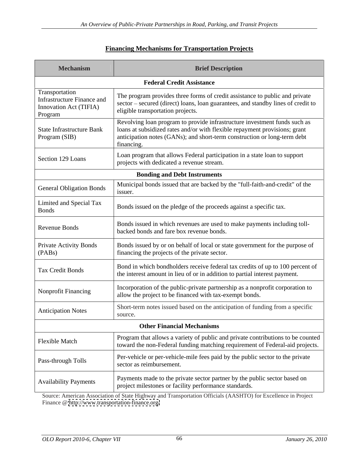# **Financing Mechanisms for Transportation Projects**

| <b>Mechanism</b>                                                                  | <b>Brief Description</b>                                                                                                                                                                                                                          |
|-----------------------------------------------------------------------------------|---------------------------------------------------------------------------------------------------------------------------------------------------------------------------------------------------------------------------------------------------|
|                                                                                   | <b>Federal Credit Assistance</b>                                                                                                                                                                                                                  |
| Transportation<br>Infrastructure Finance and<br>Innovation Act (TIFIA)<br>Program | The program provides three forms of credit assistance to public and private<br>sector - secured (direct) loans, loan guarantees, and standby lines of credit to<br>eligible transportation projects.                                              |
| State Infrastructure Bank<br>Program (SIB)                                        | Revolving loan program to provide infrastructure investment funds such as<br>loans at subsidized rates and/or with flexible repayment provisions; grant<br>anticipation notes (GANs); and short-term construction or long-term debt<br>financing. |
| Section 129 Loans                                                                 | Loan program that allows Federal participation in a state loan to support<br>projects with dedicated a revenue stream.                                                                                                                            |
|                                                                                   | <b>Bonding and Debt Instruments</b>                                                                                                                                                                                                               |
| <b>General Obligation Bonds</b>                                                   | Municipal bonds issued that are backed by the "full-faith-and-credit" of the<br>issuer.                                                                                                                                                           |
| Limited and Special Tax<br><b>Bonds</b>                                           | Bonds issued on the pledge of the proceeds against a specific tax.                                                                                                                                                                                |
| Revenue Bonds                                                                     | Bonds issued in which revenues are used to make payments including toll-<br>backed bonds and fare box revenue bonds.                                                                                                                              |
| <b>Private Activity Bonds</b><br>(PABs)                                           | Bonds issued by or on behalf of local or state government for the purpose of<br>financing the projects of the private sector.                                                                                                                     |
| Tax Credit Bonds                                                                  | Bond in which bondholders receive federal tax credits of up to 100 percent of<br>the interest amount in lieu of or in addition to partial interest payment.                                                                                       |
| Nonprofit Financing                                                               | Incorporation of the public-private partnership as a nonprofit corporation to<br>allow the project to be financed with tax-exempt bonds.                                                                                                          |
| <b>Anticipation Notes</b>                                                         | Short-term notes issued based on the anticipation of funding from a specific<br>source.                                                                                                                                                           |
|                                                                                   | <b>Other Financial Mechanisms</b>                                                                                                                                                                                                                 |
| Flexible Match                                                                    | Program that allows a variety of public and private contributions to be counted<br>toward the non-Federal funding matching requirement of Federal-aid projects.                                                                                   |
| Pass-through Tolls                                                                | Per-vehicle or per-vehicle-mile fees paid by the public sector to the private<br>sector as reimbursement.                                                                                                                                         |
| <b>Availability Payments</b>                                                      | Payments made to the private sector partner by the public sector based on<br>project milestones or facility performance standards.                                                                                                                |
|                                                                                   |                                                                                                                                                                                                                                                   |

Source: American Association of State Highway and Transportation Officials (AASHTO) for Excellence in Project Finance @<http://www.transportation-finance.org/>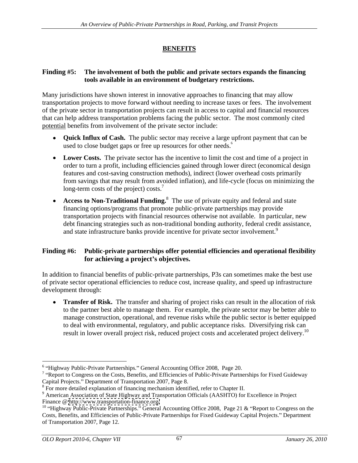# **BENEFITS**

## **Finding #5: The involvement of both the public and private sectors expands the financing tools available in an environment of budgetary restrictions.**

Many jurisdictions have shown interest in innovative approachesto financing that may allow transportation projects to move forward without needing to increase taxes or fees. The involvement of the private sector in transportation projects can result in access to capital and financial resources that can help address transportation problems facing the public sector. The most commonly cited potential benefits from involvement of the private sector include:

- **Quick Influx of Cash.** The public sector may receive a large upfront payment that can be used to close budget gaps or free up resources for other needs.<sup>6</sup>
- Lower Costs. The private sector has the incentive to limit the cost and time of a project in order to turn a profit, including efficiencies gained through lower direct (economical design features and cost-saving construction methods), indirect (lower overhead costs primarily from savings that may result from avoided inflation), and life-cycle (focus on minimizing the long-term costs of the project) costs.<sup>7</sup>
- **Access to Non-Traditional Funding.**<sup>8</sup> The use of private equity and federal and state financing options/programs that promote public-private partnerships may provide transportation projects with financial resources otherwise not available. In particular, new debt financing strategies such as non-traditional bonding authority, federal credit assistance, and state infrastructure banks provide incentive for private sector involvement.<sup>9</sup>

## **Finding #6: Public-private partnerships offer potential efficiencies and operational flexibility for achieving a project s objectives.**

In addition to financial benefits of public-private partnerships, P3s can sometimes make the best use of private sector operational efficiencies to reduce cost, increase quality, and speed up infrastructure development through:

• **Transfer of Risk.** The transfer and sharing of project risks can result in the allocation of risk to the partner best able to manage them. For example, the private sector may be better able to manage construction, operational, and revenue risks while the public sector is better equipped to deal with environmental, regulatory, and public acceptance risks. Diversifying risk can result in lower overall project risk, reduced project costs and accelerated project delivery.<sup>10</sup>

<sup>&</sup>lt;sup>6</sup> "Highway Public-Private Partnerships." General Accounting Office 2008, Page 20.<br><sup>7</sup> "Report to Congress on the Costs, Benefits, and Efficiencies of Public-Private Partnerships for Fixed Guideway Capital Projects." Department of Transportation 2007, Page 8.<br><sup>8</sup> For more detailed explanation of financing mechanism identified, refer to Chapter II.

<sup>&</sup>lt;sup>9</sup> American Association of State Highway and Transportation Officials (AASHTO) for Excellence in Project Finance @<http://www.transportation-finance.org/><br><sup>10</sup> "Highway Public-Private Partnerships." General Accounting Office 2008, Page 21 & "Report to Congress on the

Costs, Benefits, and Efficiencies of Public-Private Partnerships for Fixed Guideway Capital Projects." Department of Transportation 2007, Page 12.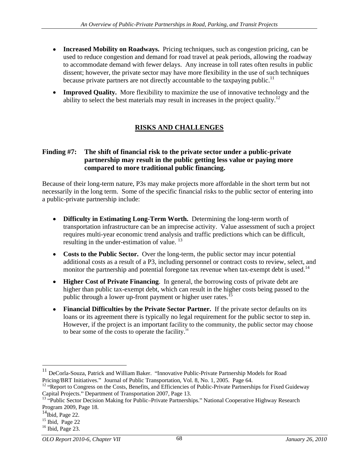- **Increased Mobility on Roadways.** Pricing techniques, such as congestion pricing, can be used to reduce congestion and demand for road travel at peak periods, allowing the roadway to accommodate demand with fewer delays. Any increase in toll rates often results in public dissent; however, the private sector may have more flexibility in the use of such techniques because private partners are not directly accountable to the taxpaying public.<sup>11</sup>
- **Improved Quality.** More flexibility to maximize the use of innovative technology and the ability to select the best materials may result in increases in the project quality.<sup>12</sup>

# **RISKS AND CHALLENGES**

## **Finding #7: The shift of financial risk to the private sector under a public-private partnership may result in the public getting less value or paying more compared to more traditional public financing.**

Because of their long-term nature, P3s may make projects more affordable in the short term but not necessarily in the long term. Some of the specific financial risks to the public sector of entering into a public-private partnership include:

- **Difficulty in Estimating Long-Term Worth.** Determining the long-term worth of transportation infrastructure can be an imprecise activity. Value assessment of such a project requires multi-year economic trend analysis and traffic predictions which can be difficult, resulting in the under-estimation of value.<sup>13</sup>
- **Costs to the Public Sector.** Over the long-term, the public sector may incur potential additional costs as a result of a P3, including personnel or contract costs to review, select, and monitor the partnership and potential foregone tax revenue when tax-exempt debt is used.<sup>14</sup>
- **Higher Cost of Private Financing**. In general, the borrowing costs of private debt are higher than public tax-exempt debt, which can result in the higher costs being passed to the public through a lower up-front payment or higher user rates.<sup>15</sup>
- **Financial Difficulties by the Private Sector Partner.** If the private sector defaults on its loans or its agreement there is typically no legal requirement for the public sector to step in. However, if the project is an important facility to the community, the public sector may choose to bear some of the costs to operate the facility.<sup>16</sup>

 $11$  DeCorla-Souza, Patrick and William Baker. "Innovative Public-Private Partnership Models for Road

Pricing/BRT Initiatives." Journal of Public Transportation, Vol. 8, No. 1, 2005. Page 64.<br><sup>12</sup> "Report to Congress on the Costs, Benefits, and Efficiencies of Public-Private Partnerships for Fixed Guideway<br>Capital Projects

<sup>&</sup>lt;sup>13</sup> "Public Sector Decision Making for Public-Private Partnerships." National Cooperative Highway Research Program 2009, Page 18.<br><sup>14</sup>Ibid, Page 22.

 $^{15}$  Ibid, Page 22

 $16$  Ibid, Page 23.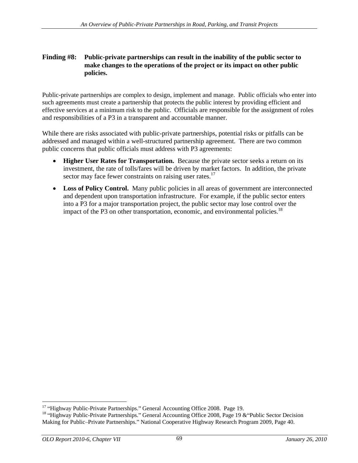#### **Finding #8: Public-private partnerships can result in the inability of the public sector to make changes to the operations of the project or its impact on other public policies.**

Public-private partnerships are complex to design, implement and manage. Public officials who enter into such agreements must create a partnership that protects the public interest by providing efficient and effective services at a minimum risk to the public. Officials are responsible for the assignment of roles and responsibilities of a P3 in a transparent and accountable manner.

While there are risks associated with public-private partnerships, potential risks or pitfalls can be addressed and managed within a well-structured partnership agreement. There are two common public concerns that public officials must address with P3 agreements:

- **Higher User Rates for Transportation.** Because the private sector seeks a return on its investment, the rate of tolls/fares will be driven by market factors. In addition, the private sector may face fewer constraints on raising user rates.<sup>17</sup>
- Loss of Policy Control. Many public policies in all areas of government are interconnected and dependent upon transportation infrastructure. For example, if the public sector enters into a P3 for a major transportation project, the public sector may lose control over the impact of the P3 on other transportation, economic, and environmental policies.<sup>18</sup>

<sup>&</sup>lt;sup>17</sup> "Highway Public-Private Partnerships." General Accounting Office 2008. Page 19.<br><sup>18</sup> "Highway Public-Private Partnerships." General Accounting Office 2008, Page 19 & "Public Sector Decision Making for Public-Private Partnerships." National Cooperative Highway Research Program 2009, Page 40.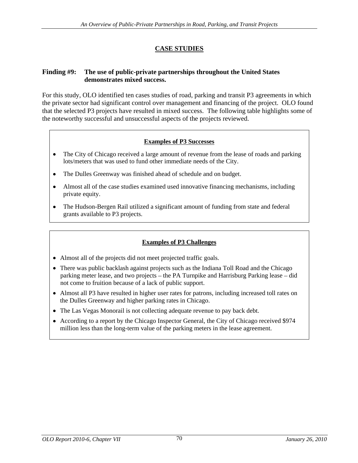# **CASE STUDIES**

## **Finding #9: The use of public-private partnerships throughout the United States demonstrates mixed success.**

For this study, OLO identified ten cases studies of road, parking and transit P3 agreements in which the private sector had significant control over management and financing of the project. OLO found that the selected P3 projects have resulted in mixed success. The following table highlights some of the noteworthy successful and unsuccessful aspects of the projects reviewed.

## **Examples of P3 Successes**

- The City of Chicago received a large amount of revenue from the lease of roads and parking lots/meters that was used to fund other immediate needs of the City.
- The Dulles Greenway was finished ahead of schedule and on budget.  $\bullet$
- Almost all of the case studies examined used innovative financing mechanisms, including private equity.
- $\bullet$ The Hudson-Bergen Rail utilized a significant amount of funding from state and federal grants available to P3 projects.

## **Examples of P3 Challenges**

- 
- Almost all of the projects did not meet projected traffic goals.<br>• There was public backlash against projects such as the Indiana Toll Road and the Chicago parking meter lease, and two projects – the PA Turnpike and Harrisburg Parking lease – did not come to fruition because of a lack of public support.
- Almost all P3 have resulted in higher user rates for patrons, including increased toll rates on the Dulles Greenway and higher parking rates in Chicago.
- The Las Vegas Monorail is not collecting adequate revenue to pay back debt.
- According to a report by the Chicago Inspector General, the City of Chicago received \$974 million less than the long-term value of the parking meters in the lease agreement.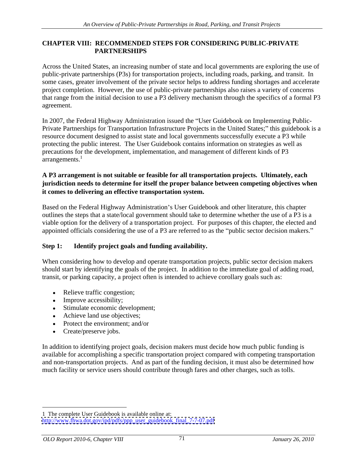## **CHAPTER VIII: RECOMMENDED STEPS FOR CONSIDERING PUBLIC-PRIVATE PARTNERSHIPS**

Across the United States, an increasing number of state and local governments are exploring the use of public-private partnerships (P3s) for transportation projects, including roads, parking, and transit. In some cases, greater involvement of the private sector helps to address funding shortages and accelerate project completion. However, the use of public-private partnerships also raises a variety of concerns that range from the initial decision to use a P3 delivery mechanism through the specifics of a formal P3 agreement.

In 2007, the Federal Highway Administration issued the "User Guidebook on Implementing Public-Private Partnerships for Transportation Infrastructure Projects in the United States;" this guidebook is a resource document designed to assist state and local governments successfully execute a P3 while protecting the public interest. The User Guidebook contains information on strategies as well as precautions for the development, implementation, and management of different kinds of P3 arrangements.<sup>1</sup>

## **A P3 arrangement is not suitable or feasible for all transportation projects. Ultimately, each jurisdiction needs to determine for itself the proper balance between competing objectives when it comes to delivering an effective transportation system.**

Based on the Federal Highway Administration's User Guidebook and other literature, this chapter outlines the steps that a state/local government should take to determine whether the use of a P3 is a viable option for the delivery of a transportation project. For purposes of this chapter, the elected and appointed officials considering the use of a P3 are referred to as the "public sector decision makers."

# **Step 1: Identify project goals and funding availability.**

When considering how to develop and operate transportation projects, public sector decision makers should start by identifying the goals of the project. In addition to the immediate goal of adding road, transit, or parking capacity, a project often is intended to achieve corollary goals such as:

- Relieve traffic congestion;
- Improve accessibility;
- Stimulate economic development;
- Achieve land use objectives;
- Protect the environment: and/or
- 

Create/preserve jobs. In addition to identifying project goals, decision makers must decide how much public funding is available for accomplishing a specific transportation project compared with competing transportation and non-transportation projects. And as part of the funding decision, it must also be determined how much facility or service users should contribute through fares and other charges, such as tolls.

 <sup>1</sup> The complete User Guidebook is available online at: [http://www.fhwa.dot.gov/ipd/pdfs/ppp\\_user\\_guidebook\\_final\\_7-7-07.pdf](http://www.fhwa.dot.gov/ipd/pdfs/ppp_user_guidebook_final_7-7-07.pdf)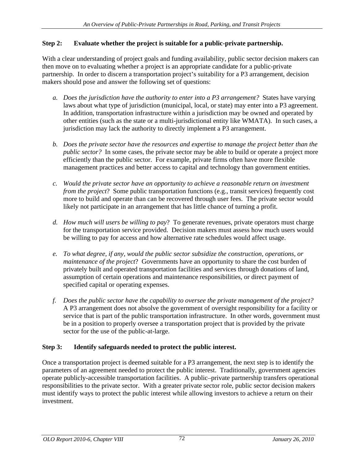# **Step 2: Evaluate whether the project is suitable for a public-private partnership.**

With a clear understanding of project goals and funding availability, public sector decision makers can then move on to evaluating whether a project is an appropriate candidate for a public-private partnership. In order to discern a transportation project's suitability for a P3 arrangement, decision makers should pose and answer the following set of questions:

- *a. Does the jurisdiction have the authority to enter into a P3 arrangement?* States have varying laws about what type of jurisdiction (municipal, local, or state) may enter into a P3 agreement. In addition, transportation infrastructure within a jurisdiction may be owned and operated by other entities (such as the state or a multi-jurisdictional entity like WMATA). In such cases, a jurisdiction may lack the authority to directly implement a P3 arrangement.
- *b. Does the private sector have the resources and expertise to manage the project better than the public sector?* In some cases, the private sector may be able to build or operate a project more efficiently than the public sector. For example, private firms often have more flexible management practices and better access to capital and technology than government entities.
- *c. Would the private sector have an opportunity to achieve a reasonable return on investment from the project*? Some public transportation functions (e.g., transit services) frequently cost more to build and operate than can be recovered through user fees. The private sector would likely not participate in an arrangement that has little chance of turning a profit.
- *d. How much will users be willing to pay*? To generate revenues, private operators must charge for the transportation service provided. Decision makers must assess how much users would be willing to pay for access and how alternative rate schedules would affect usage.
- *e. To what degree, if any, would the public sector subsidize the construction, operations, or maintenance of the project*? Governments have an opportunity to share the cost burden of privately built and operated transportation facilities and services through donations of land, assumption of certain operations and maintenance responsibilities, or direct payment of specified capital or operating expenses.
- *f. Does the public sector have the capability to oversee the private management of the project?* A P3 arrangement does not absolve the government of oversight responsibility for a facility or service that is part of the public transportation infrastructure. In other words, government must be in a position to properly oversee a transportation project that is provided by the private sector for the use of the public-at-large.

# **Step 3: Identify safeguards needed to protect the public interest.**

Once a transportation project is deemed suitable for a P3 arrangement, the next step is to identify the parameters of an agreement needed to protect the public interest. Traditionally, government agencies operate publicly-accessible transportation facilities. A public-private partnership transfers operational responsibilities to the private sector. With a greater private sector role, public sector decision makers must identify ways to protect the public interest while allowing investors to achieve a return on their investment.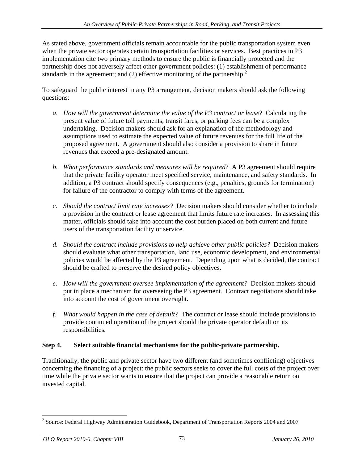As stated above, government officials remain accountable for the public transportation system even when the private sector operates certain transportation facilities or services. Best practices in P3 implementation cite two primary methods to ensure the public is financially protected and the partnership does not adversely affect other government policies: (1) establishment of performance standards in the agreement; and (2) effective monitoring of the partnership.<sup>2</sup>

 To safeguard the public interest in any P3 arrangement, decision makers should ask the following questions:

- *a. How will the government determine the value of the P3 contract or lease*? Calculating the present value of future toll payments, transit fares, or parking fees can be a complex undertaking. Decision makers should ask for an explanation of the methodology and assumptions used to estimate the expected value of future revenues for the full life of the proposed agreement. A government should also consider a provision to share in future revenues that exceed a pre-designated amount.
- *b. What performance standards and measures will be required*? A P3 agreement should require that the private facility operator meet specified service, maintenance, and safety standards. In addition, a P3 contract should specify consequences (e.g., penalties, grounds for termination) for failure of the contractor to comply with terms of the agreement.
- *c. Should the contract limit rate increases?* Decision makers should consider whether to include a provision in the contract or lease agreement that limits future rate increases. In assessing this matter, officials should take into account the cost burden placed on both current and future users of the transportation facility or service.
- *d. Should the contract include provisions to help achieve other public policies?* Decision makers should evaluate what other transportation, land use, economic development, and environmental policies would be affected by the P3 agreement. Depending upon what is decided, the contract should be crafted to preserve the desired policy objectives.
- *e. How will the government oversee implementation of the agreement?* Decision makers should put in place a mechanism for overseeing the P3 agreement. Contract negotiations should take into account the cost of government oversight.
- *f. What would happen in the case of default?* The contract or lease should include provisions to provide continued operation of the project should the private operator default on its responsibilities.

## **Step 4. Select suitable financial mechanisms for the public-private partnership.**

Traditionally, the public and private sector have two different (and sometimes conflicting) objectives concerning the financing of a project: the public sectors seeks to cover the full costs of the project over time while the private sector wants to ensure that the project can provide a reasonable return on invested capital.

 <sup>2</sup> Source: Federal Highway Administration Guidebook, Department of Transportation Reports 2004 and 2007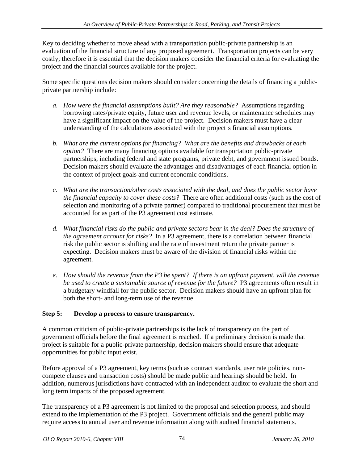Key to deciding whether to move ahead with a transportation public-private partnership is an evaluation of the financial structure of any proposed agreement. Transportation projects can be very costly; therefore it is essential that the decision makers consider the financial criteria for evaluating the project and the financial sources available for the project. Some specific questions decision makers should consider concerning the details of financing a public-

private partnership include:

- *a. How were the financial assumptions built? Are they reasonable?* Assumptions regarding borrowing rates/private equity, future user and revenue levels, or maintenance schedules may have a significant impact on the value of the project. Decision makers musthave a clear understanding of the calculations associated with the project s financial assumptions.
- *b. What are the current options for financing? What are the benefits and drawbacks of each option?* There are many financing options available for transportation public-private partnerships, including federal and state programs, private debt, and government issued bonds. Decision makers should evaluate the advantages and disadvantages of each financial option in the context of project goals and current economic conditions.
- *c. What are the transaction/other costs associated with the deal, and does the public sector have the financial capacity to cover these costs?* There are often additional costs (such as the cost of selection and monitoring of a private partner) compared to traditional procurement that must be accounted for as part of the P3 agreement cost estimate.
- *d. What financial risks do the public and private sectors bear in the deal? Does the structure of the agreement account for risks?* In a P3 agreement, there is a correlation between financial risk the public sector is shifting and the rate of investment return the private partner is expecting. Decision makers must be aware of the division of financial risks within the agreement.
- *e. How should the revenue from the P3 be spent? If there is an upfront payment, will the revenue be used to create a sustainable source of revenue for the future?* P3 agreements often result in a budgetary windfall for the public sector. Decision makers should have an upfront plan for both the short- and long-term use of the revenue.

# **Step 5: Develop a process to ensure transparency.**

A common criticism of public-private partnerships is the lack of transparency on the part of government officials before the final agreement is reached. If a preliminary decision is made that project is suitable for a public-private partnership, decision makers should ensure that adequate opportunities for public input exist.<br>Before approval of a P3 agreement, key terms (such as contract standards, user rate policies, non-

compete clauses and transaction costs) should be made public and hearings should be held. In addition, numerous jurisdictions have contracted with an independent auditor to evaluate the short and long term impacts of the proposed agreement.

The transparency of a P3 agreement is not limited to the proposal and selection process, and should extend to the implementation of the P3 project. Government officials and the general public may require access to annual user and revenue information along with audited financial statements.